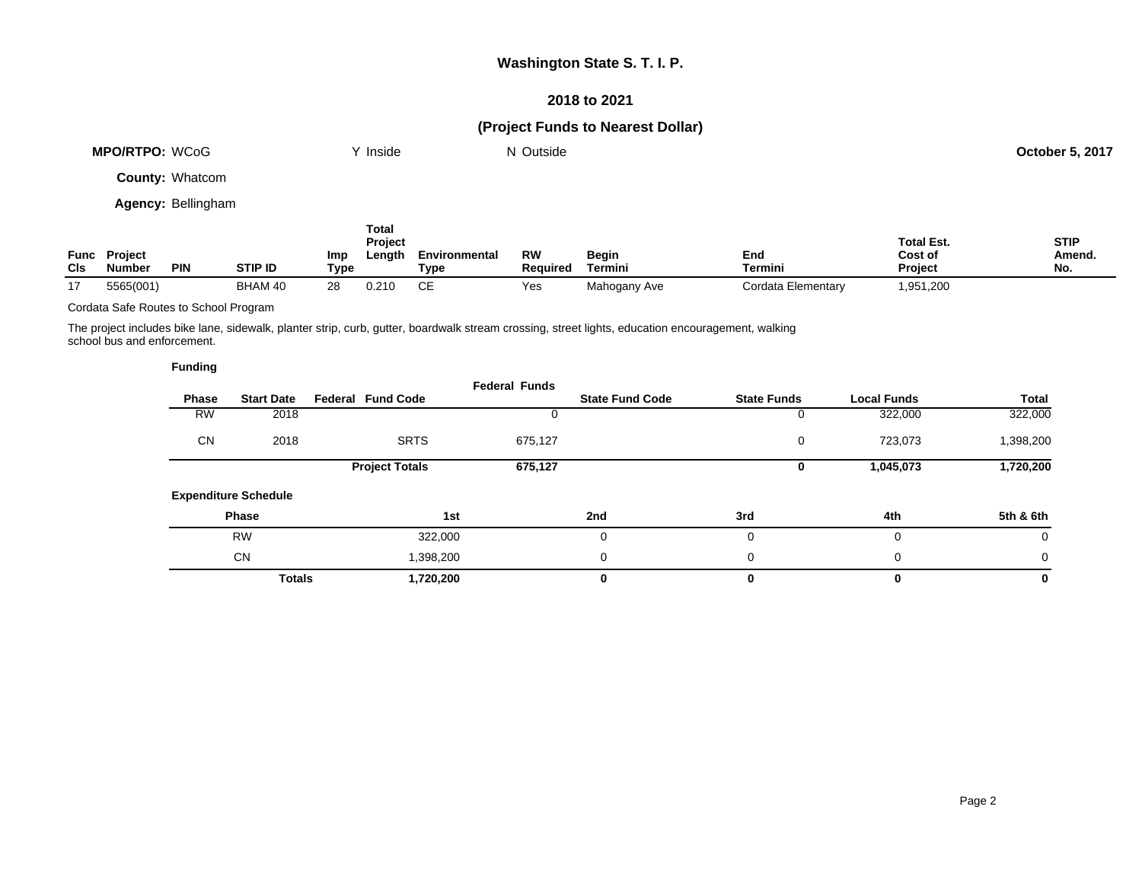### **2018 to 2021**

## **(Project Funds to Nearest Dollar)**

| <b>MPO/RTPO: WCoG</b>  | Y Inside     | N Outside | <b>October 5, 2017</b> |
|------------------------|--------------|-----------|------------------------|
| <b>County: Whatcom</b> |              |           |                        |
| Agency: Bellingham     |              |           |                        |
|                        | <b>Total</b> |           |                        |

| Func<br>CIs | <b>Project</b><br><b>Number</b><br><b>PIN</b> | STIP ID | Imp<br>Tvpe | 1 vuu<br><b>Project</b><br>∟ength | Environmental<br>Type | RW<br>Reauired | Begin<br>Termini | End<br>Termini     | <b>Total Est.</b><br>Cost of<br><b>Project</b> | <b>STIP</b><br>Amend.<br>No. |
|-------------|-----------------------------------------------|---------|-------------|-----------------------------------|-----------------------|----------------|------------------|--------------------|------------------------------------------------|------------------------------|
| 17          | 5565(001)                                     | BHAM 40 | 28          | 0.210                             | ◡∟                    | Yes            | Mahogany Ave     | Cordata Elementary | 1,951,200                                      |                              |

Cordata Safe Routes to School Program

The project includes bike lane, sidewalk, planter strip, curb, gutter, boardwalk stream crossing, street lights, education encouragement, walking school bus and enforcement.

| <b>Funding</b> |
|----------------|
|----------------|

|           |                             |                          | <b>Federal Funds</b> |                        |                    |                    |              |
|-----------|-----------------------------|--------------------------|----------------------|------------------------|--------------------|--------------------|--------------|
| Phase     | <b>Start Date</b>           | <b>Federal Fund Code</b> |                      | <b>State Fund Code</b> | <b>State Funds</b> | <b>Local Funds</b> | <b>Total</b> |
| <b>RW</b> | 2018                        |                          |                      |                        |                    | 322,000            | 322,000      |
| <b>CN</b> | 2018                        | <b>SRTS</b>              | 675,127              |                        | 0                  | 723,073            | 1,398,200    |
|           |                             | <b>Project Totals</b>    | 675,127              |                        | 0                  | 1,045,073          | 1,720,200    |
|           | <b>Expenditure Schedule</b> |                          |                      |                        |                    |                    |              |
|           | Phase                       |                          | 1st                  | 2nd                    | 3rd                | 4th                | 5th & 6th    |
|           | <b>RW</b>                   | 322,000                  |                      |                        |                    | 0                  | $\mathbf 0$  |
|           | <b>CN</b>                   | 1,398,200                |                      | 0                      | 0                  | $\mathbf 0$        | $\mathbf{0}$ |
|           | <b>Totals</b>               | 1,720,200                |                      | 0                      | 0                  | $\bf{0}$           | 0            |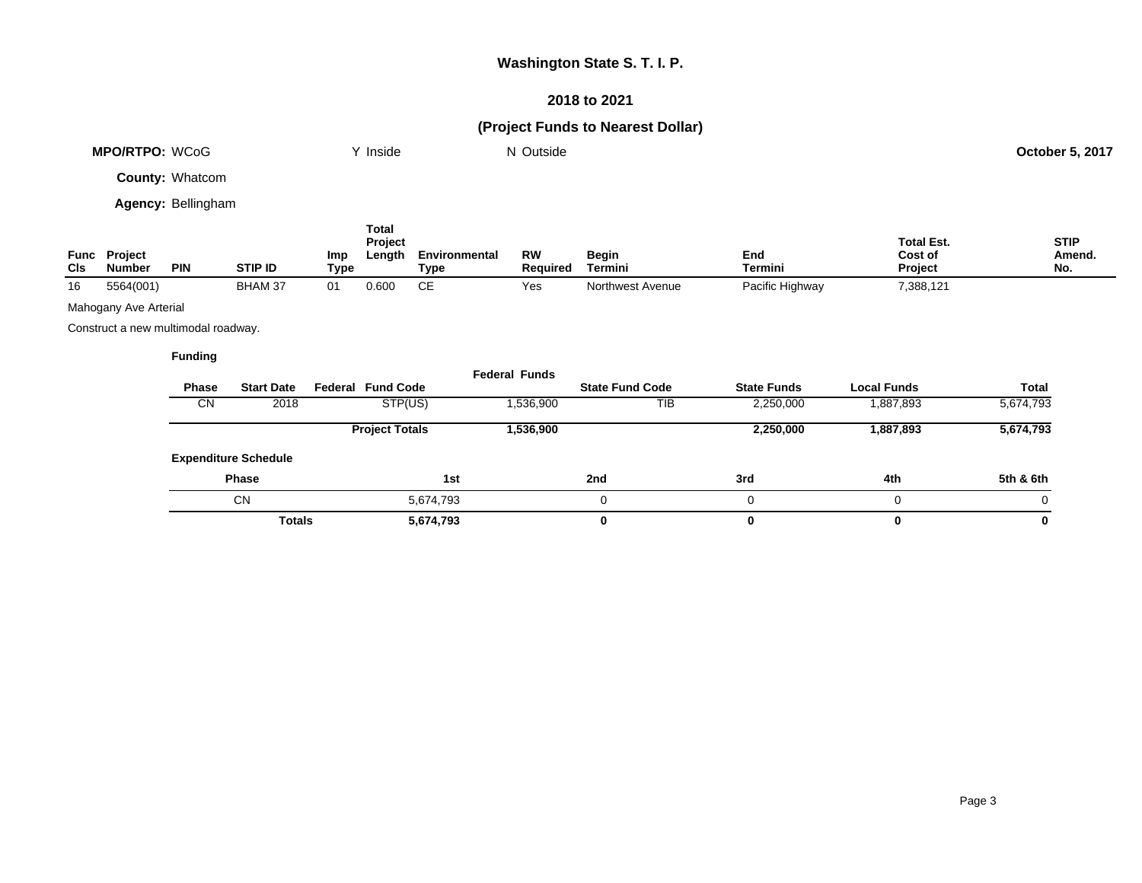### **2018 to 2021**

# **(Project Funds to Nearest Dollar)**

| <b>MPO/RTPO: WCoG</b>  | Y Inside | N Outside | October 5, 2017 |
|------------------------|----------|-----------|-----------------|
| <b>County: Whatcom</b> |          |           |                 |

**Agency:** Bellingham

| Func<br>CIs | <b>Project</b><br><b>Number</b> | <b>PIN</b> | STIP ID        | Imp<br>Type | Total<br><b>Project</b><br>Length | Environmental<br>туре | <b>RW</b><br>Reauired | Begin<br>Termini | End<br>Termini  | <b>Total Est.</b><br>Cost of<br>Project | <b>STIP</b><br>Amend.<br>No. |
|-------------|---------------------------------|------------|----------------|-------------|-----------------------------------|-----------------------|-----------------------|------------------|-----------------|-----------------------------------------|------------------------------|
| 16          | 5564(001)                       |            | <b>BHAM 37</b> | 01          | 0.600                             |                       | Yes                   | Northwest Avenue | Pacific Highway | 7,388,121                               |                              |

Mahogany Ave Arterial

Construct a new multimodal roadway.

| <b>Phase</b> | <b>Start Date</b>           | <b>Federal Fund Code</b> | <b>Federal Funds</b> | <b>State Fund Code</b> | <b>State Funds</b> | <b>Local Funds</b> | Total     |
|--------------|-----------------------------|--------------------------|----------------------|------------------------|--------------------|--------------------|-----------|
|              |                             |                          |                      |                        |                    |                    |           |
| CN.          | 2018                        | STP(US)                  | 1,536,900            | TIB                    | 2,250,000          | 1,887,893          | 5,674,793 |
|              |                             | <b>Project Totals</b>    | 1,536,900            |                        | 2,250,000          | 1,887,893          | 5,674,793 |
|              | <b>Expenditure Schedule</b> |                          |                      |                        |                    |                    |           |
|              | <b>Phase</b>                | 1st                      |                      | 2nd                    | 3rd                | 4th                | 5th & 6th |
|              | <b>CN</b>                   | 5,674,793                |                      |                        | 0                  |                    | 0         |
|              | <b>Totals</b>               | 5,674,793                |                      | 0                      |                    |                    | 0         |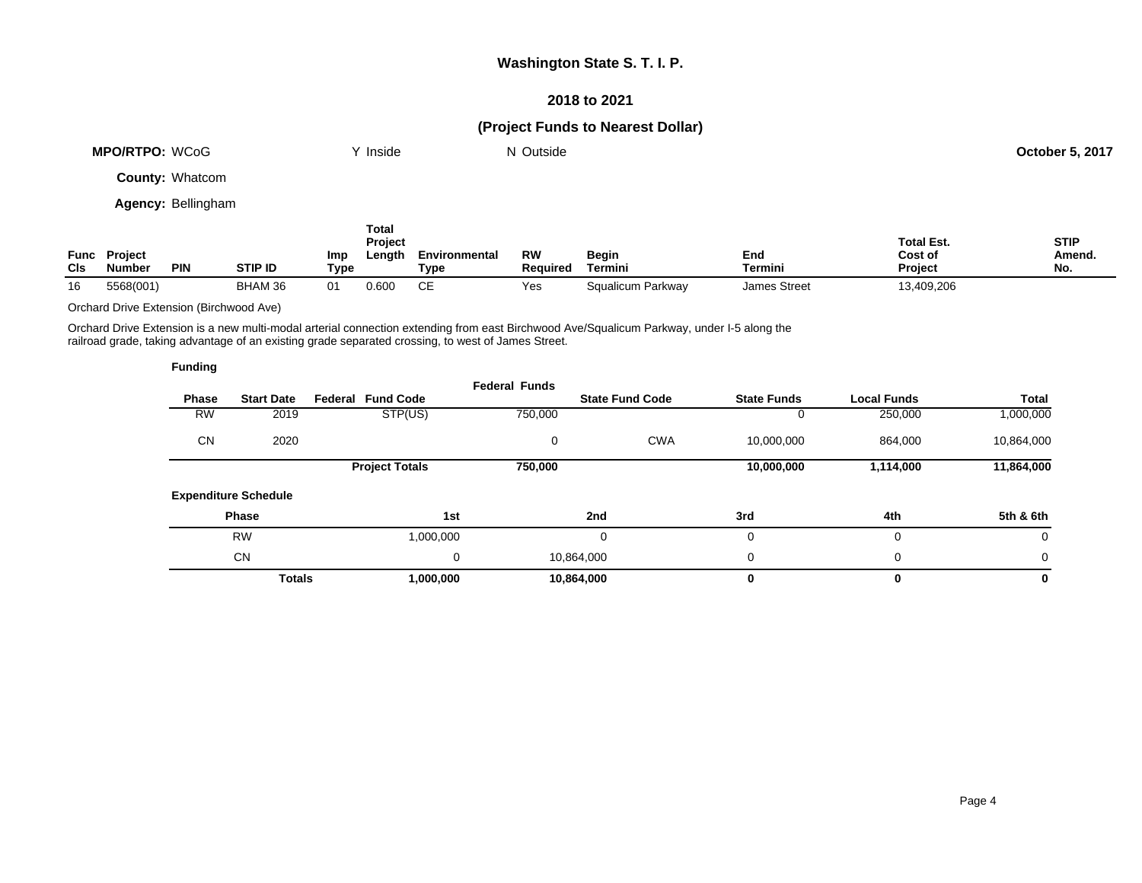### **2018 to 2021**

## **(Project Funds to Nearest Dollar)**

| MPO/RTPO: WCoG         | √ Inside | N Outside | <b>October 5, 2017</b> |
|------------------------|----------|-----------|------------------------|
| <b>County: Whatcom</b> |          |           |                        |

**Agency:** Bellingham

| <b>CIs</b> | <b>Func Project</b><br><b>Number</b> | <b>PIN</b> | <b>STIP ID</b> | Imp<br>Type | <b>Total</b><br><b>Project</b><br>Length | Environmental<br>Type | RW<br><b>Required</b> | <b>Begin</b><br>Termini | End<br>Termini      | <b>Total Est.</b><br>Cost of<br><b>Project</b> | <b>STIP</b><br>Amend.<br>No. |
|------------|--------------------------------------|------------|----------------|-------------|------------------------------------------|-----------------------|-----------------------|-------------------------|---------------------|------------------------------------------------|------------------------------|
| 16         | 5568(001)                            |            | BHAM 36        | 01          | 0.600                                    | СE                    | Yes                   | Squalicum Parkway       | <b>James Street</b> | 13,409,206                                     |                              |

Orchard Drive Extension (Birchwood Ave)

Orchard Drive Extension is a new multi-modal arterial connection extending from east Birchwood Ave/Squalicum Parkway, under I-5 along the railroad grade, taking advantage of an existing grade separated crossing, to west of James Street.

| <b>Funding</b> |                             |                          |                      |                        |                    |                    |              |
|----------------|-----------------------------|--------------------------|----------------------|------------------------|--------------------|--------------------|--------------|
| <b>Phase</b>   | <b>Start Date</b>           | <b>Federal Fund Code</b> | <b>Federal Funds</b> | <b>State Fund Code</b> | <b>State Funds</b> | <b>Local Funds</b> | <b>Total</b> |
| RW             | 2019                        | STP(US)                  | 750,000              |                        | 0                  | 250,000            | 1,000,000    |
| <b>CN</b>      | 2020                        |                          | 0                    | <b>CWA</b>             | 10,000,000         | 864,000            | 10,864,000   |
|                |                             | <b>Project Totals</b>    | 750,000              |                        | 10,000,000         | 1,114,000          | 11,864,000   |
|                | <b>Expenditure Schedule</b> |                          |                      |                        |                    |                    |              |
|                | <b>Phase</b>                |                          | 1st                  | 2nd                    | 3rd                | 4th                | 5th & 6th    |
|                | <b>RW</b>                   | 1,000,000                |                      | 0                      | 0                  | 0                  | 0            |
|                | <b>CN</b>                   |                          | 0                    | 10,864,000             | 0                  | 0                  | 0            |
|                | <b>Totals</b>               | 1,000,000                |                      | 10,864,000             | 0                  | 0                  | 0            |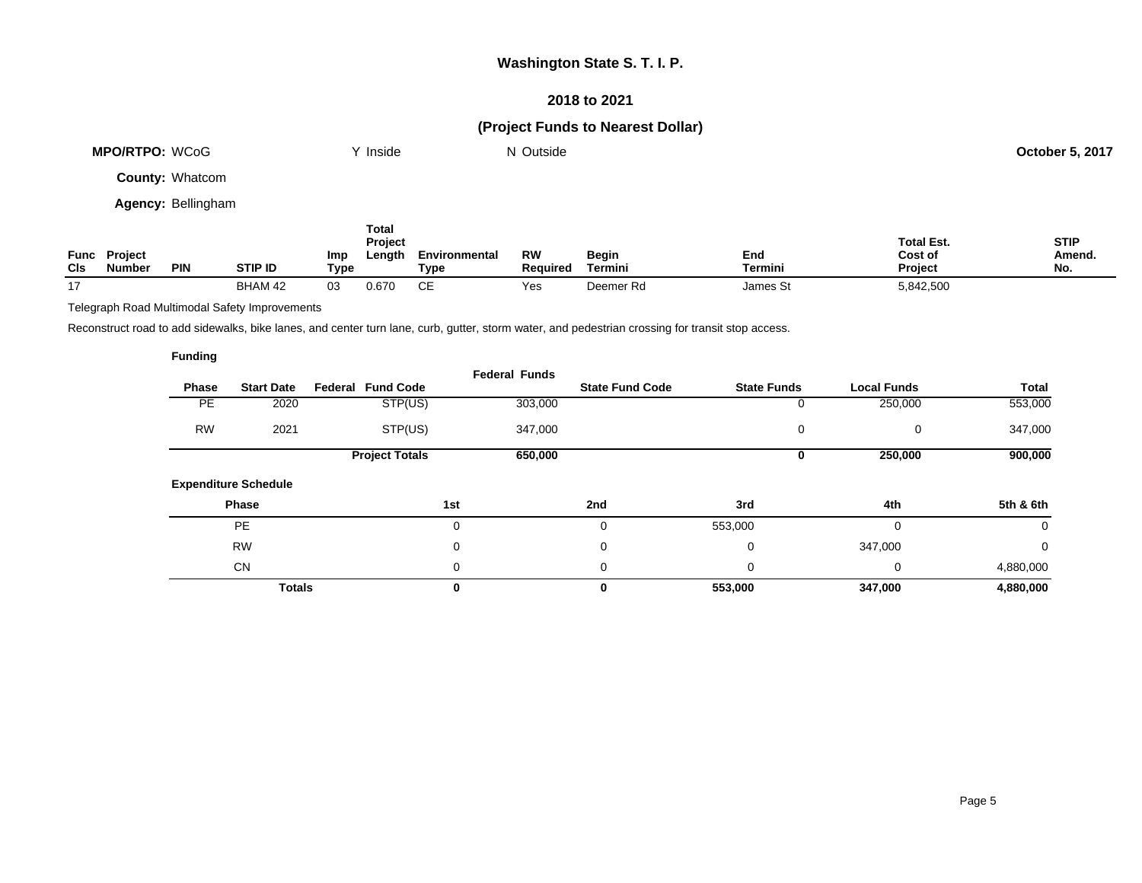### **2018 to 2021**

## **(Project Funds to Nearest Dollar)**

| <b>MPO/RTPO: WCoG</b>  | Y Inside | N Outside | <b>October 5, 2017</b> |
|------------------------|----------|-----------|------------------------|
|                        |          |           |                        |
| <b>County: Whatcom</b> |          |           |                        |

**Agency:** Bellingham

| Func<br><b>CIs</b> | <b>Project</b><br><b>Number</b> | PIN | <b>STIP ID</b> | Imp<br>Type | Total<br>Project<br>Length | Environmental<br>Type | RW<br>Reauired | <b>Begin</b><br>Termini | End<br><b>Termini</b> | <b>Total Est.</b><br>Cost of<br>Project | <b>STIP</b><br>Amend.<br>No. |
|--------------------|---------------------------------|-----|----------------|-------------|----------------------------|-----------------------|----------------|-------------------------|-----------------------|-----------------------------------------|------------------------------|
| 17                 |                                 |     | BHAM 42        | 03          | 0.670                      | CЕ                    | Yes            | Deemer Rd               | James St              | 5,842,500                               |                              |

Telegraph Road Multimodal Safety Improvements

Reconstruct road to add sidewalks, bike lanes, and center turn lane, curb, gutter, storm water, and pedestrian crossing for transit stop access.

|           |                             |                          | <b>Federal Funds</b> |                        |                    |                    |           |
|-----------|-----------------------------|--------------------------|----------------------|------------------------|--------------------|--------------------|-----------|
| Phase     | <b>Start Date</b>           | <b>Federal Fund Code</b> |                      | <b>State Fund Code</b> | <b>State Funds</b> | <b>Local Funds</b> | Total     |
| PE.       | 2020                        | STP(US)                  | 303,000              |                        | 0                  | 250,000            | 553,000   |
| <b>RW</b> | 2021                        | STP(US)                  | 347,000              |                        | 0                  | 0                  | 347,000   |
|           |                             | <b>Project Totals</b>    | 650,000              |                        | 0                  | 250,000            | 900,000   |
|           | <b>Expenditure Schedule</b> |                          |                      |                        |                    |                    |           |
|           | Phase                       |                          | 1st                  | 2nd                    | 3rd                | 4th                | 5th & 6th |
|           | <b>PE</b>                   |                          | 0                    | 0                      | 553,000            | $\Omega$           | 0         |
|           | <b>RW</b>                   |                          | 0                    | 0                      | 0                  | 347,000            | 0         |
|           | <b>CN</b>                   |                          | 0                    | 0                      | 0                  | 0                  | 4,880,000 |
|           | <b>Totals</b>               |                          | 0                    | 0                      | 553,000            | 347,000            | 4,880,000 |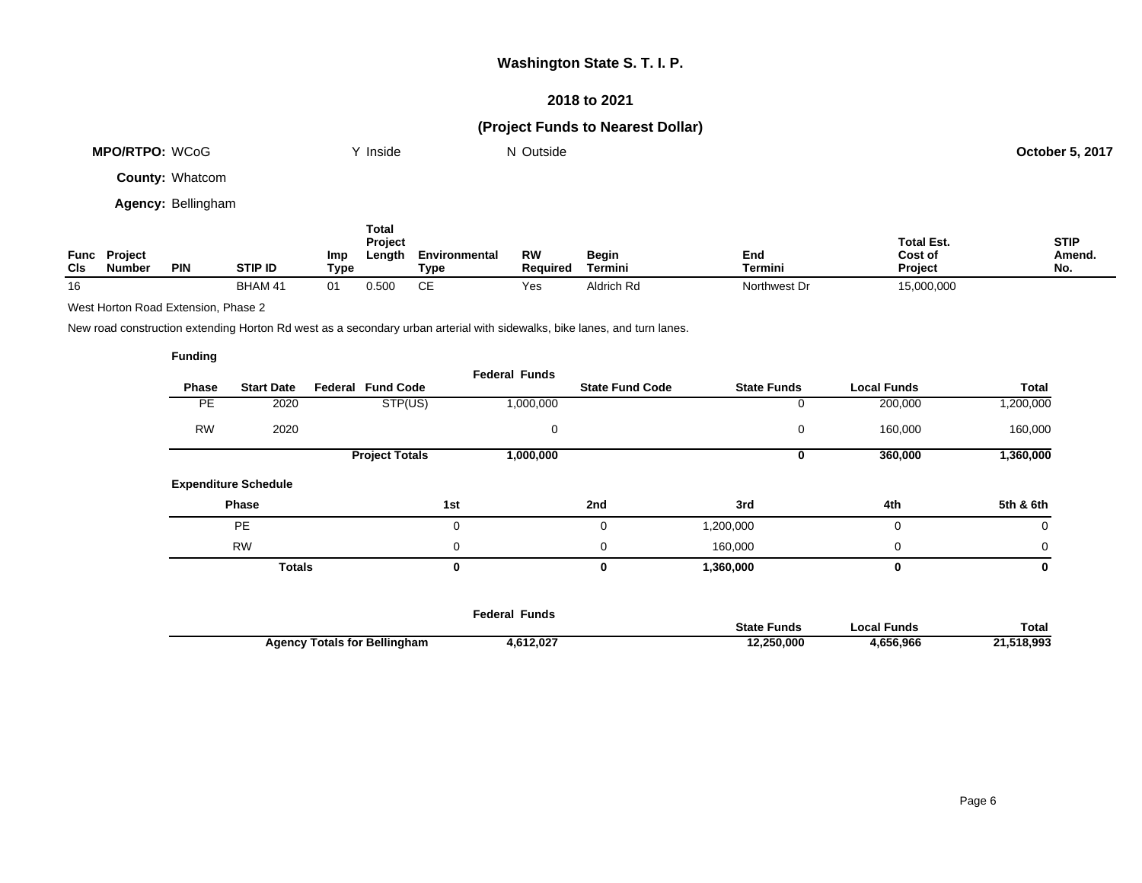### **2018 to 2021**

## **(Project Funds to Nearest Dollar)**

| MPO/RTPO: WCoG         | $\mathsf{v}$ Inside | N Outside | <b>October 5, 2017</b> |
|------------------------|---------------------|-----------|------------------------|
| <b>County: Whatcom</b> |                     |           |                        |

**Agency:** Bellingham

| Func<br>Cls | Project<br><b>Number</b> | <b>PIN</b> | <b>STIP ID</b> | Imp<br>Type | Total<br><b>Project</b><br>Length | Environmental<br>Tvpe | <b>RW</b><br><b>Required</b> | Begin<br>Termini | End<br>Termini | <b>Total Est.</b><br>Cost of<br>Project | <b>STIP</b><br>Amend.<br>No. |
|-------------|--------------------------|------------|----------------|-------------|-----------------------------------|-----------------------|------------------------------|------------------|----------------|-----------------------------------------|------------------------------|
| 16          |                          |            | BHAM 41        | 01          | 0.500                             | ∼⊏<br>◡⊏              | Yes                          | Aldrich Rd       | Northwest Dr   | 15,000,000                              |                              |

West Horton Road Extension, Phase 2

New road construction extending Horton Rd west as a secondary urban arterial with sidewalks, bike lanes, and turn lanes.

|           |                             |                          | <b>Federal Funds</b> |                        |                    |                    |             |
|-----------|-----------------------------|--------------------------|----------------------|------------------------|--------------------|--------------------|-------------|
| Phase     | <b>Start Date</b>           | <b>Federal Fund Code</b> |                      | <b>State Fund Code</b> | <b>State Funds</b> | <b>Local Funds</b> | Total       |
| PE        | 2020                        | STP(US)                  | 1,000,000            |                        | 0                  | 200,000            | 1,200,000   |
| <b>RW</b> | 2020                        |                          | 0                    |                        | 0                  | 160,000            | 160,000     |
|           |                             | <b>Project Totals</b>    | 1,000,000            |                        | 0                  | 360,000            | 1,360,000   |
|           | <b>Expenditure Schedule</b> |                          |                      |                        |                    |                    |             |
|           | Phase                       |                          | 1st                  | 2nd                    | 3rd                | 4th                | 5th & 6th   |
|           | <b>PE</b>                   |                          | 0                    | 0                      | 1,200,000          | 0                  | 0           |
|           | <b>RW</b>                   |                          | 0                    | 0                      | 160,000            | 0                  | $\mathbf 0$ |
|           | <b>Totals</b>               |                          | 0                    | 0                      | 1,360,000          | 0                  | 0           |
|           |                             |                          |                      |                        |                    |                    |             |
|           |                             |                          |                      |                        |                    |                    |             |

|                                                     | Funds<br>ederal· |                       |                 |         |
|-----------------------------------------------------|------------------|-----------------------|-----------------|---------|
|                                                     |                  | <b>State</b><br>Funds | ™unds<br>$\sim$ | Total   |
| <b>Totals for Bellingham</b><br>Adency <sup>-</sup> | .612,027<br>4.O  | :50,000               | .656.966        | 518.993 |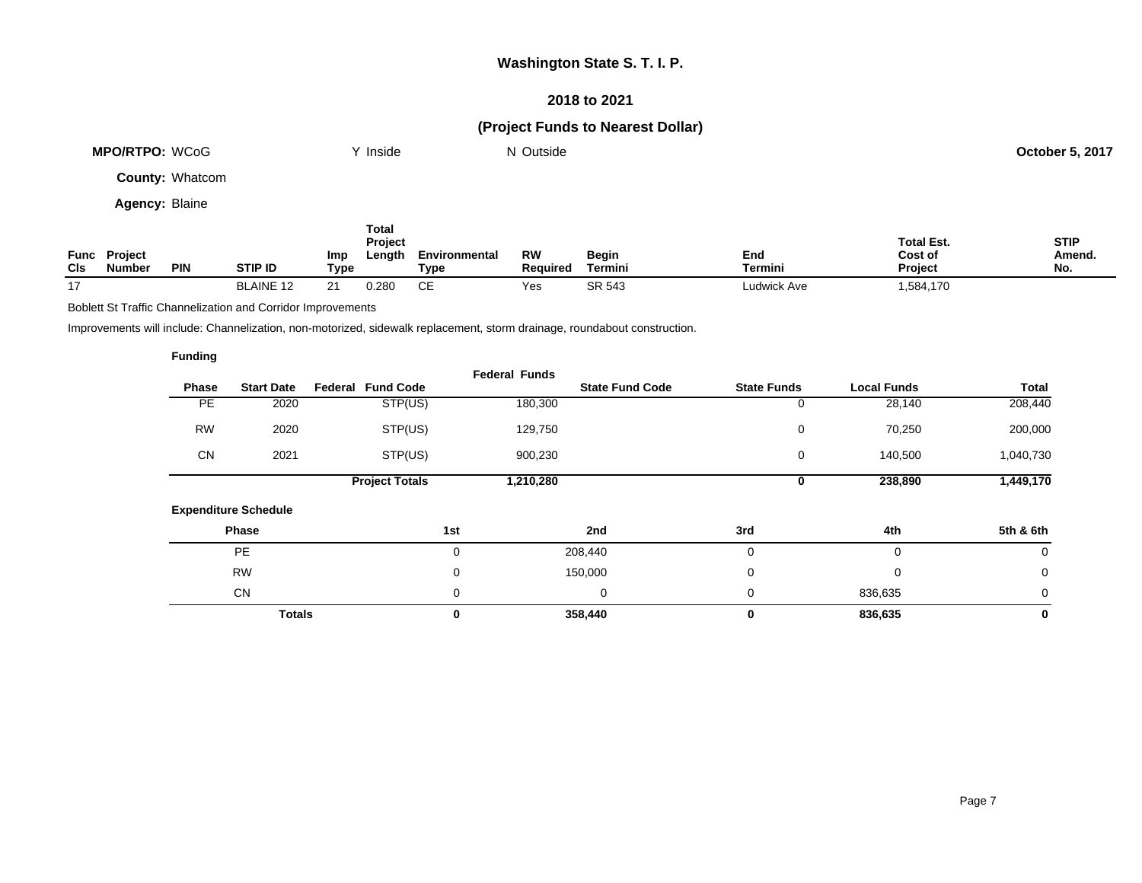### **2018 to 2021**

## **(Project Funds to Nearest Dollar)**

|                       | <b>MPO/RTPO: WCoG</b>         |            | Inside                |                                                  | N Outside             |                       |                         |                | <b>October 5, 2017</b>                         |                              |
|-----------------------|-------------------------------|------------|-----------------------|--------------------------------------------------|-----------------------|-----------------------|-------------------------|----------------|------------------------------------------------|------------------------------|
| County: Whatcom       |                               |            |                       |                                                  |                       |                       |                         |                |                                                |                              |
| <b>Agency: Blaine</b> |                               |            |                       |                                                  |                       |                       |                         |                |                                                |                              |
| <b>CIs</b>            | Func Project<br><b>Number</b> | <b>PIN</b> | Imp<br><b>STIP ID</b> | <b>Total</b><br><b>Project</b><br>Length<br>Type | Environmental<br>Type | <b>RW</b><br>Required | <b>Begin</b><br>Termini | End<br>Termini | <b>Total Est.</b><br>Cost of<br><b>Project</b> | <b>STIP</b><br>Amend.<br>No. |

17 BLAINE 12 21 0.280 CE Yes SR 543 Ludwick Ave 1,584,170

Boblett St Traffic Channelization and Corridor Improvements

Improvements will include: Channelization, non-motorized, sidewalk replacement, storm drainage, roundabout construction.

|           |                             |                          | <b>Federal Funds</b> |                        |                    |                    |             |
|-----------|-----------------------------|--------------------------|----------------------|------------------------|--------------------|--------------------|-------------|
| Phase     | <b>Start Date</b>           | <b>Federal Fund Code</b> |                      | <b>State Fund Code</b> | <b>State Funds</b> | <b>Local Funds</b> | Total       |
| <b>PE</b> | 2020                        | STP(US)                  | 180,300              |                        | 0                  | 28,140             | 208,440     |
| <b>RW</b> | 2020                        | STP(US)                  | 129,750              |                        | 0                  | 70,250             | 200,000     |
| <b>CN</b> | 2021                        | STP(US)                  | 900,230              |                        | 0                  | 140,500            | 1,040,730   |
|           |                             | <b>Project Totals</b>    | 1,210,280            |                        | 0                  | 238,890            | 1,449,170   |
|           | <b>Expenditure Schedule</b> |                          |                      |                        |                    |                    |             |
|           | <b>Phase</b>                |                          | 1st                  | 2nd                    | 3rd                | 4th                | 5th & 6th   |
|           | <b>PE</b>                   |                          | 0                    | 208,440                | $\mathbf 0$        | $\Omega$           | 0           |
|           | <b>RW</b>                   |                          | 0                    | 150,000                | $\mathbf 0$        | $\mathbf 0$        | 0           |
|           | <b>CN</b>                   |                          | 0                    | 0                      | $\mathbf 0$        | 836,635            | $\mathbf 0$ |
|           | <b>Totals</b>               |                          | 0                    | 358,440                | $\bf{0}$           | 836,635            | 0           |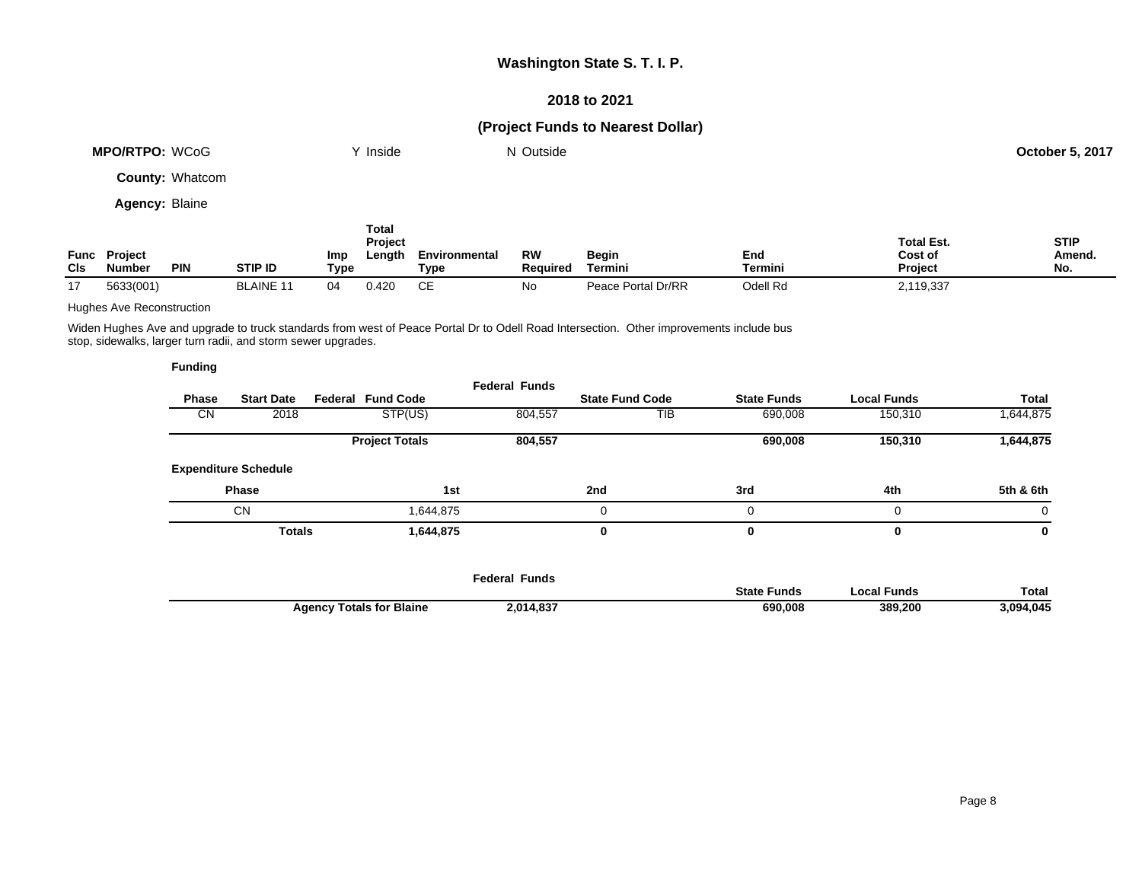### **2018 to 2021**

## **(Project Funds to Nearest Dollar)**

| <b>MPO/RTPO: WCoG</b>  | Y Inside         | N Outside |                   | October 5, 2017 |
|------------------------|------------------|-----------|-------------------|-----------------|
| <b>County: Whatcom</b> |                  |           |                   |                 |
| <b>Agency: Blaine</b>  |                  |           |                   |                 |
|                        | Total<br>Project |           | <b>Total Est.</b> | <b>STIP</b>     |

| Func<br><b>CIs</b> | <b>Project</b><br>Number<br><b>PIN</b> | <b>STIP ID</b>  | <b>Imp</b><br><b>Type</b> | -enath | Environmental<br>Гурє | <b>RW</b><br>Required | Begin<br>Termini            | End<br>Termini | Cost of<br>Project | Amend.<br>No. |
|--------------------|----------------------------------------|-----------------|---------------------------|--------|-----------------------|-----------------------|-----------------------------|----------------|--------------------|---------------|
|                    | 5633(001)                              | - LAINE≁<br>ו ח |                           | 1.420  | ~-                    | No                    | Dr/RR<br>Portal<br>Peace Po | Odell Rd       | 2,119,337          |               |

#### Hughes Ave Reconstruction

Widen Hughes Ave and upgrade to truck standards from west of Peace Portal Dr to Odell Road Intersection. Other improvements include bus stop, sidewalks, larger turn radii, and storm sewer upgrades.

|              |                             |                          | <b>Federal Funds</b> |                        |                    |                    |              |
|--------------|-----------------------------|--------------------------|----------------------|------------------------|--------------------|--------------------|--------------|
| <b>Phase</b> | <b>Start Date</b>           | <b>Federal Fund Code</b> |                      | <b>State Fund Code</b> | <b>State Funds</b> | <b>Local Funds</b> | <b>Total</b> |
| <b>CN</b>    | 2018                        | STP(US)                  | 804,557              | TIB                    | 690,008            | 150,310            | 1,644,875    |
|              |                             | <b>Project Totals</b>    | 804,557              |                        | 690,008            | 150,310            | 1,644,875    |
|              | <b>Expenditure Schedule</b> |                          |                      |                        |                    |                    |              |
|              | <b>Phase</b>                |                          | 1st                  | 2nd                    | 3rd                | 4th                | 5th & 6th    |
|              | <b>CN</b>                   | 1.644.875                |                      | 0                      |                    | $\Omega$           | $\Omega$     |
|              | <b>Totals</b>               | 1,644,875                |                      | 0                      |                    | $\bf{0}$           | 0            |

|                                 | Federal Funds |                    |               |              |
|---------------------------------|---------------|--------------------|---------------|--------------|
|                                 |               | <b>State Funds</b> | ccal Funds. ` | <b>Total</b> |
| <b>Agency Totals for Blaine</b> | 2,014,837     | 690,008            | 389.200       | 3,094,045    |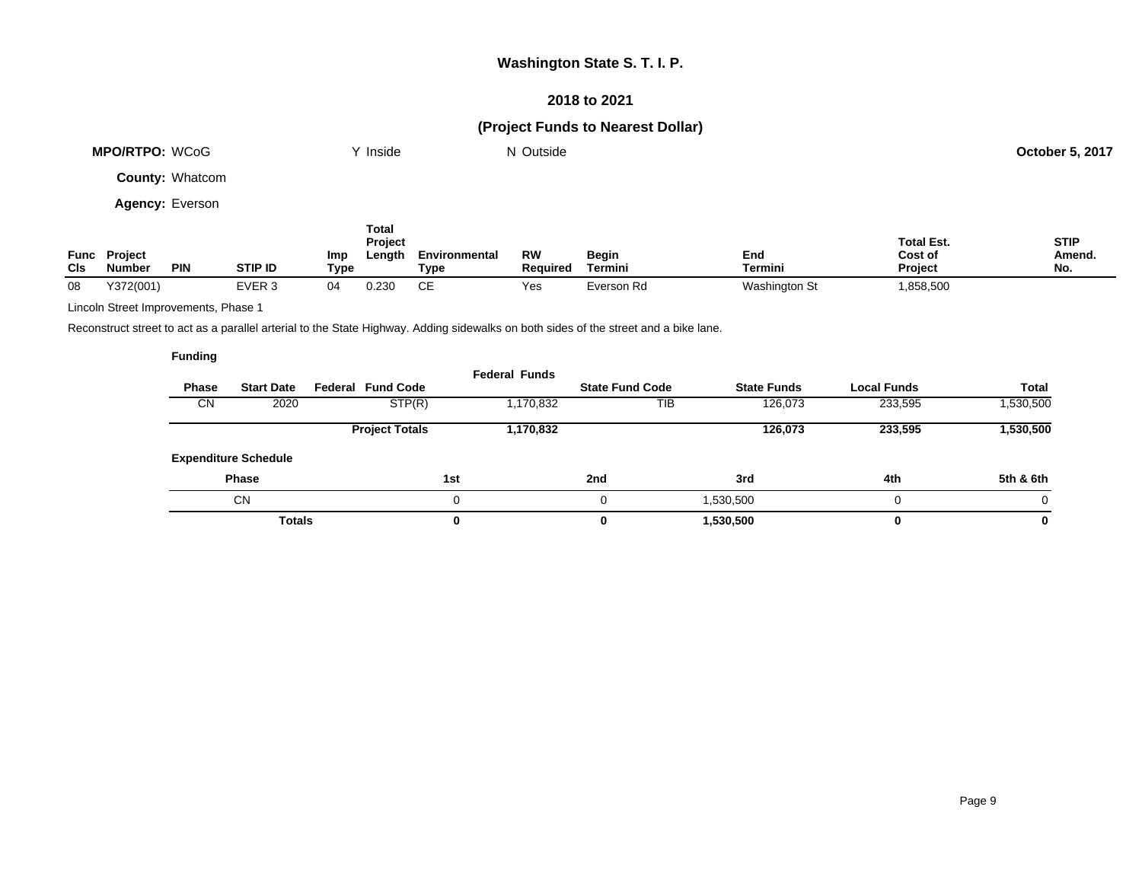### **2018 to 2021**

## **(Project Funds to Nearest Dollar)**

| <b>MPO/RTPO: WCoG</b>  |                                      | Inside     |         | N Outside                                               |                       |                       |                                | <b>October 5, 2017</b> |                                                |                              |
|------------------------|--------------------------------------|------------|---------|---------------------------------------------------------|-----------------------|-----------------------|--------------------------------|------------------------|------------------------------------------------|------------------------------|
| <b>County: Whatcom</b> |                                      |            |         |                                                         |                       |                       |                                |                        |                                                |                              |
| <b>Agency: Everson</b> |                                      |            |         |                                                         |                       |                       |                                |                        |                                                |                              |
| CIs                    | <b>Func Project</b><br><b>Number</b> | <b>PIN</b> | STIP ID | <b>Total</b><br>Project<br>Length<br><b>Imp</b><br>Type | Environmental<br>Type | <b>RW</b><br>Required | <b>Begin</b><br><b>Termini</b> | End<br>Termini         | <b>Total Est.</b><br>Cost of<br><b>Project</b> | <b>STIP</b><br>Amend.<br>No. |

08 Y372(001) EVER 3 04 0.230 CE Yes Everson Rd Washington St 1,858,500

Lincoln Street Improvements, Phase 1

Reconstruct street to act as a parallel arterial to the State Highway. Adding sidewalks on both sides of the street and a bike lane.

| Phase<br><b>CN</b> | <b>Start Date</b><br>2020   | <b>Federal Fund Code</b><br>STP(R) | <b>Federal Funds</b><br>1,170,832 | <b>State Fund Code</b><br>TIB | <b>State Funds</b><br>126,073 | <b>Local Funds</b><br>233,595 | <b>Total</b><br>1,530,500 |
|--------------------|-----------------------------|------------------------------------|-----------------------------------|-------------------------------|-------------------------------|-------------------------------|---------------------------|
|                    |                             | <b>Project Totals</b>              | 1,170,832                         |                               | 126,073                       | 233,595                       | 1,530,500                 |
|                    | <b>Expenditure Schedule</b> |                                    |                                   |                               |                               |                               |                           |
|                    | <b>Phase</b>                |                                    | 1st                               | 2nd                           | 3rd                           | 4th                           | 5th & 6th                 |
|                    | CN                          |                                    |                                   | 0                             | 1,530,500                     | $\Omega$                      | $\Omega$                  |
|                    | <b>Totals</b>               |                                    | 0                                 | 0                             | 1,530,500                     | $\bf{0}$                      | 0                         |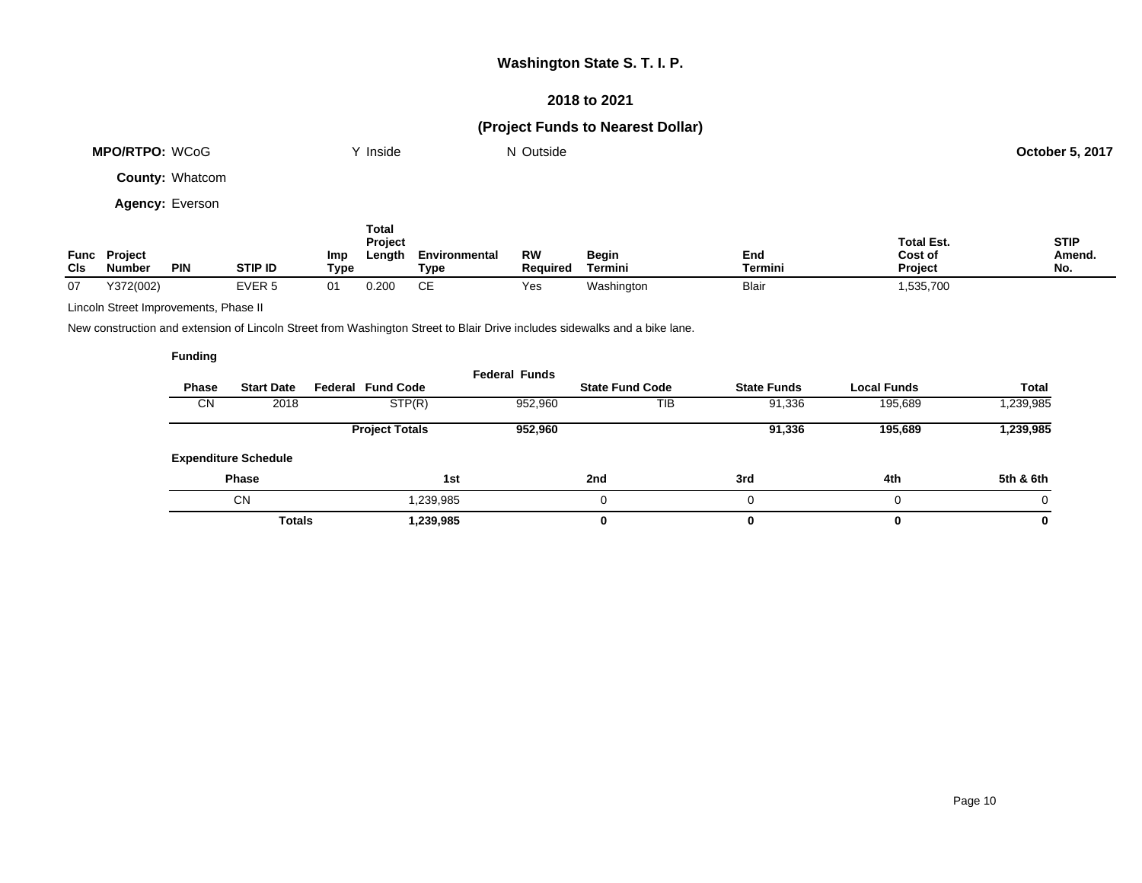### **2018 to 2021**

## **(Project Funds to Nearest Dollar)**

|             | <b>MPO/RTPO: WCoG</b>    |                        |                   |             | Y Inside                          |                       | N Outside             |                         |                       |                                         | <b>October 5, 2017</b>       |
|-------------|--------------------------|------------------------|-------------------|-------------|-----------------------------------|-----------------------|-----------------------|-------------------------|-----------------------|-----------------------------------------|------------------------------|
|             |                          | <b>County: Whatcom</b> |                   |             |                                   |                       |                       |                         |                       |                                         |                              |
|             |                          | <b>Agency: Everson</b> |                   |             |                                   |                       |                       |                         |                       |                                         |                              |
| Func<br>CIs | <b>Project</b><br>Number | <b>PIN</b>             | <b>STIP ID</b>    | Imp<br>Type | <b>Total</b><br>Project<br>Length | Environmental<br>Type | <b>RW</b><br>Reauired | <b>Begin</b><br>Termini | End<br><b>Termini</b> | <b>Total Est.</b><br>Cost of<br>Project | <b>STIP</b><br>Amend.<br>No. |
| 07          | Y372(002)                |                        | EVER <sub>5</sub> | 01          | 0.200                             | CE.                   | Yes                   | Washington              | <b>Blair</b>          | 1,535,700                               |                              |

Lincoln Street Improvements, Phase II

New construction and extension of Lincoln Street from Washington Street to Blair Drive includes sidewalks and a bike lane.

| Phase     | <b>Start Date</b>           | <b>Federal Fund Code</b> | <b>Federal Funds</b> | <b>State Fund Code</b> | <b>State Funds</b> | <b>Local Funds</b> | Total     |
|-----------|-----------------------------|--------------------------|----------------------|------------------------|--------------------|--------------------|-----------|
| <b>CN</b> | 2018                        | STP(R)                   | 952,960              | TIB                    | 91,336             | 195,689            | 1,239,985 |
|           |                             | <b>Project Totals</b>    | 952,960              |                        | 91,336             | 195,689            | 1,239,985 |
|           | <b>Expenditure Schedule</b> |                          |                      |                        |                    |                    |           |
|           | <b>Phase</b>                | 1st                      |                      | 2nd                    | 3rd                | 4th                | 5th & 6th |
|           | <b>CN</b>                   | 1,239,985                |                      |                        |                    | 0                  | 0         |
|           | <b>Totals</b>               | 1,239,985                |                      | 0                      |                    | 0                  | 0         |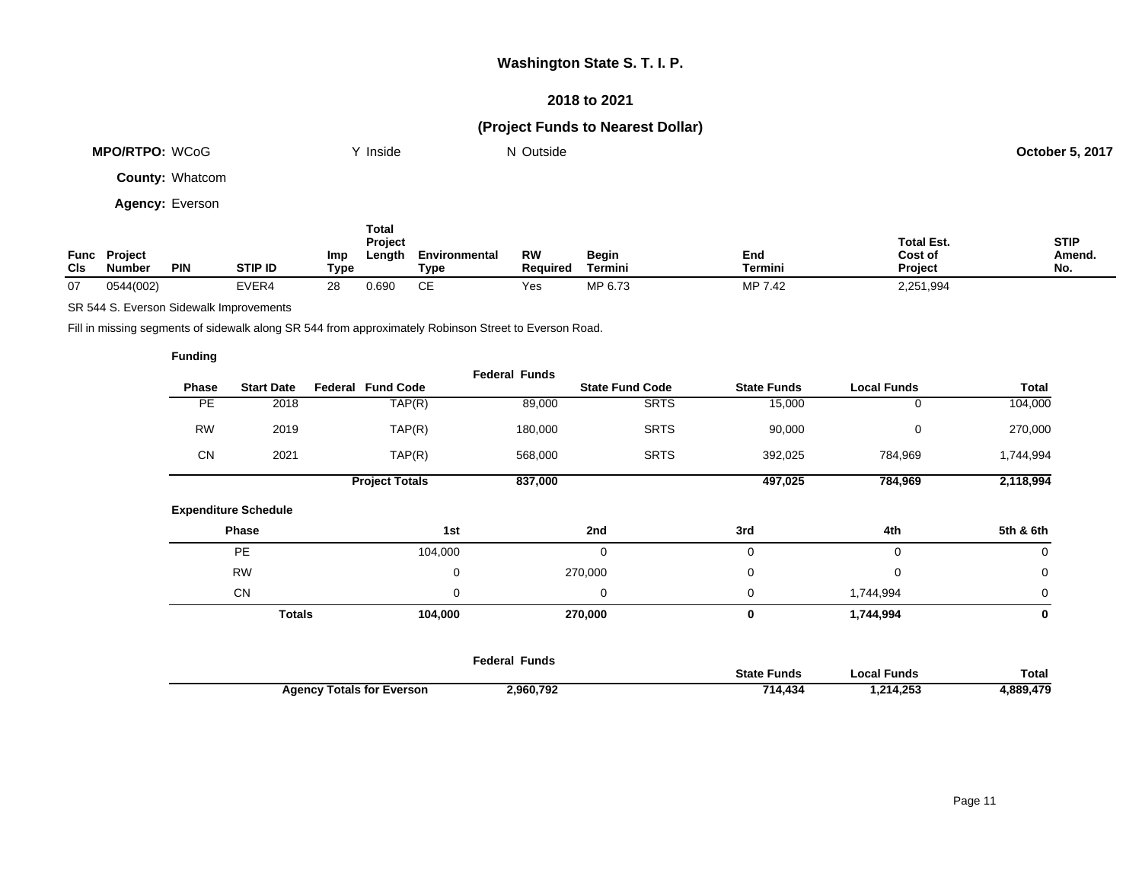### **2018 to 2021**

## **(Project Funds to Nearest Dollar)**

|                    | <b>MPO/RTPO: WCoG</b>           |                        |                | <b>Inside</b>                                    |                       | N Outside             |                         |                |                                                | <b>October 5, 2017</b>       |
|--------------------|---------------------------------|------------------------|----------------|--------------------------------------------------|-----------------------|-----------------------|-------------------------|----------------|------------------------------------------------|------------------------------|
|                    |                                 | <b>County: Whatcom</b> |                |                                                  |                       |                       |                         |                |                                                |                              |
|                    | <b>Agency: Everson</b>          |                        |                |                                                  |                       |                       |                         |                |                                                |                              |
| Func<br><b>CIs</b> | <b>Project</b><br><b>Number</b> | <b>PIN</b>             | <b>STIP ID</b> | <b>Total</b><br>Project<br>Length<br>Imp<br>Type | Environmental<br>Type | <b>RW</b><br>Required | <b>Begin</b><br>Termini | End<br>Termini | <b>Total Est.</b><br>Cost of<br><b>Project</b> | <b>STIP</b><br>Amend.<br>No. |

07 0544(002) EVER4 28 0.690 CE Yes MP 6.73 MP 7.42 2,251,994

SR 544 S. Everson Sidewalk Improvements

Fill in missing segments of sidewalk along SR 544 from approximately Robinson Street to Everson Road.

|           |                             |                          | <b>Federal Funds</b> |                        |                    |                    |              |
|-----------|-----------------------------|--------------------------|----------------------|------------------------|--------------------|--------------------|--------------|
| Phase     | <b>Start Date</b>           | <b>Federal Fund Code</b> |                      | <b>State Fund Code</b> | <b>State Funds</b> | <b>Local Funds</b> | <b>Total</b> |
| <b>PE</b> | 2018                        | TAP(R)                   | 89,000               | <b>SRTS</b>            | 15,000             | 0                  | 104,000      |
| <b>RW</b> | 2019                        | TAP(R)                   | 180,000              | <b>SRTS</b>            | 90,000             | 0                  | 270,000      |
| CN        | 2021                        | TAP(R)                   | 568,000              | <b>SRTS</b>            | 392,025            | 784,969            | 1,744,994    |
|           |                             | <b>Project Totals</b>    | 837,000              |                        | 497,025            | 784,969            | 2,118,994    |
|           | <b>Expenditure Schedule</b> |                          |                      |                        |                    |                    |              |
|           | Phase                       | 1st                      |                      | 2nd                    | 3rd                | 4th                | 5th & 6th    |
|           | <b>PE</b>                   | 104,000                  |                      | 0                      | $\mathbf 0$        | $\mathbf 0$        | $\mathbf 0$  |
|           | <b>RW</b>                   |                          | $\pmb{0}$            | 270,000                | $\pmb{0}$          | 0                  | $\mathbf 0$  |
|           | CN                          |                          | 0                    | 0                      | 0                  | 1,744,994          | 0            |
|           | <b>Totals</b>               | 104,000                  |                      | 270,000                | 0                  | 1,744,994          | 0            |
|           |                             |                          |                      |                        |                    |                    |              |
|           |                             |                          | <b>Federal Funds</b> |                        |                    |                    |              |

|                              |           | State<br>Funds | <b>Funds</b><br>.ocal | Total                         |
|------------------------------|-----------|----------------|-----------------------|-------------------------------|
| Totals for Everson<br>Agency | 2,960,792 | 71A<br>4.434   | 1,214,253             | 990<br><b>47Ω</b><br>4,009,47 |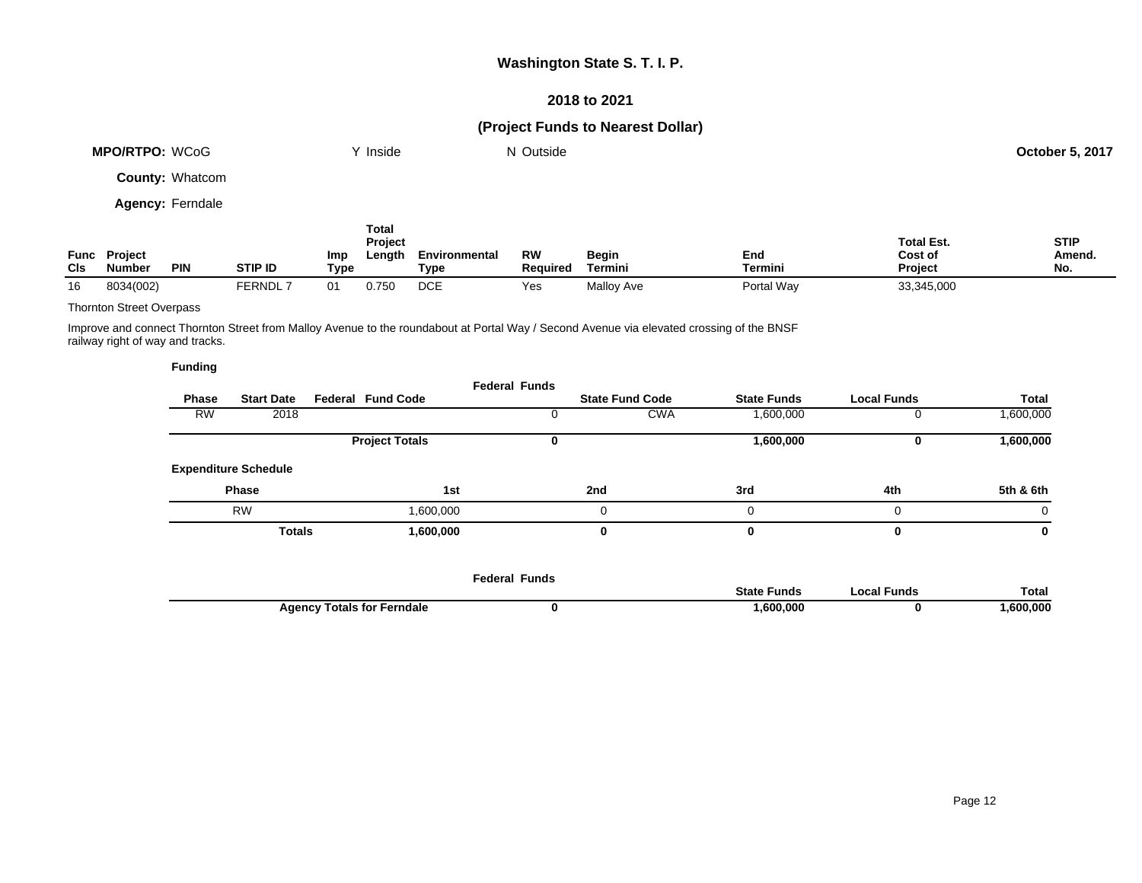### **2018 to 2021**

## **(Project Funds to Nearest Dollar)**

|            | MPO/RTPO: WCoG                       |                         |                |             | Inside                            |                       | N Outside             |                                |                       |                                                | <b>October 5, 2017</b>       |
|------------|--------------------------------------|-------------------------|----------------|-------------|-----------------------------------|-----------------------|-----------------------|--------------------------------|-----------------------|------------------------------------------------|------------------------------|
|            |                                      | <b>County: Whatcom</b>  |                |             |                                   |                       |                       |                                |                       |                                                |                              |
|            |                                      | <b>Agency: Ferndale</b> |                |             |                                   |                       |                       |                                |                       |                                                |                              |
| <b>CIs</b> | <b>Func Project</b><br><b>Number</b> | <b>PIN</b>              | <b>STIP ID</b> | Imp<br>Type | Total<br><b>Project</b><br>Length | Environmental<br>Type | RW<br><b>Required</b> | <b>Begin</b><br><b>Termini</b> | End<br><b>Termini</b> | <b>Total Est.</b><br>Cost of<br><b>Project</b> | <b>STIP</b><br>Amend.<br>No. |
| 16         | 8034(002)                            |                         | <b>FERNDL7</b> | 01          | 0.750                             | <b>DCE</b>            | Yes                   | Malloy Ave                     | Portal Way            | 33,345,000                                     |                              |

#### Thornton Street Overpass

Improve and connect Thornton Street from Malloy Avenue to the roundabout at Portal Way / Second Avenue via elevated crossing of the BNSF railway right of way and tracks.

|              |                             |                          | <b>Federal Funds</b> |                        |                         |                    |           |
|--------------|-----------------------------|--------------------------|----------------------|------------------------|-------------------------|--------------------|-----------|
| <b>Phase</b> | <b>Start Date</b>           | <b>Federal Fund Code</b> |                      | <b>State Fund Code</b> | <b>State Funds</b>      | <b>Local Funds</b> | Total     |
| <b>RW</b>    | 2018                        |                          |                      |                        | <b>CWA</b><br>1,600,000 |                    | 1,600,000 |
|              |                             | <b>Project Totals</b>    | v                    |                        | 1,600,000               |                    | 1,600,000 |
|              | <b>Expenditure Schedule</b> |                          |                      |                        |                         |                    |           |
|              | <b>Phase</b>                | 1st                      |                      | 2nd                    | 3rd                     | 4th                | 5th & 6th |
|              | <b>RW</b>                   | 000,000,1                |                      |                        | 0                       | 0                  | 0         |
|              | <b>Totals</b>               | 1,600,000                |                      | 0                      |                         | 0                  | 0         |

|                                   | <b>Federal Funds</b> |                    |             |          |
|-----------------------------------|----------------------|--------------------|-------------|----------|
|                                   |                      | <b>State Funds</b> | .ocal Funds | Total    |
| <b>Agency Totals for Ferndale</b> |                      | ,600,000           |             | ,600,000 |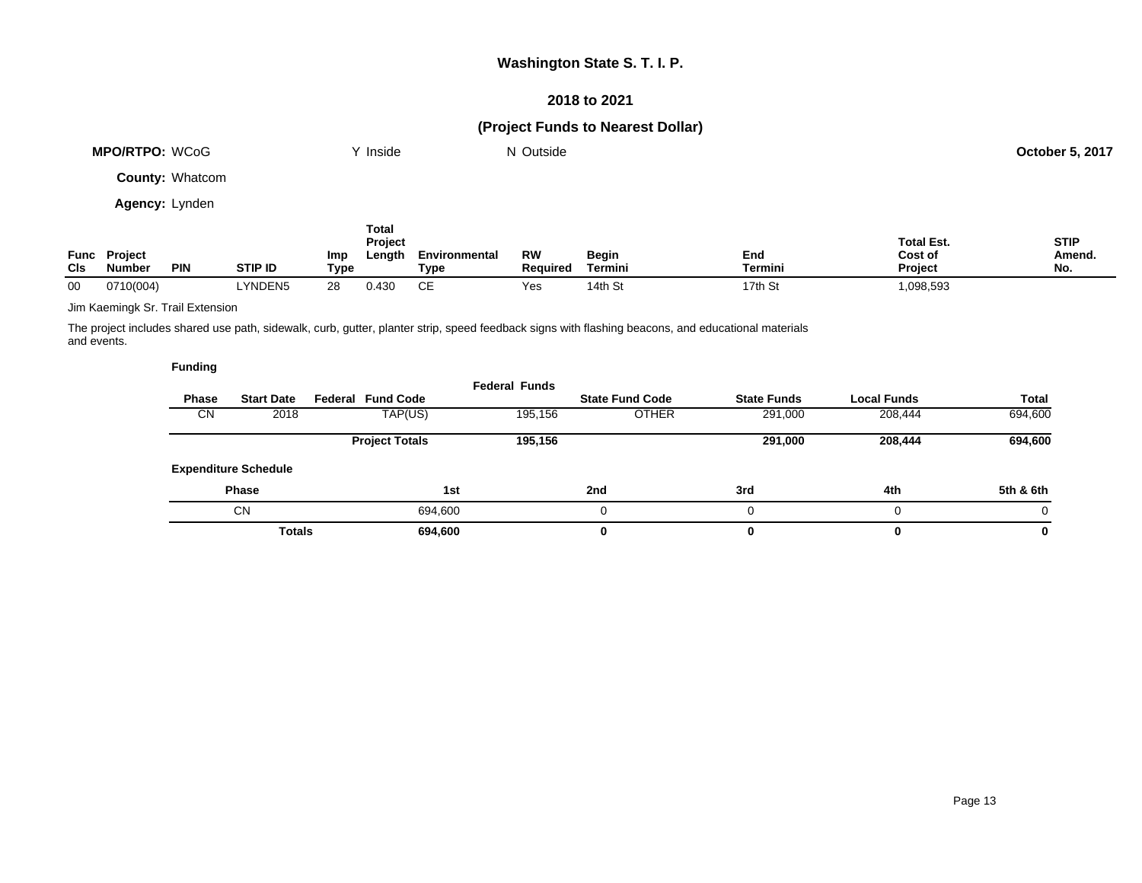### **2018 to 2021**

## **(Project Funds to Nearest Dollar)**

|     | <b>MPO/RTPO: WCoG</b>         |                        |                | Y Inside                                                |                       | N Outside             |                         |                |                                         | <b>October 5, 2017</b>       |
|-----|-------------------------------|------------------------|----------------|---------------------------------------------------------|-----------------------|-----------------------|-------------------------|----------------|-----------------------------------------|------------------------------|
|     |                               | <b>County: Whatcom</b> |                |                                                         |                       |                       |                         |                |                                         |                              |
|     | <b>Agency: Lynden</b>         |                        |                |                                                         |                       |                       |                         |                |                                         |                              |
| CIs | Func Project<br><b>Number</b> | <b>PIN</b>             | <b>STIP ID</b> | <b>Total</b><br><b>Project</b><br>Length<br>Imp<br>Type | Environmental<br>Type | <b>RW</b><br>Required | <b>Begin</b><br>Termini | End<br>Termini | <b>Total Est.</b><br>Cost of<br>Project | <b>STIP</b><br>Amend.<br>No. |

00 0710(004) LYNDEN5 28 0.430 CE Yes 14th St 17th St 1,098,593

Jim Kaemingk Sr. Trail Extension

The project includes shared use path, sidewalk, curb, gutter, planter strip, speed feedback signs with flashing beacons, and educational materials and events.

|              |                             |                          | <b>Federal Funds</b> |                        |                    |                    |              |
|--------------|-----------------------------|--------------------------|----------------------|------------------------|--------------------|--------------------|--------------|
| <b>Phase</b> | <b>Start Date</b>           | <b>Federal Fund Code</b> |                      | <b>State Fund Code</b> | <b>State Funds</b> | <b>Local Funds</b> | <b>Total</b> |
| CN           | 2018                        | TAP(US)                  | 195,156              | <b>OTHER</b>           | 291,000            | 208,444            | 694,600      |
|              |                             | <b>Project Totals</b>    | 195,156              |                        | 291,000            | 208,444            | 694,600      |
|              | <b>Expenditure Schedule</b> |                          |                      |                        |                    |                    |              |
|              | <b>Phase</b>                | 1st                      |                      | 2nd                    | 3rd                | 4th                | 5th & 6th    |
|              | <b>CN</b>                   | 694,600                  |                      |                        |                    | 0                  |              |
|              | <b>Totals</b>               | 694,600                  |                      | 0                      |                    | $\bf{0}$           | 0            |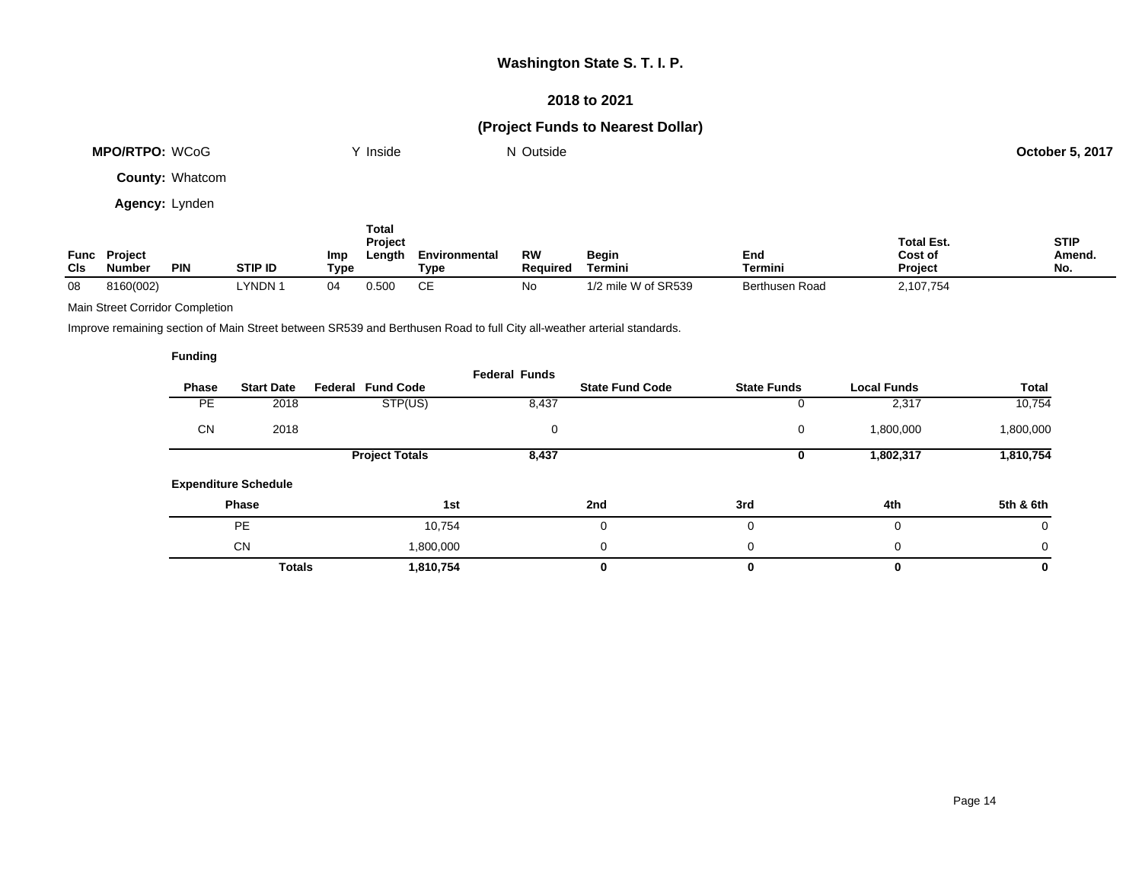### **2018 to 2021**

## **(Project Funds to Nearest Dollar)**

| <b>MPO/RTPO: WCoG</b>  | ິ Inside | N Outside | <b>October 5, 2017</b> |
|------------------------|----------|-----------|------------------------|
| <b>County: Whatcom</b> |          |           |                        |

**Agency:** Lynden

| Func<br>CIS | <b>Project</b><br>Number | <b>PIN</b> | <b>STIP ID</b> | Imp<br>Type | Total<br><b>Project</b><br>Length | Environmental<br>Type | <b>RW</b><br><b>Required</b> | <b>Begin</b><br>Termini | End<br>Termini | <b>Total Est.</b><br>Cost of<br><b>Project</b> | <b>STIP</b><br>Amend.<br>No. |
|-------------|--------------------------|------------|----------------|-------------|-----------------------------------|-----------------------|------------------------------|-------------------------|----------------|------------------------------------------------|------------------------------|
| 08          | 8160(002)                |            | YNDN 1         |             | 0.500                             | CЕ                    | No                           | 1/2 mile W of SR539     | Berthusen Road | 2,107,754                                      |                              |

#### Main Street Corridor Completion

Improve remaining section of Main Street between SR539 and Berthusen Road to full City all-weather arterial standards.

|              |                             |                          | <b>Federal Funds</b> |                        |                    |                    |           |
|--------------|-----------------------------|--------------------------|----------------------|------------------------|--------------------|--------------------|-----------|
| <b>Phase</b> | <b>Start Date</b>           | <b>Federal Fund Code</b> |                      | <b>State Fund Code</b> | <b>State Funds</b> | <b>Local Funds</b> | Total     |
| <b>PE</b>    | 2018                        | STP(US)                  | 8,437                |                        |                    | 2,317              | 10,754    |
| CN           | 2018                        |                          | 0                    |                        | 0                  | 1,800,000          | 1,800,000 |
|              |                             | <b>Project Totals</b>    | 8,437                |                        | υ                  | 1,802,317          | 1,810,754 |
|              | <b>Expenditure Schedule</b> |                          |                      |                        |                    |                    |           |
|              | Phase                       | 1st                      |                      | 2nd                    | 3rd                | 4th                | 5th & 6th |
|              | <b>PE</b>                   | 10,754                   |                      | 0                      | 0                  | 0                  | 0         |
|              | <b>CN</b>                   | 1,800,000                |                      | 0                      | $\Omega$           | 0                  | $\Omega$  |
|              | <b>Totals</b>               | 1,810,754                |                      | 0                      |                    | 0                  | 0         |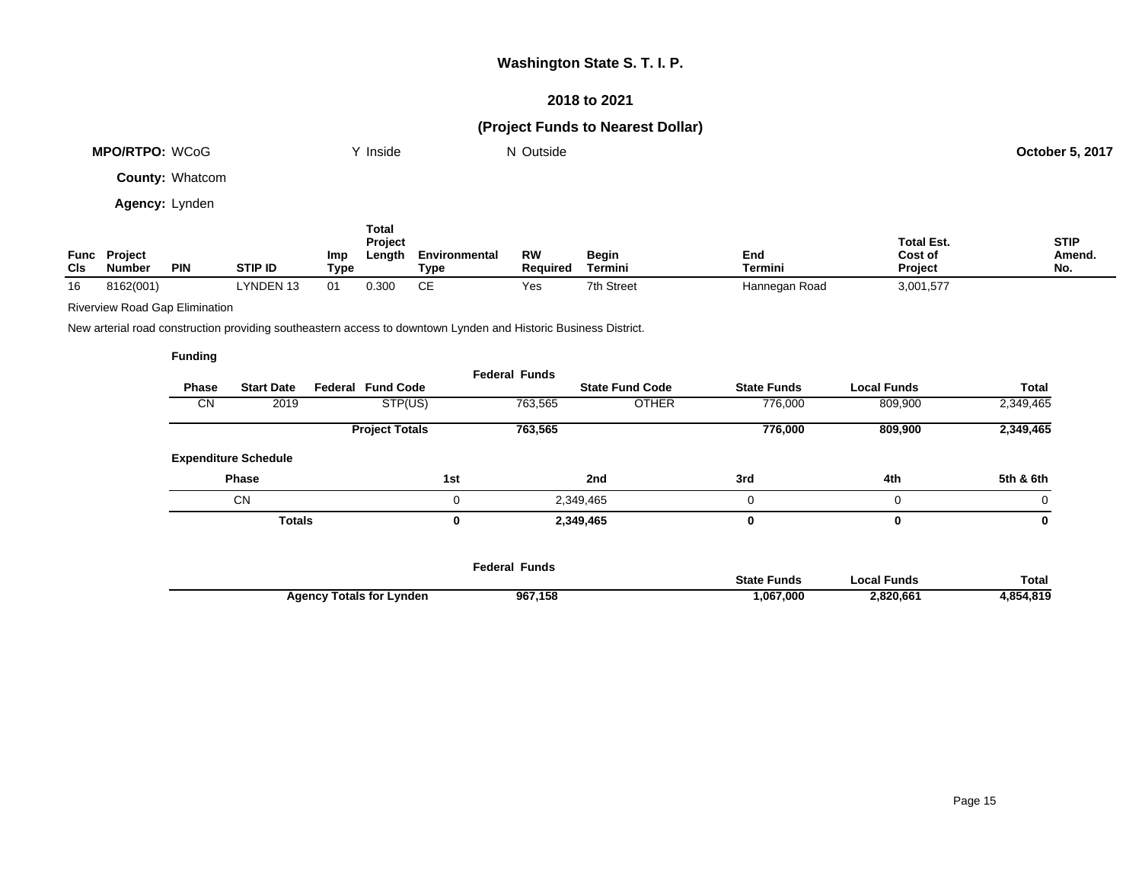### **2018 to 2021**

## **(Project Funds to Nearest Dollar)**

| <b>MPO/RTPO: WCoG</b>  | $\mathsf{v}$ Inside | N Outside | October 5, 2017 |
|------------------------|---------------------|-----------|-----------------|
| <b>County: Whatcom</b> |                     |           |                 |

**Agency:** Lynden

| <b>CIs</b> | <b>Func Project</b><br><b>Number</b> | <b>PIN</b> | <b>STIP ID</b> | Imp<br>Type | Total<br>Project<br>Length | Environmental<br>Type | <b>RW</b><br><b>Required</b> | Begin<br>Termini | End<br><b>Termini</b> | <b>Total Est.</b><br>Cost of<br><b>Project</b> | <b>STIP</b><br>Amend.<br>No. |
|------------|--------------------------------------|------------|----------------|-------------|----------------------------|-----------------------|------------------------------|------------------|-----------------------|------------------------------------------------|------------------------------|
| 16         | 8162(001)                            |            | LYNDEN 13      | 01          | 0.300                      | CЕ                    | Yes                          | 7th Street       | Hannegan Road         | 3,001,577                                      |                              |

Riverview Road Gap Elimination

New arterial road construction providing southeastern access to downtown Lynden and Historic Business District.

|              |                             |                          | <b>Federal Funds</b> |                        |                    |                    |              |
|--------------|-----------------------------|--------------------------|----------------------|------------------------|--------------------|--------------------|--------------|
| <b>Phase</b> | <b>Start Date</b>           | <b>Federal Fund Code</b> |                      | <b>State Fund Code</b> | <b>State Funds</b> | <b>Local Funds</b> | <b>Total</b> |
| <b>CN</b>    | 2019                        | STP(US)                  | 763,565              | <b>OTHER</b>           | 776,000            | 809,900            | 2,349,465    |
|              |                             | <b>Project Totals</b>    | 763,565              |                        | 776,000            | 809,900            | 2,349,465    |
|              | <b>Expenditure Schedule</b> |                          |                      |                        |                    |                    |              |
|              | <b>Phase</b>                |                          | 1st                  | 2nd                    | 3rd                | 4th                | 5th & 6th    |
|              | <b>CN</b>                   |                          | $\Omega$             | 2,349,465              | 0                  | 0                  | 0            |
|              | <b>Totals</b>               |                          | 0                    | 2,349,465              | 0                  | 0                  | 0            |
|              |                             |                          |                      |                        |                    |                    |              |
|              |                             |                          |                      |                        |                    |                    |              |

|                                 | Federal Funds |                    |             |              |
|---------------------------------|---------------|--------------------|-------------|--------------|
|                                 |               | <b>State Funds</b> | ocal Funds. | <b>Total</b> |
| <b>Agency Totals for Lynden</b> | 967,158       | ,067,000           | 2,820,661   | 4,854,819    |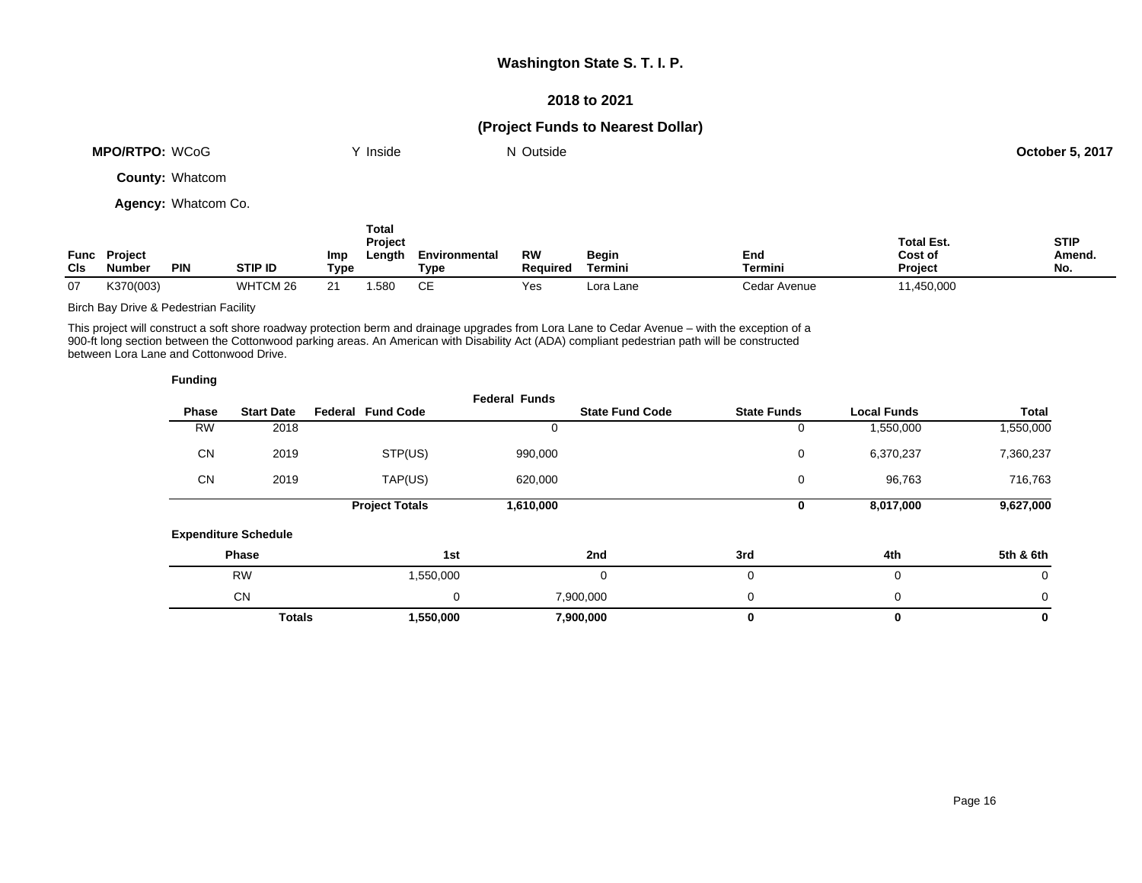### **2018 to 2021**

## **(Project Funds to Nearest Dollar)**

| <b>MPO/RTPO: WCoG</b> | <b>Inside</b> | N Outside | <b>October 5, 2017</b> |
|-----------------------|---------------|-----------|------------------------|
| County: Whatsom       |               |           |                        |

**County:** Whatcom

**Agency:** Whatcom Co.

| <b>CIs</b> | <b>Func Project</b><br><b>Number</b> | <b>PIN</b> | <b>STIP ID</b> | Imp<br>Type | Total<br><b>Project</b><br>Length | Environmental<br>Type | RW<br><b>Required</b> | <b>Begin</b><br>Termini | End<br>Termini | <b>Total Est.</b><br>Cost of<br><b>Project</b> | <b>STIP</b><br>Amend.<br>No. |
|------------|--------------------------------------|------------|----------------|-------------|-----------------------------------|-----------------------|-----------------------|-------------------------|----------------|------------------------------------------------|------------------------------|
| 07         | K370(003)                            |            | WHTCM 26       | <u>_</u>    | .580                              | CЕ                    | Yes                   | Lora Lane               | Cedar Avenue   | 11,450,000                                     |                              |

Birch Bay Drive & Pedestrian Facility

This project will construct a soft shore roadway protection berm and drainage upgrades from Lora Lane to Cedar Avenue – with the exception of a 900-ft long section between the Cottonwood parking areas. An American with Disability Act (ADA) compliant pedestrian path will be constructed between Lora Lane and Cottonwood Drive.

| <b>Funding</b> |                             |                          |                      |                        |                    |                    |             |
|----------------|-----------------------------|--------------------------|----------------------|------------------------|--------------------|--------------------|-------------|
| <b>Phase</b>   | <b>Start Date</b>           | <b>Federal Fund Code</b> | <b>Federal Funds</b> | <b>State Fund Code</b> | <b>State Funds</b> | <b>Local Funds</b> | Total       |
| <b>RW</b>      | 2018                        |                          |                      |                        | 0                  | 1,550,000          | 1,550,000   |
| <b>CN</b>      | 2019                        | STP(US)                  | 990,000              |                        | 0                  | 6,370,237          | 7,360,237   |
| <b>CN</b>      | 2019                        | TAP(US)                  | 620,000              |                        | 0                  | 96,763             | 716,763     |
|                |                             | <b>Project Totals</b>    | 1,610,000            |                        | 0                  | 8,017,000          | 9,627,000   |
|                | <b>Expenditure Schedule</b> |                          |                      |                        |                    |                    |             |
|                | Phase                       |                          | 1st                  | 2nd                    | 3rd                | 4th                | 5th & 6th   |
|                | <b>RW</b>                   | 1,550,000                |                      | 0                      | 0                  | 0                  | $\mathbf 0$ |
|                | <b>CN</b>                   |                          | 0                    | 7,900,000              | 0                  | 0                  | 0           |
|                | <b>Totals</b>               | 1,550,000                |                      | 7,900,000              | 0                  | 0                  | $\mathbf 0$ |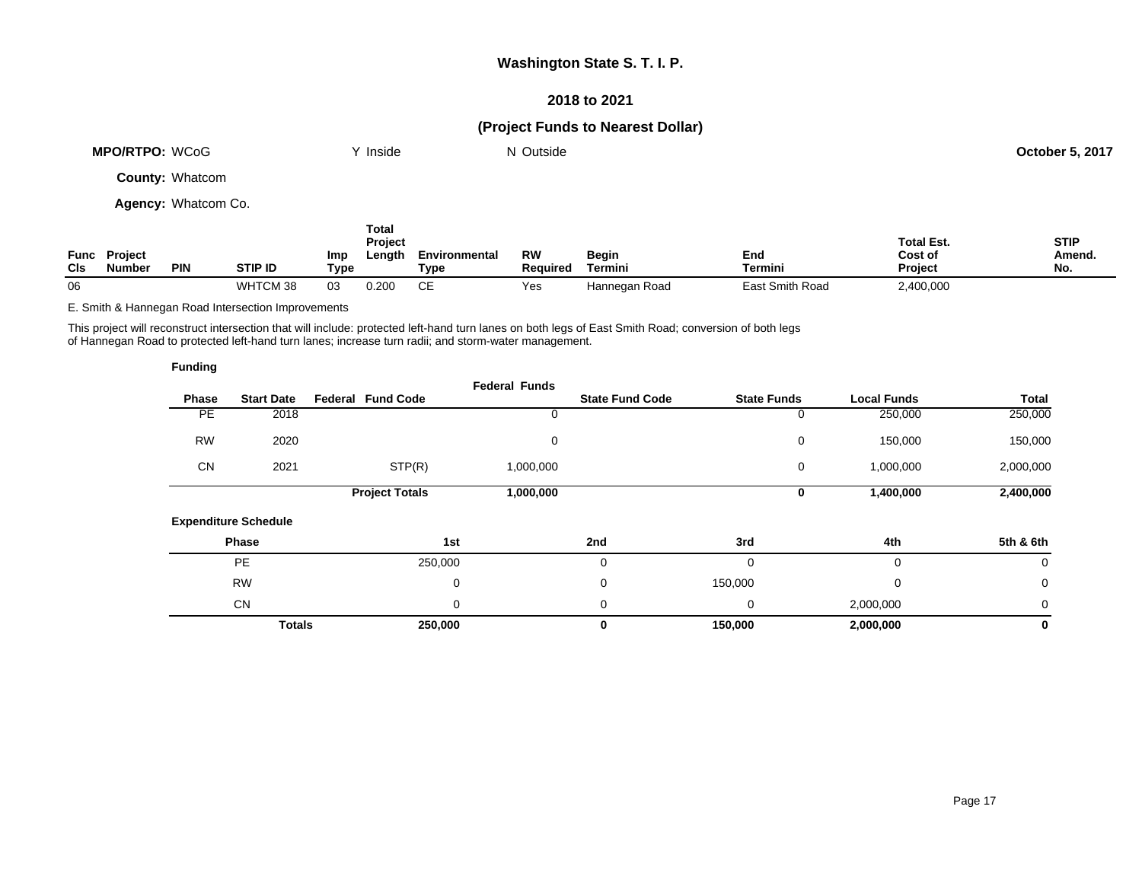### **2018 to 2021**

## **(Project Funds to Nearest Dollar)**

| <b>MPO/RTPO: WCoG</b>  |     | Y Inside                    |                      | N Outside |       |            |                              | <b>October 5, 2017</b> |
|------------------------|-----|-----------------------------|----------------------|-----------|-------|------------|------------------------------|------------------------|
| <b>County: Whatcom</b> |     |                             |                      |           |       |            |                              |                        |
| Agency: Whatcom Co.    |     |                             |                      |           |       |            |                              |                        |
| Func Project           | lmn | Total<br>Project<br>l enath | <b>Environmental</b> | <b>RW</b> | Regin | <b>Fnd</b> | <b>Total Est.</b><br>Cost of | <b>STIP</b><br>Amend   |

| Func<br>CIs | Proiect<br><b>Number</b> | PIN | STIP ID    | Imp<br>Type | Length | Environmental<br>Tvpe | RW<br><b>Required</b> | Begin<br>⊺ermini | End<br>Termini     | Cost of<br>Project | Amend.<br>NI.<br>IV. |
|-------------|--------------------------|-----|------------|-------------|--------|-----------------------|-----------------------|------------------|--------------------|--------------------|----------------------|
| 06          |                          |     | $-2$<br>WH | 03          | 0.200  | ~-                    | ರು                    | Hannegan Road    | Smith Road<br>Eas* | :,400,000          |                      |

E. Smith & Hannegan Road Intersection Improvements

This project will reconstruct intersection that will include: protected left-hand turn lanes on both legs of East Smith Road; conversion of both legs of Hannegan Road to protected left-hand turn lanes; increase turn radii; and storm-water management.

| <b>Funding</b> |                             |                          |                      |                        |                    |                    |              |
|----------------|-----------------------------|--------------------------|----------------------|------------------------|--------------------|--------------------|--------------|
| Phase          | <b>Start Date</b>           | <b>Federal Fund Code</b> | <b>Federal Funds</b> | <b>State Fund Code</b> | <b>State Funds</b> | <b>Local Funds</b> | Total        |
| <b>PE</b>      | 2018                        |                          |                      |                        | $\mathbf 0$        | 250,000            | 250,000      |
| <b>RW</b>      | 2020                        |                          | 0                    |                        | 0                  | 150,000            | 150,000      |
| <b>CN</b>      | 2021                        | STP(R)                   | 1,000,000            |                        | 0                  | 1,000,000          | 2,000,000    |
|                |                             | <b>Project Totals</b>    | 1,000,000            |                        | 0                  | 1,400,000          | 2,400,000    |
|                | <b>Expenditure Schedule</b> |                          |                      |                        |                    |                    |              |
|                | Phase                       |                          | 1st                  | 2nd                    | 3rd                | 4th                | 5th & 6th    |
|                | <b>PE</b>                   | 250,000                  |                      | 0                      | $\Omega$           | 0                  | 0            |
|                | <b>RW</b>                   |                          | 0                    | 0                      | 150,000            | 0                  | $\mathbf 0$  |
|                | <b>CN</b>                   |                          | 0                    | 0                      | 0                  | 2,000,000          | $\mathbf{0}$ |
|                | <b>Totals</b>               | 250,000                  |                      | 0                      | 150,000            | 2,000,000          | 0            |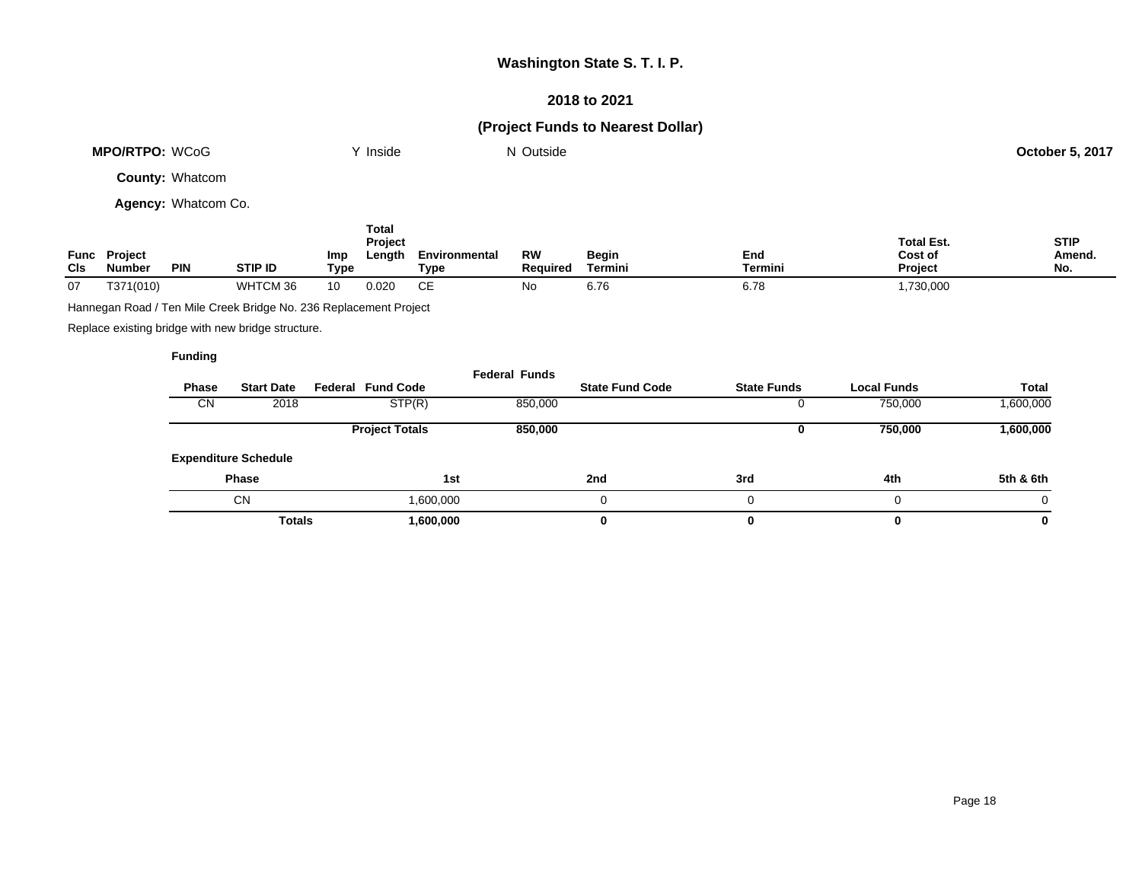### **2018 to 2021**

# **(Project Funds to Nearest Dollar)**

|                    | <b>MPO/RTPO: WCoG</b>                                             |                        |                |                    | Y Inside                   |                       | N Outside             |                         |                       |                                         | <b>October 5, 2017</b>       |  |
|--------------------|-------------------------------------------------------------------|------------------------|----------------|--------------------|----------------------------|-----------------------|-----------------------|-------------------------|-----------------------|-----------------------------------------|------------------------------|--|
|                    |                                                                   | <b>County: Whatcom</b> |                |                    |                            |                       |                       |                         |                       |                                         |                              |  |
|                    |                                                                   | Agency: Whatcom Co.    |                |                    |                            |                       |                       |                         |                       |                                         |                              |  |
| Func<br><b>CIs</b> | Project<br>Number                                                 | <b>PIN</b>             | <b>STIP ID</b> | <b>Imp</b><br>Type | Total<br>Project<br>Length | Environmental<br>Type | <b>RW</b><br>Required | <b>Begin</b><br>Termini | End<br><b>Termini</b> | <b>Total Est.</b><br>Cost of<br>Project | <b>STIP</b><br>Amend.<br>No. |  |
| 07                 | T371(010)                                                         |                        | WHTCM 36       | 10                 | 0.020                      | CE                    | No                    | 6.76                    | 6.78                  | 1,730,000                               |                              |  |
|                    | Hannegan Road / Ten Mile Creek Bridge No. 236 Replacement Project |                        |                |                    |                            |                       |                       |                         |                       |                                         |                              |  |

Replace existing bridge with new bridge structure.

|       |                             |                          | <b>Federal Funds</b> |                        |                    |             |              |
|-------|-----------------------------|--------------------------|----------------------|------------------------|--------------------|-------------|--------------|
| Phase | <b>Start Date</b>           | <b>Federal Fund Code</b> |                      | <b>State Fund Code</b> | <b>State Funds</b> | Local Funds | <b>Total</b> |
| CN    | 2018                        | STP(R)                   | 850,000              |                        | υ                  | 750,000     | 1,600,000    |
|       |                             | <b>Project Totals</b>    | 850,000              |                        | u                  | 750,000     | 1,600,000    |
|       | <b>Expenditure Schedule</b> |                          |                      |                        |                    |             |              |
|       | <b>Phase</b>                |                          | 1st                  | 2nd                    | 3rd                | 4th         | 5th & 6th    |
|       | <b>CN</b>                   | 1,600,000                |                      | 0                      | 0                  |             | $\Omega$     |
|       | <b>Totals</b>               | 1,600,000                |                      | 0                      | 0                  |             | 0            |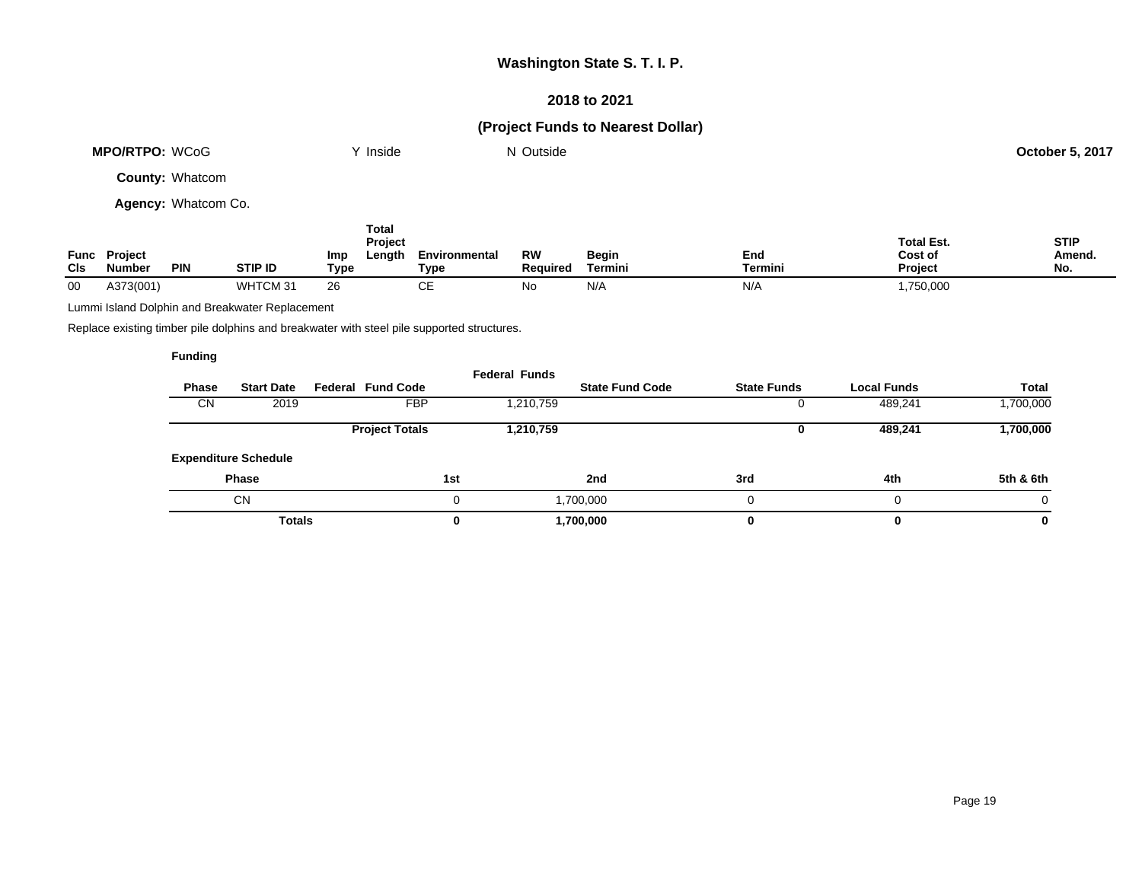### **2018 to 2021**

# **(Project Funds to Nearest Dollar)**

| <b>MPO/RTPO: WCoG</b>  | `' Inside | N Outside | <b>October 5, 2017</b> |
|------------------------|-----------|-----------|------------------------|
| <b>County: Whatcom</b> |           |           |                        |
| Agency: Whatcom Co.    |           |           |                        |
|                        | Total     |           |                        |

|      |                |            |                    | <b>Project</b> |               |          |              |         | <b>Total Est.</b> | <b>STIP</b> |
|------|----------------|------------|--------------------|----------------|---------------|----------|--------------|---------|-------------------|-------------|
| Func | <b>Project</b> |            |                    | ∟enath<br>Imp  | Environmental | RW       | <b>Begin</b> | End     | Cost of           | Amend.      |
| CIs  | Number         | <b>PIN</b> | <b>STIP ID</b>     | Type           | Type          | Reauired | Termini      | Termini | <b>Project</b>    | No.         |
| 00   | A373(001)      |            | WHTCM 3 $^{\circ}$ | 26             | ັ             | ΝO       | N/A          | N/A     | ,750,000          |             |

Lummi Island Dolphin and Breakwater Replacement

Replace existing timber pile dolphins and breakwater with steel pile supported structures.

| Phase<br><b>CN</b> | <b>Start Date</b><br>2019   | <b>Federal Fund Code</b><br><b>FBP</b> |     | <b>Federal Funds</b><br>1,210,759 | <b>State Fund Code</b> | <b>State Funds</b> |   | <b>Local Funds</b><br>489,241 | <b>Total</b><br>,700,000 |
|--------------------|-----------------------------|----------------------------------------|-----|-----------------------------------|------------------------|--------------------|---|-------------------------------|--------------------------|
|                    |                             | <b>Project Totals</b>                  |     | 1,210,759                         |                        |                    | U | 489,241                       | 1,700,000                |
|                    | <b>Expenditure Schedule</b> |                                        |     |                                   |                        |                    |   |                               |                          |
|                    | <b>Phase</b>                |                                        | 1st |                                   | 2nd                    | 3rd                |   | 4th                           | 5th & 6th                |
|                    | <b>CN</b>                   |                                        |     |                                   | 1,700,000              |                    |   | $\Omega$                      | 0                        |
|                    | <b>Totals</b>               |                                        | 0   |                                   | 1,700,000              |                    |   | 0                             | 0                        |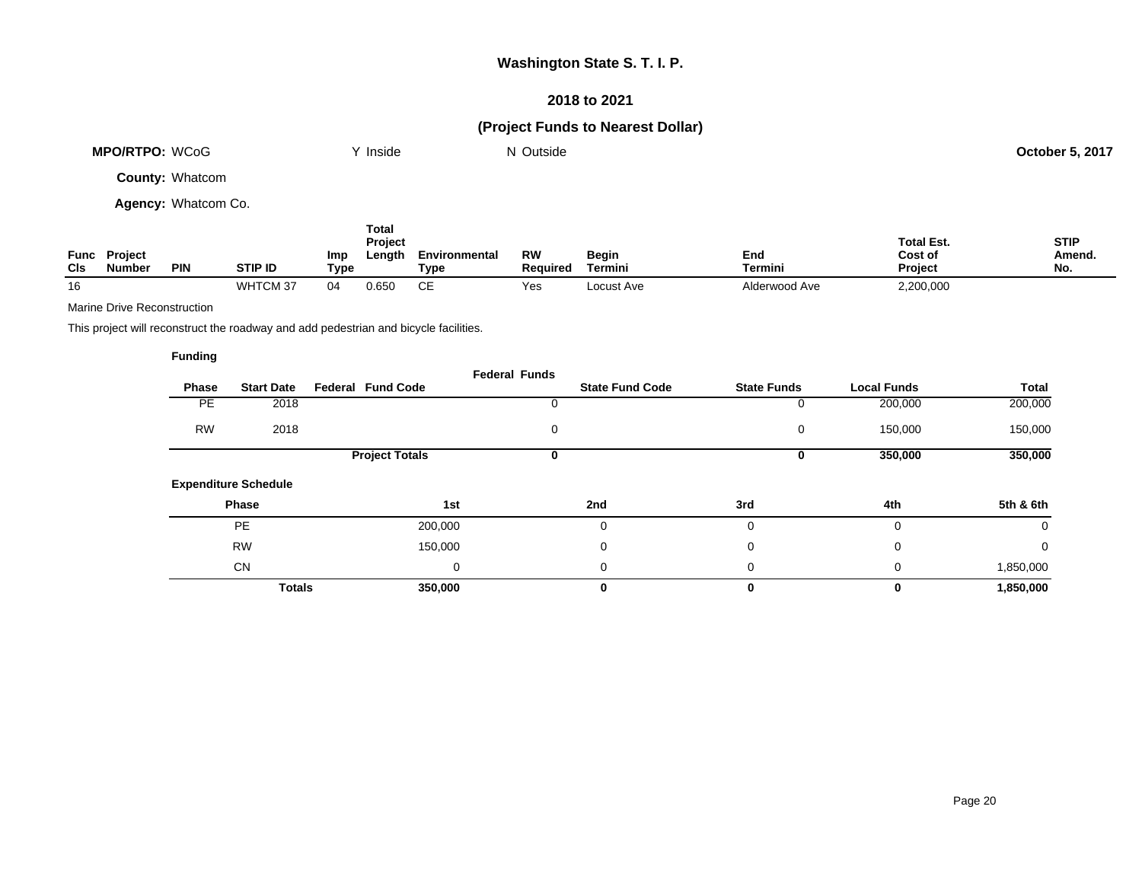### **2018 to 2021**

## **(Project Funds to Nearest Dollar)**

| <b>MPO/RTPO: WCoG</b>  | Inside | N Outside | <b>October 5, 2017</b> |
|------------------------|--------|-----------|------------------------|
| <b>County: Whatcom</b> |        |           |                        |

**Agency:** Whatcom Co.

| Func<br><b>CIs</b> | <b>Project</b><br><b>Number</b> | <b>PIN</b> | <b>STIP ID</b> | Imp<br>Type | Total<br>Project<br>Length | Environmental<br>Type | RW<br>Reauired | <b>Begin</b><br>Termini | End<br><b>Termini</b> | <b>Total Est.</b><br>Cost of<br><b>Project</b> | <b>STIP</b><br>Amend.<br>No. |
|--------------------|---------------------------------|------------|----------------|-------------|----------------------------|-----------------------|----------------|-------------------------|-----------------------|------------------------------------------------|------------------------------|
| 16                 |                                 |            | WHTCM 37       | 04          | 0.650                      | CЕ                    | Yes            | Locust Ave              | Alderwood Ave         | 2,200,000                                      |                              |

Marine Drive Reconstruction

This project will reconstruct the roadway and add pedestrian and bicycle facilities.

|              |                             |                          | <b>Federal Funds</b> |                        |                    |                    |           |
|--------------|-----------------------------|--------------------------|----------------------|------------------------|--------------------|--------------------|-----------|
| <b>Phase</b> | <b>Start Date</b>           | <b>Federal Fund Code</b> |                      | <b>State Fund Code</b> | <b>State Funds</b> | <b>Local Funds</b> | Total     |
| PE.          | 2018                        |                          |                      |                        | 0                  | 200,000            | 200,000   |
| <b>RW</b>    | 2018                        |                          | 0                    |                        | 0                  | 150,000            | 150,000   |
|              |                             | <b>Project Totals</b>    | 0                    |                        | 0                  | 350,000            | 350,000   |
|              | <b>Expenditure Schedule</b> |                          |                      |                        |                    |                    |           |
|              | Phase                       |                          | 1st                  | 2nd                    | 3rd                | 4th                | 5th & 6th |
|              | <b>PE</b>                   | 200,000                  |                      | 0                      | 0                  | 0                  | 0         |
|              | <b>RW</b>                   | 150,000                  |                      | 0                      | 0                  | $\mathbf 0$        | 0         |
|              | <b>CN</b>                   |                          | 0                    | 0                      | 0                  | 0                  | 1,850,000 |
|              | <b>Totals</b>               | 350,000                  |                      | 0                      | $\bf{0}$           | $\bf{0}$           | 1,850,000 |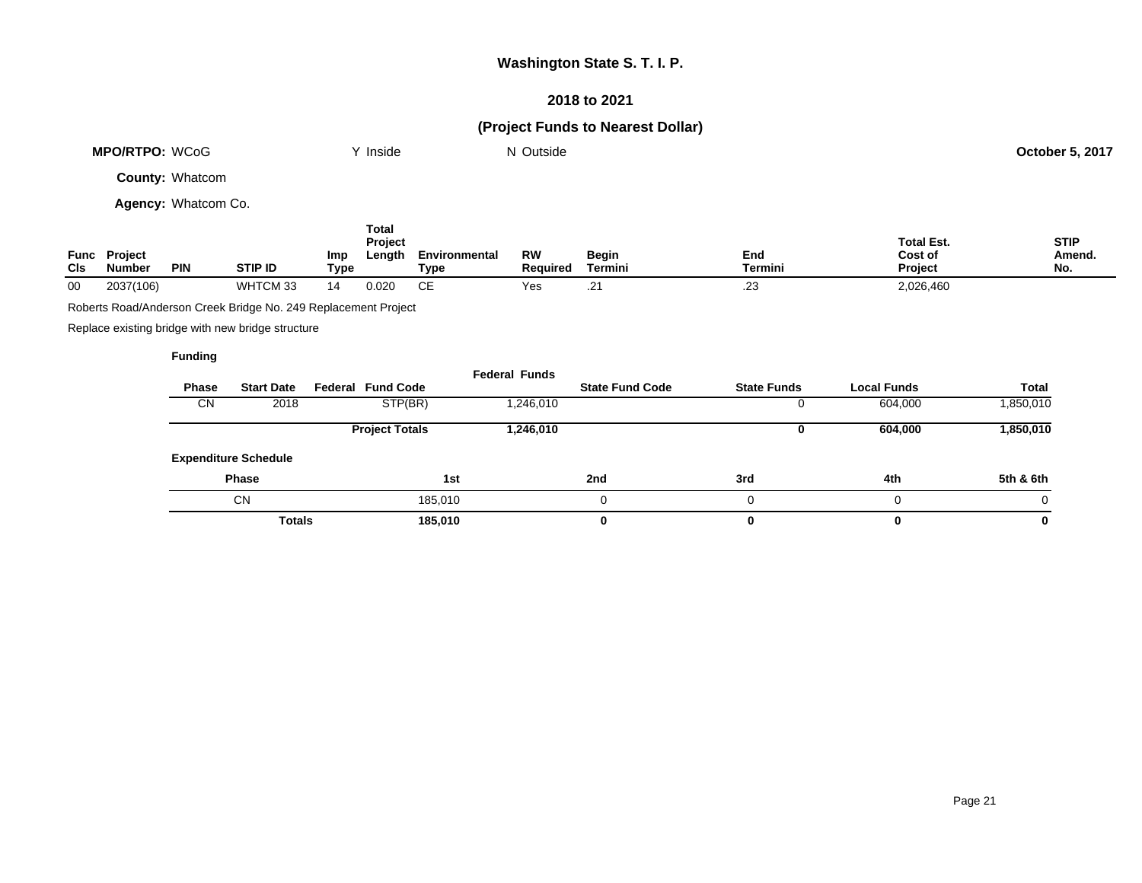## **2018 to 2021**

# **(Project Funds to Nearest Dollar)**

|             | <b>MPO/RTPO: WCoG</b>    |                        |                                                                |             | Y Inside                   |                              | N Outside                    |                         |                    |                                         | October 5, 2017              |
|-------------|--------------------------|------------------------|----------------------------------------------------------------|-------------|----------------------------|------------------------------|------------------------------|-------------------------|--------------------|-----------------------------------------|------------------------------|
|             |                          | <b>County: Whatcom</b> |                                                                |             |                            |                              |                              |                         |                    |                                         |                              |
|             |                          | Agency: Whatcom Co.    |                                                                |             |                            |                              |                              |                         |                    |                                         |                              |
| Func<br>CIs | Project<br><b>Number</b> | <b>PIN</b>             | <b>STIP ID</b>                                                 | Imp<br>Type | Total<br>Project<br>Length | Environmental<br><b>Type</b> | <b>RW</b><br><b>Required</b> | <b>Begin</b><br>Termini | End<br>Termini     | <b>Total Est.</b><br>Cost of<br>Project | <b>STIP</b><br>Amend.<br>No. |
| 00          | 2037(106)                |                        | WHTCM 33                                                       | 14          | 0.020                      | <b>CE</b>                    | Yes                          | .21                     | .23                | 2,026,460                               |                              |
|             |                          |                        | Roberts Road/Anderson Creek Bridge No. 249 Replacement Project |             |                            |                              |                              |                         |                    |                                         |                              |
|             |                          |                        | Replace existing bridge with new bridge structure              |             |                            |                              |                              |                         |                    |                                         |                              |
|             |                          | <b>Funding</b>         |                                                                |             |                            |                              |                              |                         |                    |                                         |                              |
|             |                          |                        |                                                                |             |                            |                              | <b>Federal Funds</b>         |                         |                    |                                         |                              |
|             |                          | Phase                  | <b>Start Date</b>                                              |             | <b>Federal Fund Code</b>   |                              |                              | <b>State Fund Code</b>  | <b>State Funds</b> | <b>Local Funds</b>                      | <b>Total</b>                 |
|             |                          | <b>CN</b>              | 2018                                                           |             | STP(BR)                    |                              | 1,246,010                    |                         | 0                  | 604,000                                 | 1,850,010                    |
|             |                          |                        |                                                                |             | <b>Project Totals</b>      |                              | 1,246,010                    |                         | 0                  | 604,000                                 | 1,850,010                    |
|             |                          |                        | <b>Expenditure Schedule</b>                                    |             |                            |                              |                              |                         |                    |                                         |                              |
|             |                          | <b>Phase</b>           |                                                                | 1st         |                            | 2nd                          | 3rd                          | 4th                     | 5th & 6th          |                                         |                              |
|             |                          |                        | <b>CN</b>                                                      |             |                            | 185,010                      |                              | 0                       | 0                  | 0                                       | 0                            |

**Totals 185,010 0 0 0 0**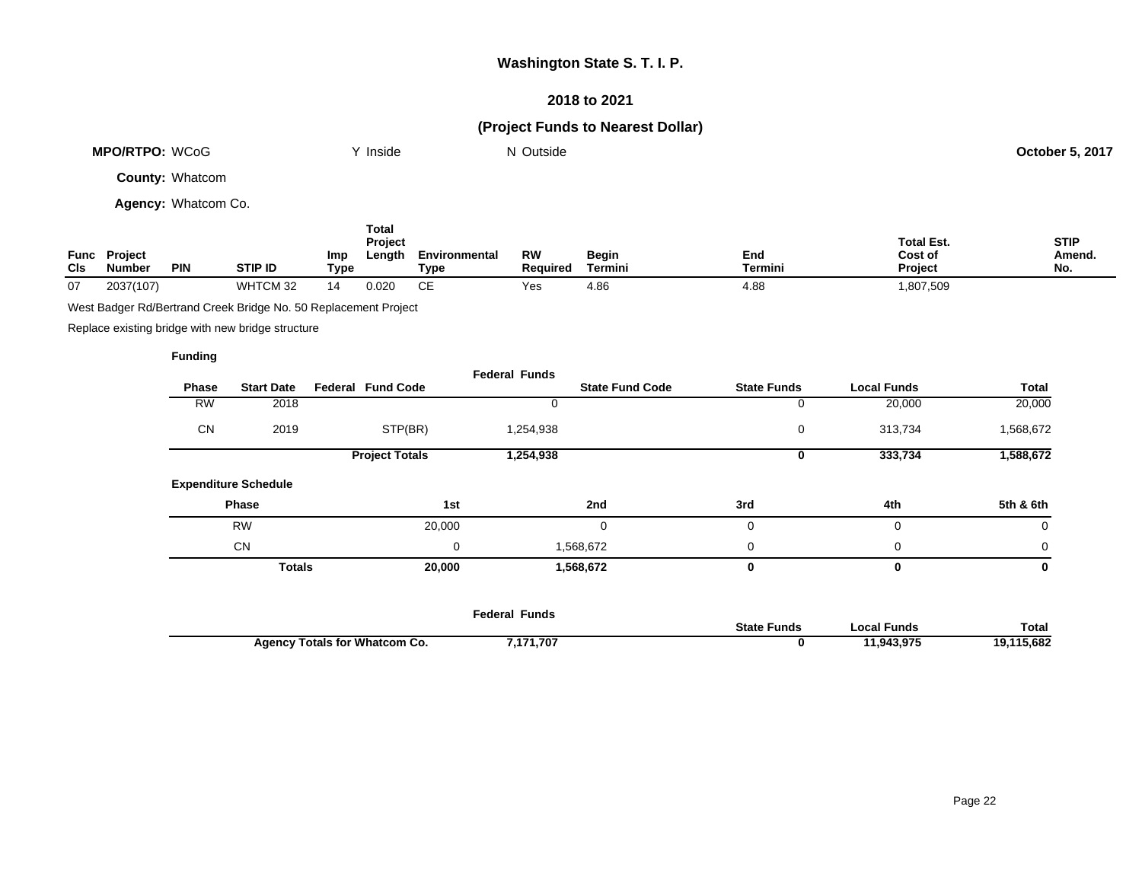### **2018 to 2021**

# **(Project Funds to Nearest Dollar)**

| <b>MPO/RTPO: WCoG</b>  | ∨ Inside | N Outside | <b>October 5, 2017</b> |
|------------------------|----------|-----------|------------------------|
| <b>County: Whatcom</b> |          |           |                        |

**Agency:** Whatcom Co.

| Func<br><b>CIs</b> | <b>Project</b><br><b>Number</b> | <b>PIN</b> | <b>STIP ID</b> | Imp<br>Type | Total<br>Project<br>Length | Environmental<br>Type | RW<br><b>Reauired</b> | <b>Begin</b><br>Termini | End<br><b>Termini</b> | <b>Total Est.</b><br>Cost of<br><b>Project</b> | <b>STIP</b><br>Amend.<br>No. |
|--------------------|---------------------------------|------------|----------------|-------------|----------------------------|-----------------------|-----------------------|-------------------------|-----------------------|------------------------------------------------|------------------------------|
| 07                 | 2037(107)                       |            | WHTCM 32       | 14          | 0.020                      | CЕ                    | Yes                   | 4.86                    | 4.88                  | ,807,509                                       |                              |

West Badger Rd/Bertrand Creek Bridge No. 50 Replacement Project

Replace existing bridge with new bridge structure

|              |                             |                          | <b>Federal Funds</b> |                        |                    |                    |           |
|--------------|-----------------------------|--------------------------|----------------------|------------------------|--------------------|--------------------|-----------|
| <b>Phase</b> | <b>Start Date</b>           | <b>Federal Fund Code</b> |                      | <b>State Fund Code</b> | <b>State Funds</b> | <b>Local Funds</b> | Total     |
| <b>RW</b>    | 2018                        |                          |                      |                        | 0                  | 20,000             | 20,000    |
| <b>CN</b>    | 2019                        | STP(BR)                  | 1,254,938            |                        | 0                  | 313,734            | 1,568,672 |
|              |                             | <b>Project Totals</b>    | 1,254,938            |                        | 0                  | 333,734            | 1,588,672 |
|              | <b>Expenditure Schedule</b> |                          |                      |                        |                    |                    |           |
|              | Phase                       | 1st                      |                      | 2nd                    | 3rd                | 4th                | 5th & 6th |
|              | <b>RW</b>                   | 20,000                   |                      | 0                      | $\mathbf 0$        | 0                  | 0         |
|              | <b>CN</b>                   |                          | 0                    | 1,568,672              | 0                  | 0                  | 0         |
|              | <b>Totals</b>               | 20,000                   |                      | 1,568,672              | $\bf{0}$           | 0                  | 0         |
|              |                             |                          |                      |                        |                    |                    |           |

|                                      | Federal Funds |                    |            |              |
|--------------------------------------|---------------|--------------------|------------|--------------|
|                                      |               | <b>State Funds</b> | ocal Funds | <b>Total</b> |
| <b>Agency Totals for Whatcom Co.</b> | 171,707,      |                    | 11.943.975 | 5,682        |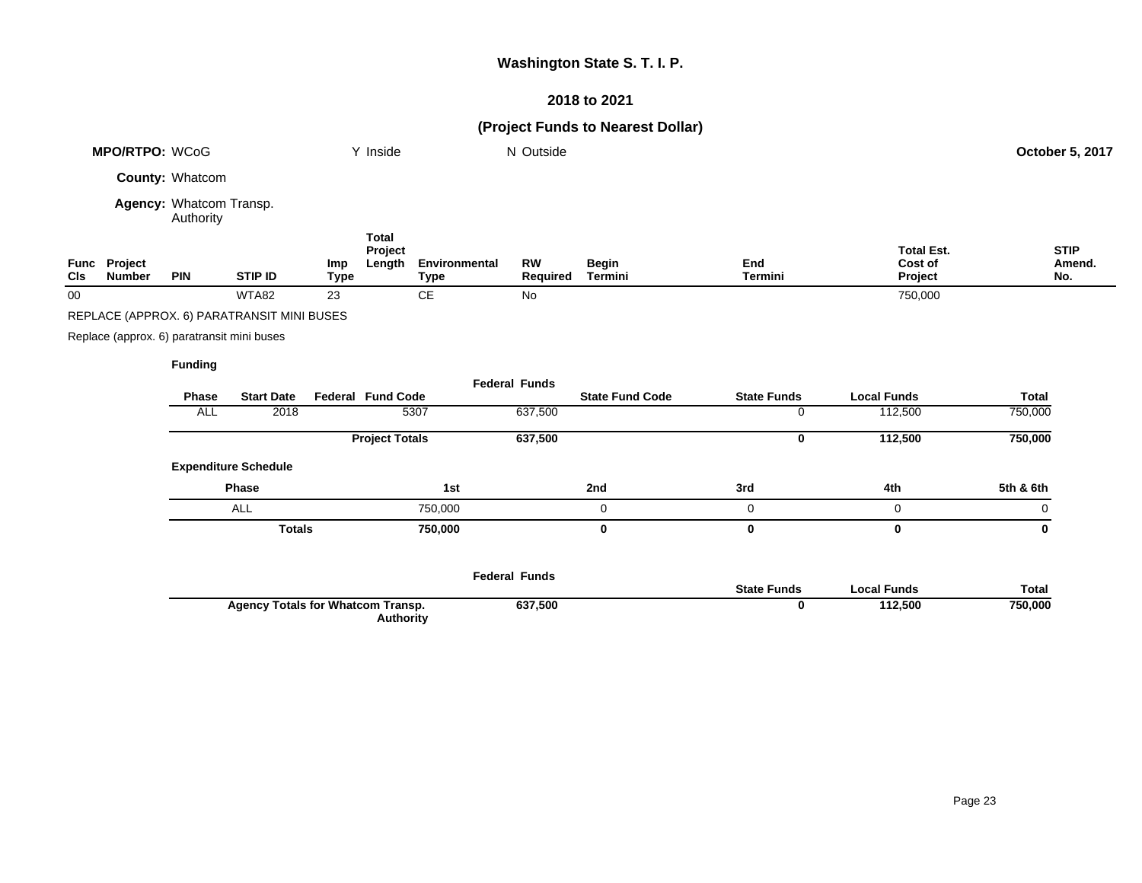## **2018 to 2021**

# **(Project Funds to Nearest Dollar)**

|     | <b>MPO/RTPO: WCoG</b>                      |                                      |                                            |                    | Y Inside                          |                              | N Outside             |                         |                       |                                         | October 5, 2017              |
|-----|--------------------------------------------|--------------------------------------|--------------------------------------------|--------------------|-----------------------------------|------------------------------|-----------------------|-------------------------|-----------------------|-----------------------------------------|------------------------------|
|     |                                            | County: Whatcom                      |                                            |                    |                                   |                              |                       |                         |                       |                                         |                              |
|     |                                            | Agency: Whatcom Transp.<br>Authority |                                            |                    |                                   |                              |                       |                         |                       |                                         |                              |
| CIs | Func Project<br><b>Number</b>              | <b>PIN</b>                           | <b>STIP ID</b>                             | Imp<br><b>Type</b> | <b>Total</b><br>Project<br>Length | Environmental<br><b>Type</b> | <b>RW</b><br>Required | <b>Begin</b><br>Termini | End<br><b>Termini</b> | <b>Total Est.</b><br>Cost of<br>Project | <b>STIP</b><br>Amend.<br>No. |
| 00  |                                            |                                      | WTA82                                      | 23                 |                                   | CE                           | No                    |                         |                       | 750,000                                 |                              |
|     |                                            |                                      | REPLACE (APPROX. 6) PARATRANSIT MINI BUSES |                    |                                   |                              |                       |                         |                       |                                         |                              |
|     | Replace (approx. 6) paratransit mini buses |                                      |                                            |                    |                                   |                              |                       |                         |                       |                                         |                              |
|     |                                            | <b>Funding</b>                       |                                            |                    |                                   |                              |                       |                         |                       |                                         |                              |
|     |                                            |                                      |                                            |                    |                                   |                              | <b>Federal Funds</b>  |                         |                       |                                         |                              |
|     |                                            | Phase                                | <b>Start Date</b>                          |                    | <b>Federal Fund Code</b>          |                              |                       | <b>State Fund Code</b>  | <b>State Funds</b>    | <b>Local Funds</b>                      | <b>Total</b>                 |
|     |                                            | <b>ALL</b>                           | 2018                                       |                    |                                   | 5307                         | 637,500               |                         | 0                     | 112,500                                 | 750,000                      |
|     |                                            |                                      |                                            |                    | <b>Project Totals</b>             |                              | 637,500               |                         | 0                     | 112,500                                 | 750,000                      |
|     |                                            |                                      | <b>Expenditure Schedule</b>                |                    |                                   |                              |                       |                         |                       |                                         |                              |
|     |                                            |                                      | Phase                                      |                    |                                   | 1st                          |                       | 2nd                     | 3rd                   | 4th                                     | 5th & 6th                    |
|     |                                            |                                      | <b>ALL</b>                                 |                    |                                   | 750,000                      |                       | 0                       | 0                     | 0                                       | 0                            |
|     |                                            |                                      | <b>Totals</b>                              |                    |                                   | 750,000                      |                       | $\bf{0}$                | $\mathbf 0$           | 0                                       | $\mathbf 0$                  |
|     |                                            |                                      |                                            |                    |                                   |                              | <b>Federal Funds</b>  |                         | <b>State Funds</b>    | <b>Local Funds</b>                      | <b>Total</b>                 |
|     |                                            |                                      | <b>Agency Totals for Whatcom Transp.</b>   |                    | <b>Authority</b>                  |                              | 637,500               |                         | 0                     | 112,500                                 | 750,000                      |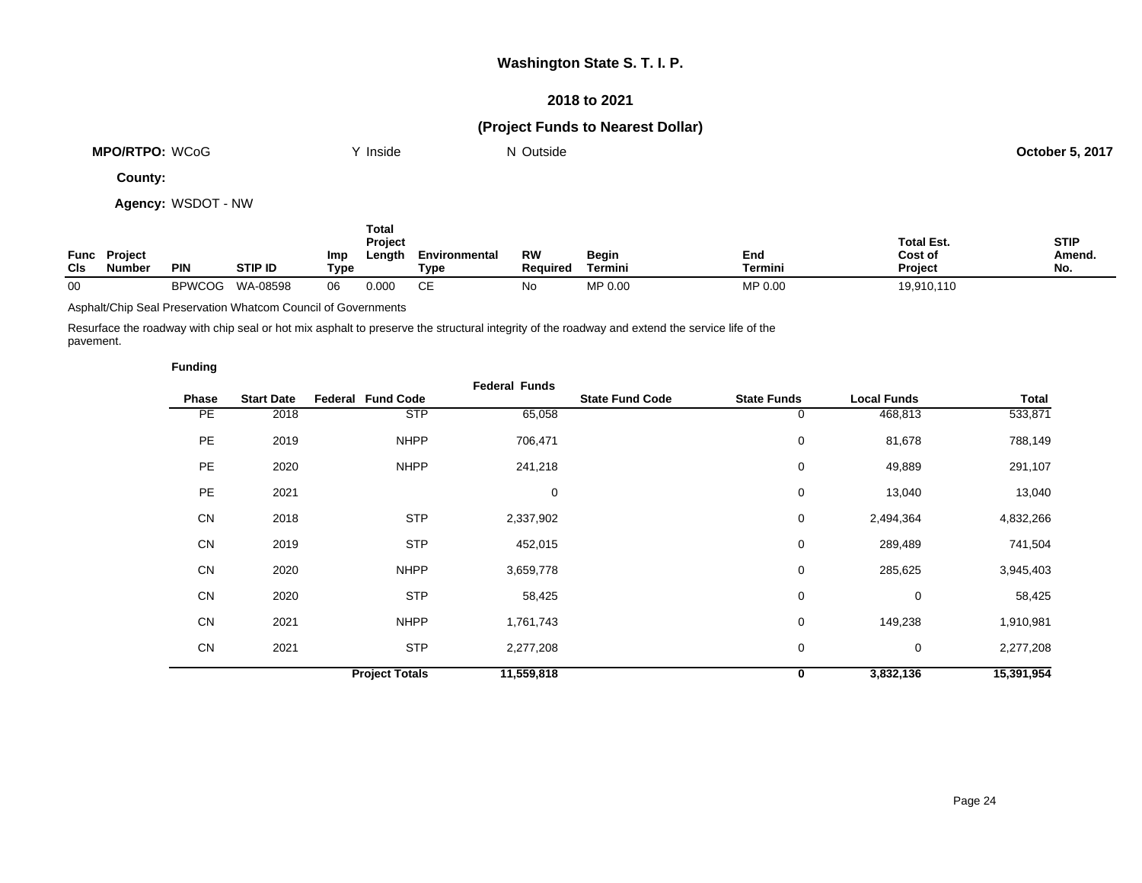### **2018 to 2021**

## **(Project Funds to Nearest Dollar)**

| : WCoG<br><b>MPO/RTPO:</b> | Inside | <sup>'</sup> ' Outside<br>N | : 5. 2017<br>October 5 |
|----------------------------|--------|-----------------------------|------------------------|
|                            |        |                             |                        |

**County:**

**Agency:** WSDOT - NW

| <b>CIs</b> | <b>Func Project</b><br><b>Number</b> | PIN           | <b>STIP ID</b> | Imp<br>Type | Total<br>Project<br>Length | Environmental<br>Type | RW<br><b>Required</b> | Begin<br>Termini | End<br><b>Termini</b> | <b>Total Est.</b><br>Cost of<br><b>Project</b> | <b>STIP</b><br>Amend.<br>No. |
|------------|--------------------------------------|---------------|----------------|-------------|----------------------------|-----------------------|-----------------------|------------------|-----------------------|------------------------------------------------|------------------------------|
| 00         |                                      | <b>BPWCOG</b> | WA-08598       | 06          | 0.000                      | CЕ                    | No                    | MP 0.00          | MP 0.00               | 19,910,110                                     |                              |

Asphalt/Chip Seal Preservation Whatcom Council of Governments

Resurface the roadway with chip seal or hot mix asphalt to preserve the structural integrity of the roadway and extend the service life of the pavement.

|           |                   |                          | <b>Federal Funds</b> |                        |                    |                    |            |
|-----------|-------------------|--------------------------|----------------------|------------------------|--------------------|--------------------|------------|
| Phase     | <b>Start Date</b> | <b>Federal Fund Code</b> |                      | <b>State Fund Code</b> | <b>State Funds</b> | <b>Local Funds</b> | Total      |
| PE        | 2018              | <b>STP</b>               | 65,058               |                        | 0                  | 468,813            | 533,871    |
| PE        | 2019              | <b>NHPP</b>              | 706,471              |                        | 0                  | 81,678             | 788,149    |
| <b>PE</b> | 2020              | <b>NHPP</b>              | 241,218              |                        | 0                  | 49,889             | 291,107    |
| <b>PE</b> | 2021              |                          | 0                    |                        | 0                  | 13,040             | 13,040     |
| CN        | 2018              | <b>STP</b>               | 2,337,902            |                        | 0                  | 2,494,364          | 4,832,266  |
| CN        | 2019              | <b>STP</b>               | 452,015              |                        | 0                  | 289,489            | 741,504    |
| CN        | 2020              | <b>NHPP</b>              | 3,659,778            |                        | 0                  | 285,625            | 3,945,403  |
| CN        | 2020              | <b>STP</b>               | 58,425               |                        | 0                  | 0                  | 58,425     |
| <b>CN</b> | 2021              | <b>NHPP</b>              | 1,761,743            |                        | 0                  | 149,238            | 1,910,981  |
| CN        | 2021              | <b>STP</b>               | 2,277,208            |                        | 0                  | 0                  | 2,277,208  |
|           |                   | <b>Project Totals</b>    | 11,559,818           |                        | 0                  | 3,832,136          | 15,391,954 |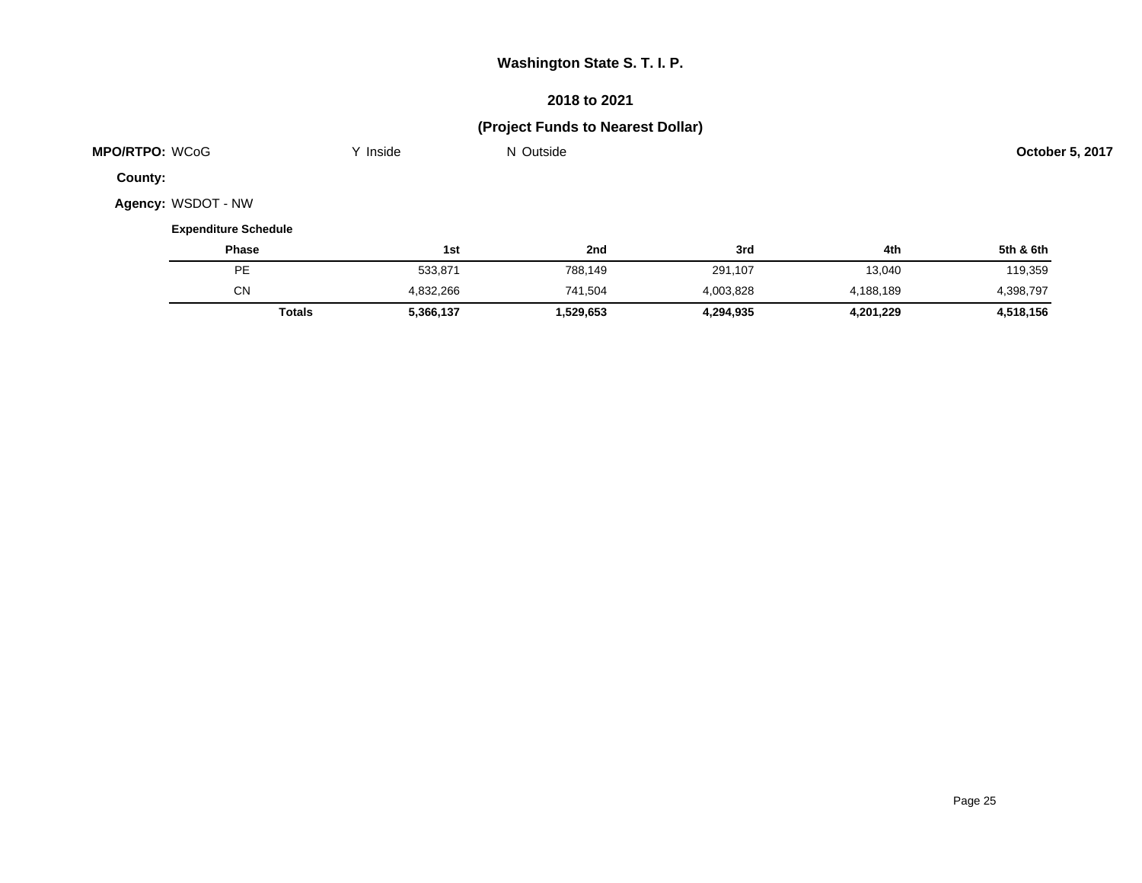## **2018 to 2021**

# **(Project Funds to Nearest Dollar)**

| MPO/RTPO: WCoG              | Y Inside  | N Outside |           |           | October 5, 2017 |
|-----------------------------|-----------|-----------|-----------|-----------|-----------------|
| County:                     |           |           |           |           |                 |
| Agency: WSDOT - NW          |           |           |           |           |                 |
| <b>Expenditure Schedule</b> |           |           |           |           |                 |
| <b>Phase</b>                | 1st       | 2nd       | 3rd       | 4th       | 5th & 6th       |
| PE                          | 533,871   | 788,149   | 291,107   | 13,040    | 119,359         |
| <b>CN</b>                   | 4,832,266 | 741,504   | 4,003,828 | 4,188,189 | 4,398,797       |
| <b>Totals</b>               | 5,366,137 | 1,529,653 | 4,294,935 | 4,201,229 | 4,518,156       |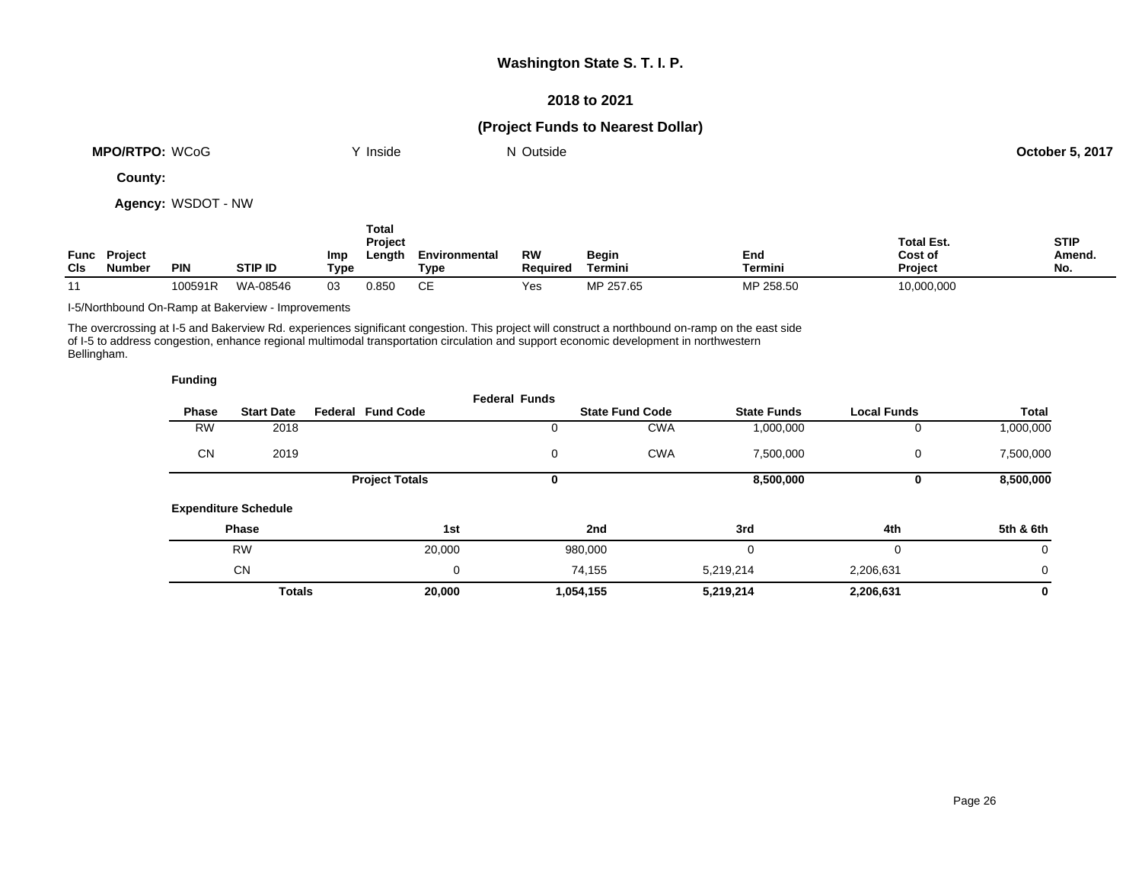### **2018 to 2021**

## **(Project Funds to Nearest Dollar)**

| <b>MPO/RTPO:</b><br>WCoG | Inside | Outside<br>NL | <b>October 5, 2017</b> |
|--------------------------|--------|---------------|------------------------|
| $\overline{\phantom{a}}$ |        |               |                        |

**County:**

**Agency:** WSDOT - NW

| CIs | <b>Func Project</b><br>Number | <b>PIN</b> | <b>STIP ID</b> | Imp<br>Type | Total<br>Project<br>Length | Environmental<br>Type | RW<br><b>Required</b> | Begin<br>Termini | End<br>Termini | <b>Total Est.</b><br>Cost of<br>Project | <b>STIP</b><br>Amend.<br>No. |
|-----|-------------------------------|------------|----------------|-------------|----------------------------|-----------------------|-----------------------|------------------|----------------|-----------------------------------------|------------------------------|
| 11  |                               | 100591R    | WA-08546       | 03          | 0.850                      | <b>CE</b>             | Yes                   | MP 257.65        | MP 258.50      | 10,000,000                              |                              |

I-5/Northbound On-Ramp at Bakerview - Improvements

**Funding**

The overcrossing at I-5 and Bakerview Rd. experiences significant congestion. This project will construct a northbound on-ramp on the east side of I-5 to address congestion, enhance regional multimodal transportation circulation and support economic development in northwestern Bellingham.

| --------  |                             |                          |                      |                        |                    |                    |              |
|-----------|-----------------------------|--------------------------|----------------------|------------------------|--------------------|--------------------|--------------|
| Phase     | <b>Start Date</b>           | <b>Federal Fund Code</b> | <b>Federal Funds</b> | <b>State Fund Code</b> | <b>State Funds</b> | <b>Local Funds</b> | <b>Total</b> |
| <b>RW</b> | 2018                        |                          |                      | <b>CWA</b>             | 1,000,000          | 0                  | 1,000,000    |
| <b>CN</b> | 2019                        |                          | 0                    | <b>CWA</b>             | 7,500,000          | 0                  | 7,500,000    |
|           |                             | <b>Project Totals</b>    | 0                    |                        | 8,500,000          | 0                  | 8,500,000    |
|           | <b>Expenditure Schedule</b> |                          |                      |                        |                    |                    |              |
|           | <b>Phase</b>                | 1st                      |                      | 2nd                    | 3rd                | 4th                | 5th & 6th    |
|           | <b>RW</b>                   | 20,000                   |                      | 980,000                | 0                  | $\Omega$           | 0            |
|           | <b>CN</b>                   | 0                        |                      | 74,155                 | 5,219,214          | 2,206,631          | 0            |
|           | <b>Totals</b>               | 20,000                   |                      | 1,054,155              | 5,219,214          | 2,206,631          | 0            |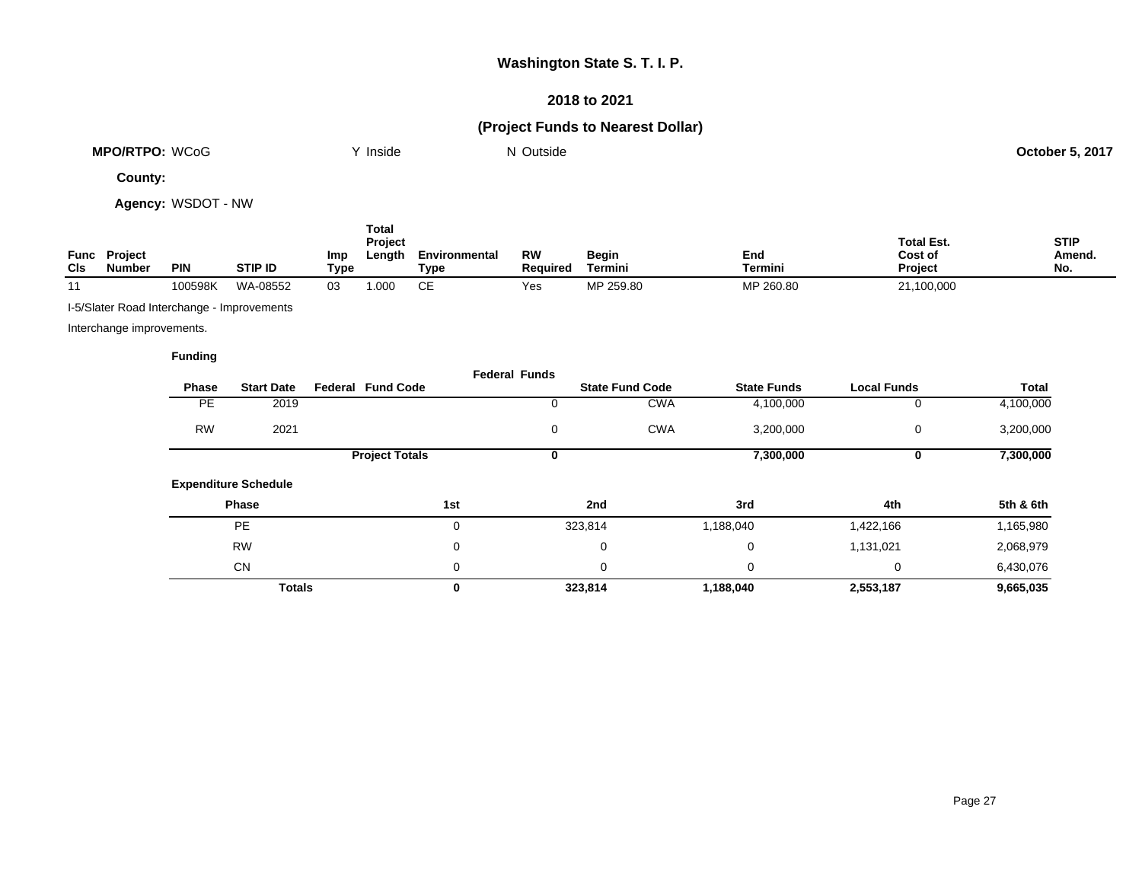### **2018 to 2021**

# **(Project Funds to Nearest Dollar)**

| <b>MPO/RTPO: WCoG</b> | $\cdot$ $\cdot$<br>Inside | Outside<br>. | 5,2017<br>October 5, |
|-----------------------|---------------------------|--------------|----------------------|
|                       |                           |              |                      |

**County:**

**Agency:** WSDOT - NW

|             |                                 |            |          |             | Total<br>Project |                       |                |                         |                | <b>Total Est.</b>         | <b>STIP</b>   |
|-------------|---------------------------------|------------|----------|-------------|------------------|-----------------------|----------------|-------------------------|----------------|---------------------------|---------------|
| Func<br>CIS | <b>Project</b><br><b>Number</b> | <b>PIN</b> | STIP ID  | Imp<br>Type | Length           | Environmental<br>Type | RW<br>Required | <b>Begin</b><br>Termini | End<br>Termini | Cost of<br><b>Project</b> | Amend.<br>No. |
| 44          |                                 | 100598K    | WA-08552 | 03          | .00C             | CЕ                    | Yes            | MP 259.80               | MP 260.80      | 21,100,000                |               |

I-5/Slater Road Interchange - Improvements

Interchange improvements.

|           |                             |                          | <b>Federal Funds</b> |                        |                    |                    |           |
|-----------|-----------------------------|--------------------------|----------------------|------------------------|--------------------|--------------------|-----------|
| Phase     | <b>Start Date</b>           | <b>Federal Fund Code</b> |                      | <b>State Fund Code</b> | <b>State Funds</b> | <b>Local Funds</b> | Total     |
| PE        | 2019                        |                          | U                    | <b>CWA</b>             | 4,100,000          | U                  | 4,100,000 |
| <b>RW</b> | 2021                        |                          | 0                    | <b>CWA</b>             | 3,200,000          | 0                  | 3,200,000 |
|           |                             | <b>Project Totals</b>    | 0                    |                        | 7,300,000          | 0                  | 7,300,000 |
|           | <b>Expenditure Schedule</b> |                          |                      |                        |                    |                    |           |
|           | Phase                       |                          | 1st                  | 2nd                    | 3rd                | 4th                | 5th & 6th |
|           | <b>PE</b>                   |                          | 0                    | 323,814                | 1,188,040          | 1,422,166          | 1,165,980 |
|           | <b>RW</b>                   |                          | 0                    | 0                      | 0                  | 1,131,021          | 2,068,979 |
|           | <b>CN</b>                   |                          | 0                    | 0                      | 0                  | 0                  | 6,430,076 |
|           | <b>Totals</b>               |                          | 0                    | 323,814                | 1,188,040          | 2,553,187          | 9,665,035 |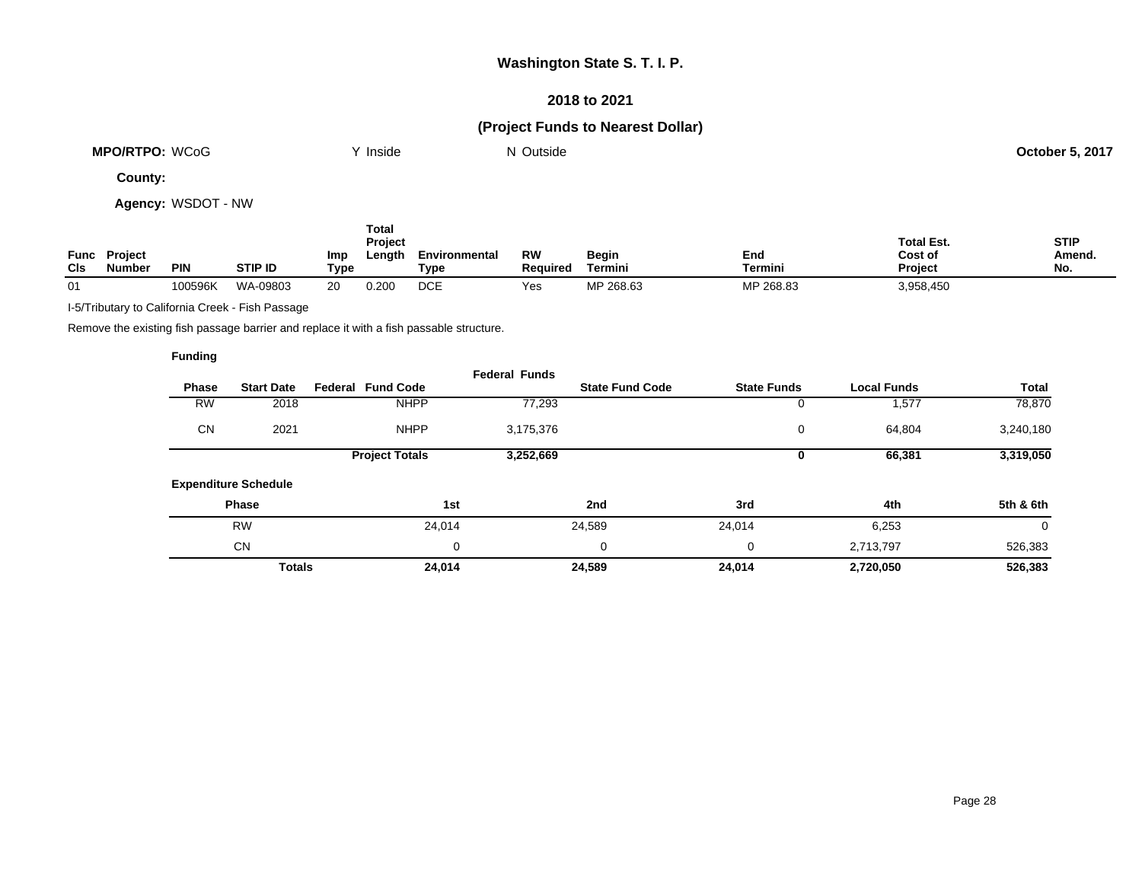### **2018 to 2021**

## **(Project Funds to Nearest Dollar)**

| <b>MPO/RTPO: WCoG</b> | Inside | ' Outside<br>N | $-5.2017$<br>October 5<br>. |
|-----------------------|--------|----------------|-----------------------------|
|                       |        |                |                             |

**County:**

**Agency:** WSDOT - NW

| Func<br>CIS | <b>Project</b><br><b>Number</b> | <b>PIN</b> | <b>STIP ID</b> | Imp<br>Type | Total<br>Project<br>∟ength | Environmental<br>Type | RW<br><b>Reauired</b> | <b>Begin</b><br>Termini | End<br>Termini | <b>Total Est.</b><br>Cost of<br><b>Project</b> | <b>STIP</b><br>Amend.<br>No. |
|-------------|---------------------------------|------------|----------------|-------------|----------------------------|-----------------------|-----------------------|-------------------------|----------------|------------------------------------------------|------------------------------|
| 01          |                                 | 100596K    | WA-09803       | 20          | 0.200                      | DCE                   | Yes                   | MP 268.63               | MP 268.83      | 3,958,450                                      |                              |

I-5/Tributary to California Creek - Fish Passage

Remove the existing fish passage barrier and replace it with a fish passable structure.

|              |                             |                          | <b>Federal Funds</b> |                        |                    |                    |           |
|--------------|-----------------------------|--------------------------|----------------------|------------------------|--------------------|--------------------|-----------|
| <b>Phase</b> | <b>Start Date</b>           | <b>Federal Fund Code</b> |                      | <b>State Fund Code</b> | <b>State Funds</b> | <b>Local Funds</b> | Total     |
| <b>RW</b>    | 2018                        | <b>NHPP</b>              | 77,293               |                        | U                  | 1,577              | 78,870    |
| <b>CN</b>    | 2021                        | <b>NHPP</b>              | 3,175,376            |                        | 0                  | 64,804             | 3,240,180 |
|              |                             | <b>Project Totals</b>    | 3,252,669            |                        | U                  | 66,381             | 3,319,050 |
|              | <b>Expenditure Schedule</b> |                          |                      |                        |                    |                    |           |
|              | <b>Phase</b>                | 1st                      |                      | 2nd                    | 3rd                | 4th                | 5th & 6th |
|              | <b>RW</b>                   | 24,014                   |                      | 24,589                 | 24,014             | 6,253              | 0         |
|              | <b>CN</b>                   |                          | 0                    | 0                      | 0                  | 2,713,797          | 526,383   |
|              | <b>Totals</b>               | 24,014                   |                      | 24,589                 | 24.014             | 2,720,050          | 526,383   |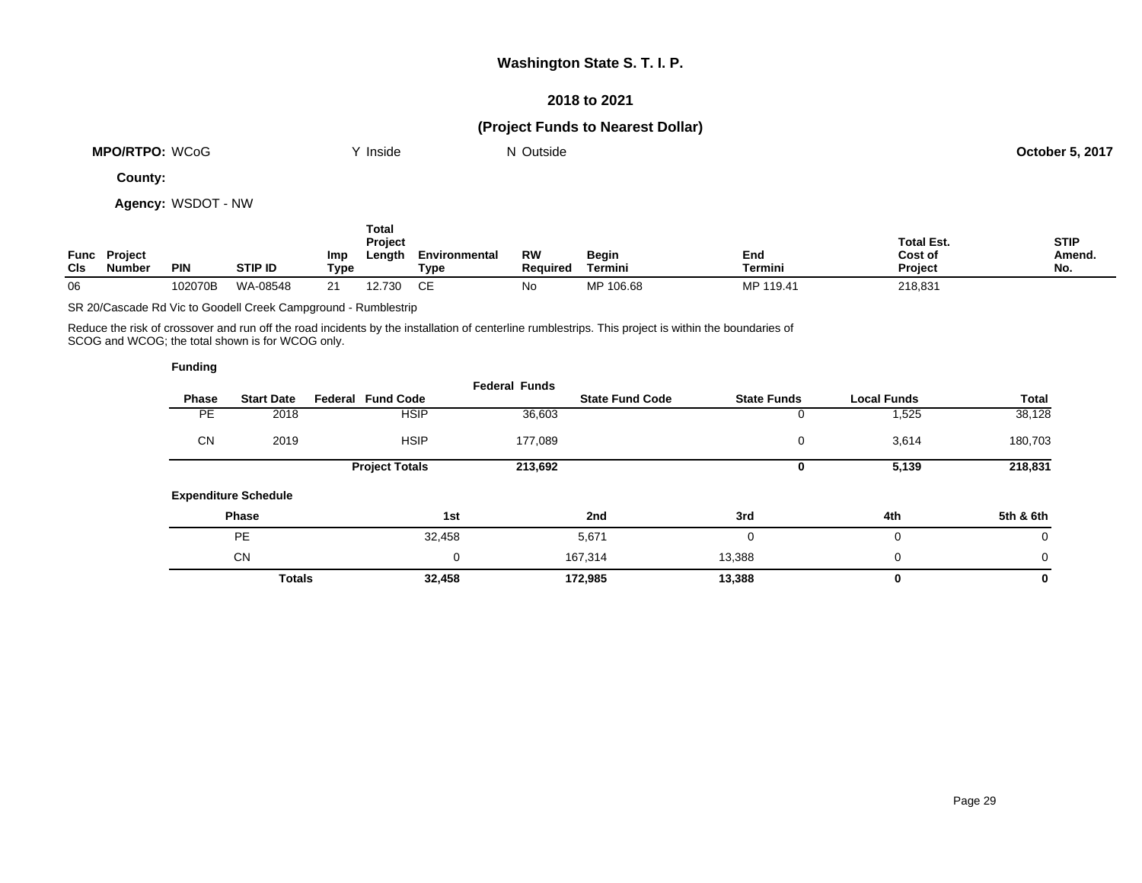### **2018 to 2021**

## **(Project Funds to Nearest Dollar)**

| <b>WCoG</b><br><b>MPO/RTPO:</b> | 'nside | Outside<br>w | $5.201$ <sup>-</sup><br>October F |
|---------------------------------|--------|--------------|-----------------------------------|
|                                 |        |              |                                   |

**County:**

**Agency:** WSDOT - NW

| Func<br>CIS | <b>Project</b><br>Number | <b>PIN</b> | <b>STIP ID</b> | Imp<br>Type | Total<br>Project<br>Length | Environmental<br>Type | <b>RW</b><br><b>Required</b> | <b>Begin</b><br>Termini | End<br>Termini | <b>Total Est.</b><br>Cost of<br><b>Project</b> | <b>STIP</b><br>Amend.<br>No. |
|-------------|--------------------------|------------|----------------|-------------|----------------------------|-----------------------|------------------------------|-------------------------|----------------|------------------------------------------------|------------------------------|
| 06          |                          | 102070B    | WA-08548       | ົ           | 12.730                     | ∼⊏                    | No                           | MP 106.68               | MP 119.41      | 218,831                                        |                              |

SR 20/Cascade Rd Vic to Goodell Creek Campground - Rumblestrip

Reduce the risk of crossover and run off the road incidents by the installation of centerline rumblestrips. This project is within the boundaries of SCOG and WCOG; the total shown is for WCOG only.

| <b>Funding</b> |                             |                          |                      |                        |                    |                    |             |
|----------------|-----------------------------|--------------------------|----------------------|------------------------|--------------------|--------------------|-------------|
| <b>Phase</b>   | <b>Start Date</b>           | <b>Federal Fund Code</b> | <b>Federal Funds</b> | <b>State Fund Code</b> | <b>State Funds</b> | <b>Local Funds</b> | Total       |
| PE             | 2018                        | <b>HSIP</b>              | 36,603               |                        | 0                  | 525, ا             | 38,128      |
| <b>CN</b>      | 2019                        | <b>HSIP</b>              | 177,089              |                        | 0                  | 3,614              | 180,703     |
|                |                             | <b>Project Totals</b>    | 213,692              |                        | 0                  | 5,139              | 218,831     |
|                | <b>Expenditure Schedule</b> |                          |                      |                        |                    |                    |             |
|                | Phase                       |                          | 1st                  | 2nd                    | 3rd                | 4th                | 5th & 6th   |
|                | <b>PE</b>                   |                          | 32,458               | 5,671                  | $\Omega$           | 0                  | $\mathbf 0$ |
|                | <b>CN</b>                   |                          | 0                    | 167,314                | 13,388             | 0                  | $\mathbf 0$ |
|                | <b>Totals</b>               |                          | 32,458               | 172,985                | 13,388             | 0                  | 0           |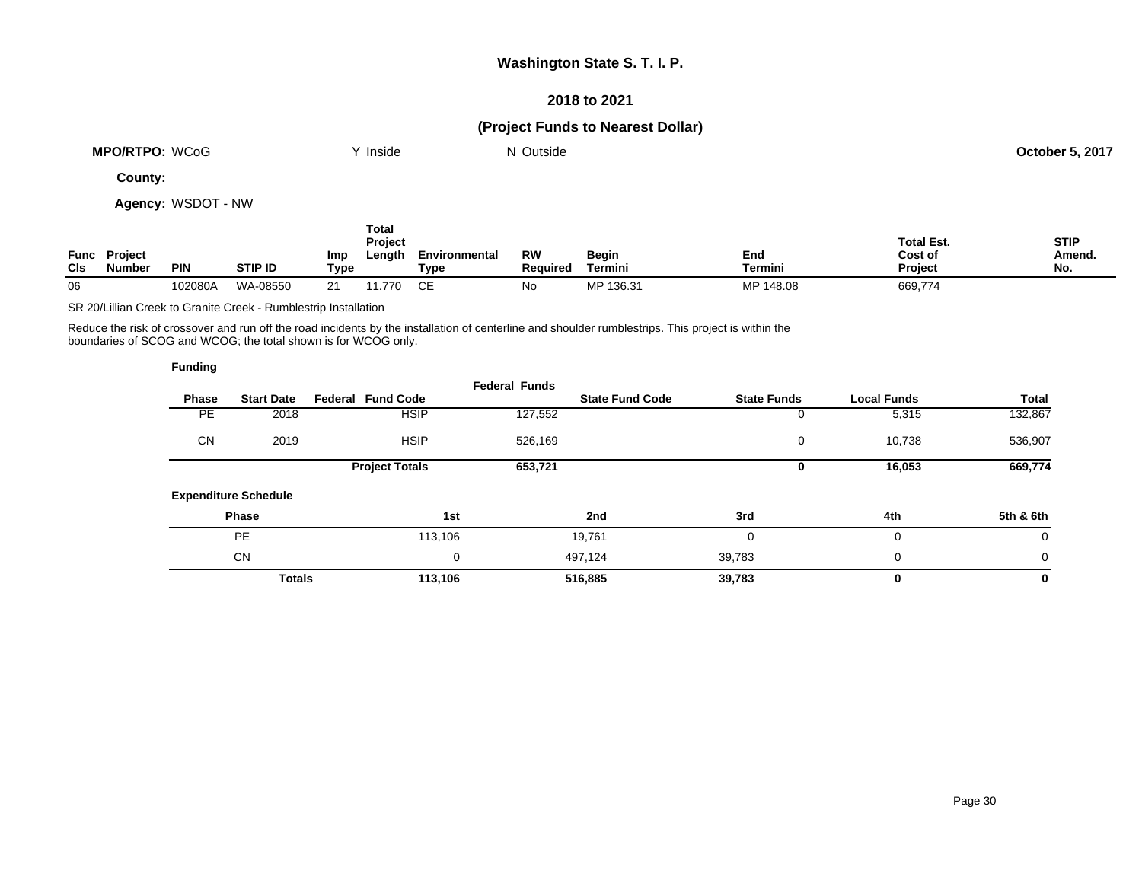### **2018 to 2021**

## **(Project Funds to Nearest Dollar)**

| <b>MPO/RTPO:</b><br><b>WCoG</b> | Inside | Outside<br>IM. | 5.201<br>October 5 |
|---------------------------------|--------|----------------|--------------------|
|                                 |        |                |                    |

**County:**

**Agency:** WSDOT - NW

| Func<br><b>CIs</b> | <b>Project</b><br>Number | <b>PIN</b> | <b>STIP ID</b> | Imp<br>Type | Total<br>Project<br>Length | Environmental<br>Type | RW<br><b>Required</b> | <b>Begin</b><br>Termini | End<br>Termini | <b>Total Est.</b><br>Cost of<br><b>Project</b> | <b>STIP</b><br>Amend.<br>No. |
|--------------------|--------------------------|------------|----------------|-------------|----------------------------|-----------------------|-----------------------|-------------------------|----------------|------------------------------------------------|------------------------------|
| 06                 |                          | 102080A    | WA-08550       |             | 770. ا                     | ∼⊏                    | No                    | MP 136.31               | MP 148.08      | 669,774                                        |                              |

SR 20/Lillian Creek to Granite Creek - Rumblestrip Installation

Reduce the risk of crossover and run off the road incidents by the installation of centerline and shoulder rumblestrips. This project is within the boundaries of SCOG and WCOG; the total shown is for WCOG only.

|              |                             |                          | <b>Federal Funds</b> |                        |                    |                    |           |
|--------------|-----------------------------|--------------------------|----------------------|------------------------|--------------------|--------------------|-----------|
| <b>Phase</b> | <b>Start Date</b>           | <b>Federal Fund Code</b> |                      | <b>State Fund Code</b> | <b>State Funds</b> | <b>Local Funds</b> | Total     |
| <b>PE</b>    | 2018                        | <b>HSIP</b>              | 127,552              |                        | 0                  | 5,315              | 132,867   |
| <b>CN</b>    | 2019                        | <b>HSIP</b>              | 526,169              |                        | 0                  | 10,738             | 536,907   |
|              |                             | <b>Project Totals</b>    | 653,721              |                        | 0                  | 16,053             | 669,774   |
|              | <b>Expenditure Schedule</b> |                          |                      |                        |                    |                    |           |
|              | Phase                       |                          | 1st                  | 2nd                    | 3rd                | 4th                | 5th & 6th |
|              | PE                          | 113,106                  |                      | 19,761                 | 0                  | 0                  | 0         |
|              | CN                          |                          | 0                    | 497,124                | 39.783             | 0                  | 0         |
|              | <b>Totals</b>               | 113,106                  |                      | 516,885                | 39,783             | 0                  | 0         |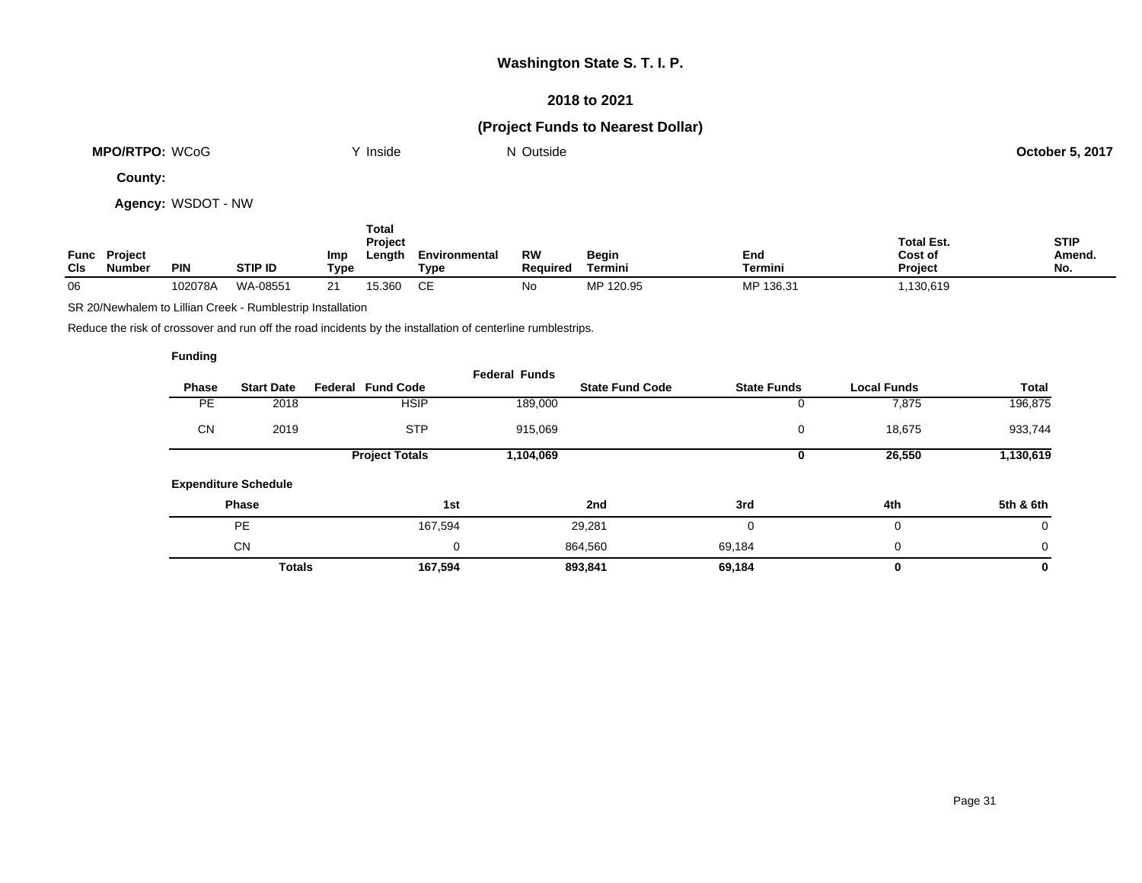### **2018 to 2021**

## **(Project Funds to Nearest Dollar)**

| <b>MPO/RTPO: WCoG</b> | .<br>Inside | <sup>1</sup> Outside | <b>October 5, 2017</b> |
|-----------------------|-------------|----------------------|------------------------|
|                       |             |                      |                        |

**County:**

**Agency:** WSDOT - NW

| Func<br>CIS | <b>Project</b><br>Number | <b>PIN</b> | <b>STIP ID</b> | Imp<br>Type | Total<br><b>Project</b><br>Length | Environmental<br>Type | <b>RW</b><br><b>Required</b> | <b>Begin</b><br>Termini | End<br>Termini | <b>Total Est.</b><br>Cost of<br><b>Project</b> | <b>STIP</b><br>Amend.<br>No. |
|-------------|--------------------------|------------|----------------|-------------|-----------------------------------|-----------------------|------------------------------|-------------------------|----------------|------------------------------------------------|------------------------------|
| 06          |                          | 102078A    | WA-08551       | ິ           | 15.360                            | ∼⊏                    | No                           | MP 120.95               | MP 136.31      | ,130,619                                       |                              |

SR 20/Newhalem to Lillian Creek - Rumblestrip Installation

Reduce the risk of crossover and run off the road incidents by the installation of centerline rumblestrips.

|           |                    |                    |                        | <b>Federal Funds</b> |                          |                             |           |
|-----------|--------------------|--------------------|------------------------|----------------------|--------------------------|-----------------------------|-----------|
| Total     | <b>Local Funds</b> | <b>State Funds</b> | <b>State Fund Code</b> |                      | <b>Federal Fund Code</b> | <b>Start Date</b>           | Phase     |
| 196,875   | 7,875              | U                  |                        | 189,000              | <b>HSIP</b>              | 2018                        | <b>PE</b> |
| 933,744   | 18,675             | 0                  |                        | 915,069              | <b>STP</b>               | 2019                        | <b>CN</b> |
| 1,130,619 | 26,550             | υ                  |                        | 1,104,069            | <b>Project Totals</b>    |                             |           |
|           |                    |                    |                        |                      |                          | <b>Expenditure Schedule</b> |           |
| 5th & 6th | 4th                | 3rd                | 2nd                    | 1st                  |                          | <b>Phase</b>                |           |
| 0         | $\mathbf 0$        | 0                  | 29,281                 |                      | 167,594                  | PE                          |           |
| 0         | $\mathbf 0$        | 69,184             | 864,560                | 0                    |                          | <b>CN</b>                   |           |
| 0         | 0                  | 69,184             | 893,841                |                      | 167,594                  | <b>Totals</b>               |           |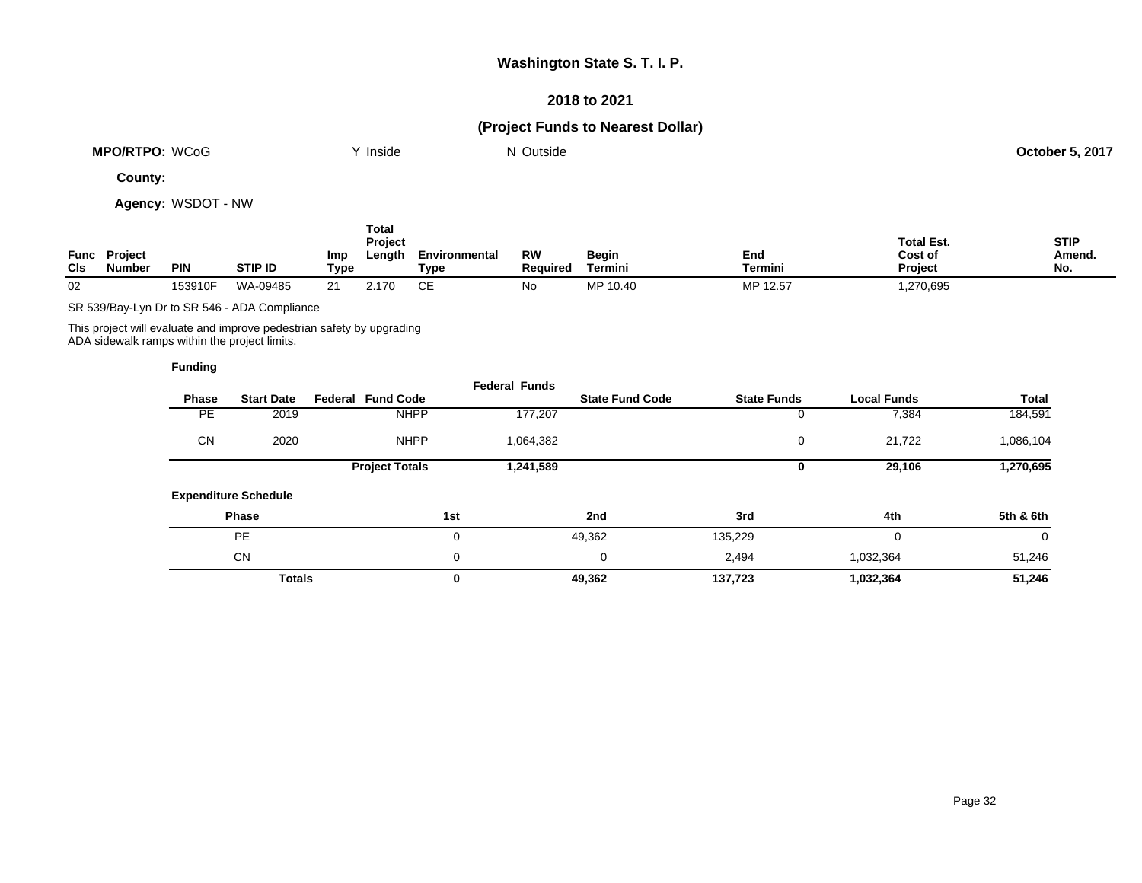### **2018 to 2021**

## **(Project Funds to Nearest Dollar)**

| <b>MPO/RTPO:</b><br>WCoG | Inside | <sup>1</sup> Outside | $.5.201$ $^{\circ}$<br>October 5. |
|--------------------------|--------|----------------------|-----------------------------------|
|                          |        |                      |                                   |

**County:**

**Agency:** WSDOT - NW

| Func<br>CIS | <b>Project</b><br>Number | <b>PIN</b> | <b>STIP ID</b> | Imp<br>Type | Total<br>Project<br>Length | Environmental<br>Type | RW<br>Reauired | Begin<br>Termini | End<br>Termini | <b>Total Est.</b><br>Cost of<br><b>Project</b> | <b>STIP</b><br>Amend.<br>No. |
|-------------|--------------------------|------------|----------------|-------------|----------------------------|-----------------------|----------------|------------------|----------------|------------------------------------------------|------------------------------|
| 02          |                          | 153910F    | WA-09485       | 21          | 2.170                      |                       | No             | MP 10.40         | MP 12.57       | ,270,695                                       |                              |

SR 539/Bay-Lyn Dr to SR 546 - ADA Compliance

This project will evaluate and improve pedestrian safety by upgrading ADA sidewalk ramps within the project limits.

|           |                             |                          | <b>Federal Funds</b> |                        |                    |                    |           |
|-----------|-----------------------------|--------------------------|----------------------|------------------------|--------------------|--------------------|-----------|
| Phase     | <b>Start Date</b>           | <b>Federal Fund Code</b> |                      | <b>State Fund Code</b> | <b>State Funds</b> | <b>Local Funds</b> | Total     |
| <b>PE</b> | 2019                        | <b>NHPP</b>              | 177,207              |                        | 0                  | 7,384              | 184,591   |
| <b>CN</b> | 2020                        | <b>NHPP</b>              | 1,064,382            |                        | 0                  | 21,722             | 1,086,104 |
|           |                             | <b>Project Totals</b>    | 1,241,589            |                        | 0                  | 29,106             | 1,270,695 |
|           | <b>Expenditure Schedule</b> |                          |                      |                        |                    |                    |           |
|           | Phase                       |                          | 1st                  | 2nd                    | 3rd                | 4th                | 5th & 6th |
|           | PE                          |                          | 0                    | 49,362                 | 135,229            | 0                  | 0         |
|           | <b>CN</b>                   |                          | 0                    | 0                      | 2,494              | 1,032,364          | 51,246    |
|           | <b>Totals</b>               |                          | 0                    | 49,362                 | 137,723            | 1,032,364          | 51,246    |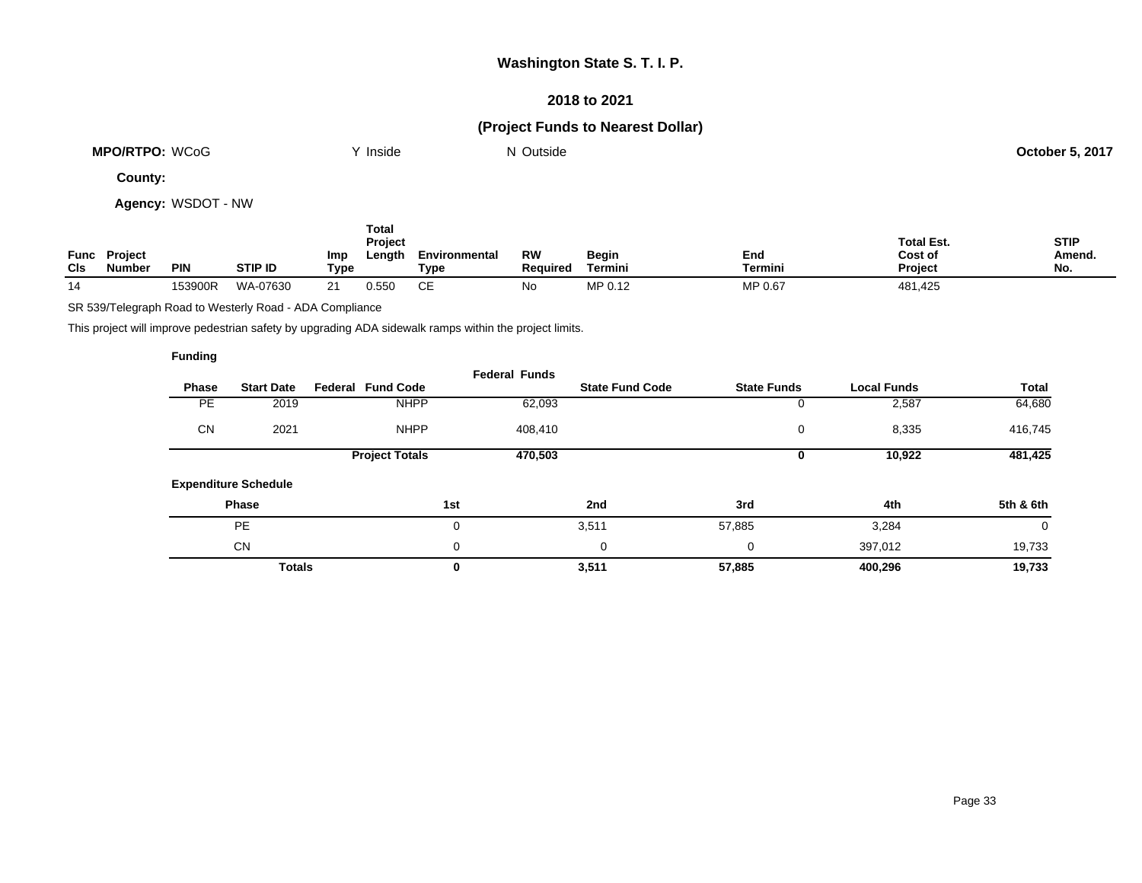### **2018 to 2021**

## **(Project Funds to Nearest Dollar)**

| <b>MPO/RTPO:</b><br><b>WCoG</b> | Inside | Outside<br>IM. | 5.201<br>October 5 |
|---------------------------------|--------|----------------|--------------------|
|                                 |        |                |                    |

**County:**

**Agency:** WSDOT - NW

| <b>CIs</b> | <b>Func Project</b><br><b>Number</b> | PIN     | <b>STIP ID</b> | Imp<br>Type | Total<br>Project<br>Length | Environmental<br>Type | RW<br><b>Required</b> | Begin<br>Termini | End<br><b>Termini</b> | <b>Total Est.</b><br>Cost of<br><b>Project</b> | <b>STIP</b><br>Amend.<br>No. |
|------------|--------------------------------------|---------|----------------|-------------|----------------------------|-----------------------|-----------------------|------------------|-----------------------|------------------------------------------------|------------------------------|
| 14         |                                      | 153900R | WA-07630       | 21          | 0.550                      | CЕ                    | No                    | MP 0.12          | MP 0.67               | 481,425                                        |                              |

SR 539/Telegraph Road to Westerly Road - ADA Compliance

This project will improve pedestrian safety by upgrading ADA sidewalk ramps within the project limits.

|              |                             |                          | <b>Federal Funds</b> |                        |                    |                    |           |
|--------------|-----------------------------|--------------------------|----------------------|------------------------|--------------------|--------------------|-----------|
| <b>Phase</b> | <b>Start Date</b>           | <b>Federal Fund Code</b> |                      | <b>State Fund Code</b> | <b>State Funds</b> | <b>Local Funds</b> | Total     |
| <b>PE</b>    | 2019                        | <b>NHPP</b>              | 62,093               |                        |                    | 2,587              | 64,680    |
| <b>CN</b>    | 2021                        | <b>NHPP</b>              | 408,410              |                        | 0                  | 8,335              | 416,745   |
|              |                             | <b>Project Totals</b>    | 470,503              |                        | U                  | 10,922             | 481,425   |
|              | <b>Expenditure Schedule</b> |                          |                      |                        |                    |                    |           |
|              | Phase                       |                          | 1st                  | 2nd                    | 3rd                | 4th                | 5th & 6th |
|              | <b>PE</b>                   |                          | 0                    | 3,511                  | 57,885             | 3,284              | 0         |
|              | <b>CN</b>                   |                          | 0                    | 0                      | 0                  | 397,012            | 19,733    |
|              | <b>Totals</b>               |                          | 0                    | 3,511                  | 57,885             | 400,296            | 19,733    |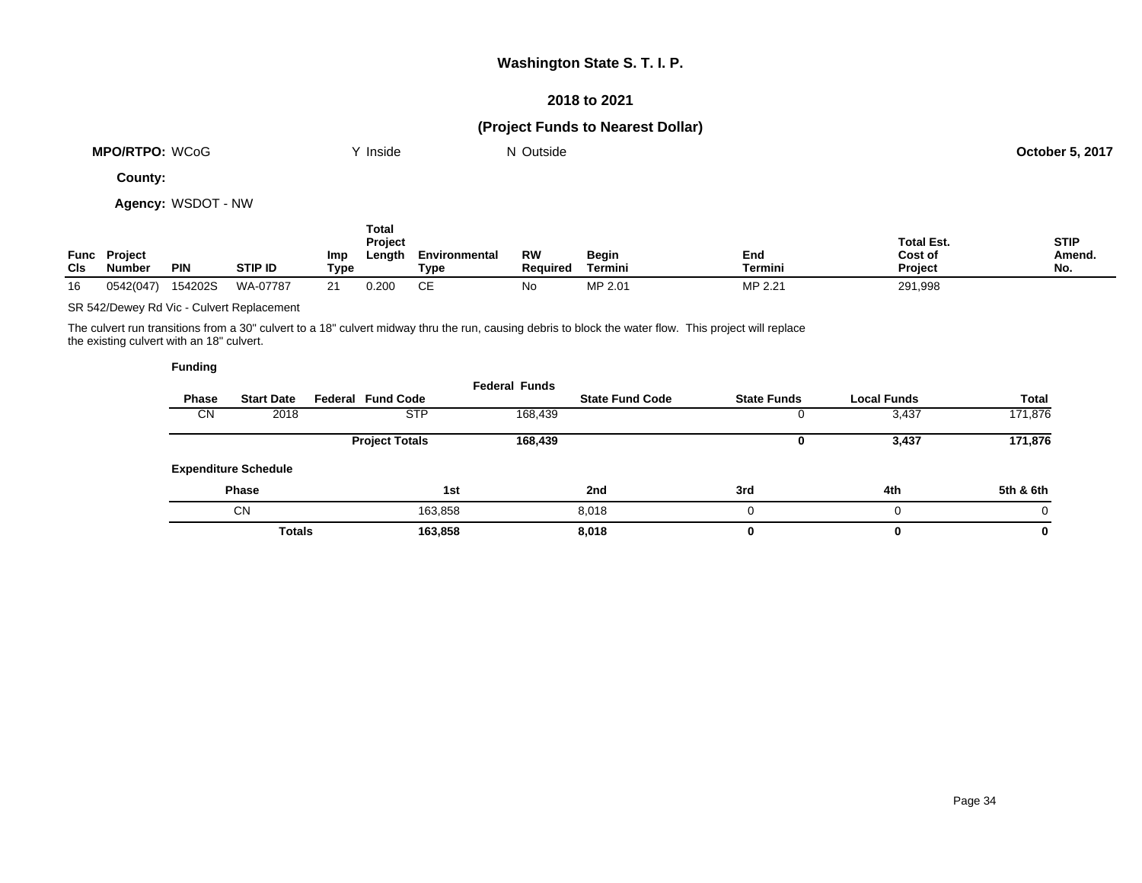### **2018 to 2021**

## **(Project Funds to Nearest Dollar)**

| <b>MPO/RTPO: WCoG</b> | Inside | ' Outside<br>N | 5,2017<br>October : |
|-----------------------|--------|----------------|---------------------|
|                       |        |                |                     |

**County:**

**Agency:** WSDOT - NW

| CIs | <b>Func Project</b><br>Numbeı | <b>PIN</b> | <b>STIP ID</b> | Imp<br>Type | Total<br><b>Project</b><br>Length | Environmental<br>Tvpe | <b>RW</b><br><b>Required</b> | <b>Begin</b><br>Termini | End<br>Termini | <b>Total Est.</b><br>Cost of<br>Project | <b>STIP</b><br>Amend.<br>No. |
|-----|-------------------------------|------------|----------------|-------------|-----------------------------------|-----------------------|------------------------------|-------------------------|----------------|-----------------------------------------|------------------------------|
| 16  | 0542(047)                     | 154202S    | WA-07787       | 21          | 0.200                             | CЕ                    | No                           | MP 2.01                 | MP 2.21        | 291,998                                 |                              |

SR 542/Dewey Rd Vic - Culvert Replacement

The culvert run transitions from a 30" culvert to a 18" culvert midway thru the run, causing debris to block the water flow. This project will replace the existing culvert with an 18" culvert.

|              |                    |                    |                        | <b>Federal Funds</b> |                          |               |                             |           |
|--------------|--------------------|--------------------|------------------------|----------------------|--------------------------|---------------|-----------------------------|-----------|
| <b>Total</b> | <b>Local Funds</b> | <b>State Funds</b> | <b>State Fund Code</b> |                      | <b>Federal Fund Code</b> |               | <b>Start Date</b>           | Phase     |
| 171,876      | 3,437              |                    |                        | 168,439              | <b>STP</b>               |               | 2018                        | <b>CN</b> |
| 171,876      | 3,437              | U                  |                        | 168,439              | <b>Project Totals</b>    |               |                             |           |
|              |                    |                    |                        |                      |                          |               | <b>Expenditure Schedule</b> |           |
| 5th & 6th    | 4th                | 3rd                | 2nd                    |                      | 1st                      |               | <b>Phase</b>                |           |
| 0            | $\Omega$           | 0                  | 8.018                  |                      | 163,858                  |               | CN                          |           |
| 0            | 0                  | 0                  | 8,018                  |                      | 163,858                  | <b>Totals</b> |                             |           |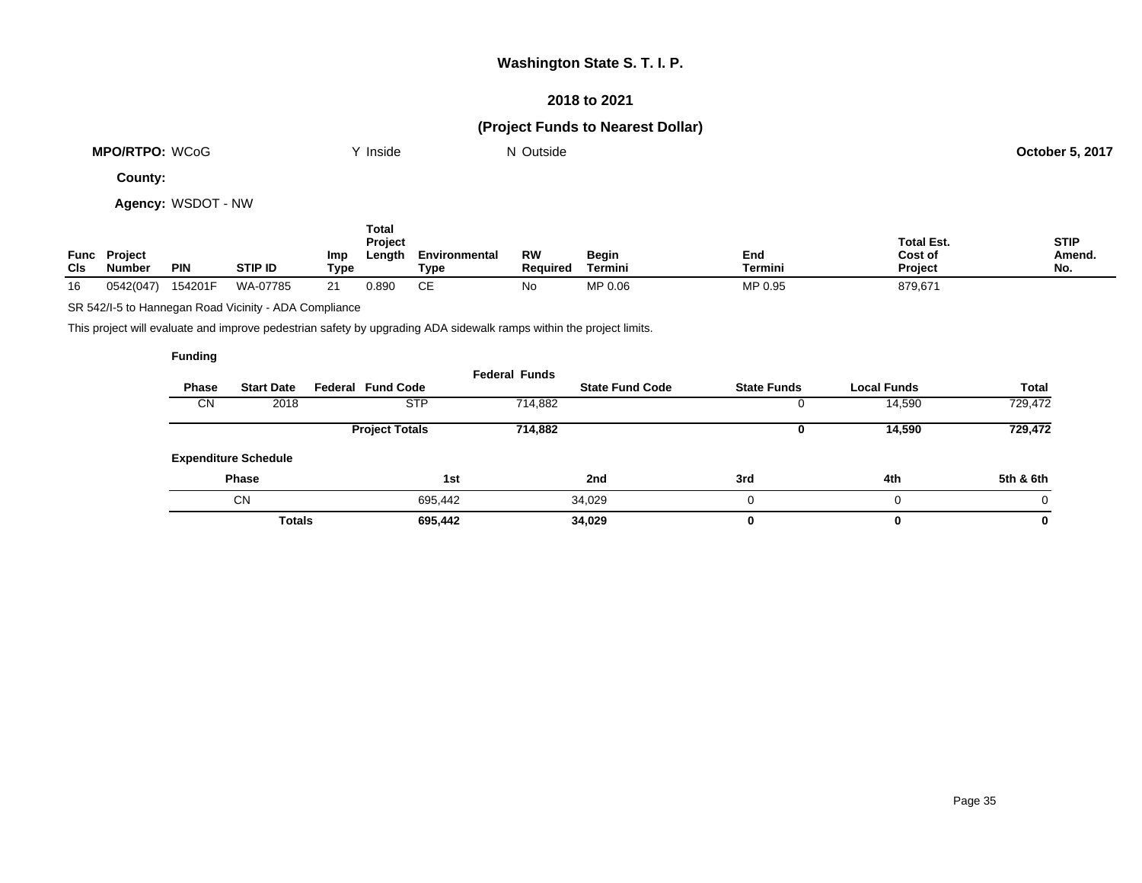### **2018 to 2021**

## **(Project Funds to Nearest Dollar)**

| <b>MPO/RTPO:</b><br><b>WCoG</b> | Inside | $\sim$<br>Outside<br>IM. | $.5.201$ $^{-}$<br>October 5. |
|---------------------------------|--------|--------------------------|-------------------------------|
|                                 |        |                          |                               |

**County:**

**Agency:** WSDOT - NW

| Func<br><b>CIs</b> | <b>Project</b><br>Numbeı | <b>PIN</b> | STIP ID  | <b>Imp</b><br>Type | Total<br><b>Project</b><br>Length | Environmental<br>Type | <b>RW</b><br><b>Required</b> | Begin<br>Termini | End<br>Termini | <b>Total Est.</b><br>Cost of<br><b>Project</b> | <b>STIP</b><br><b>Amend</b><br>No. |
|--------------------|--------------------------|------------|----------|--------------------|-----------------------------------|-----------------------|------------------------------|------------------|----------------|------------------------------------------------|------------------------------------|
| 16                 | 0542(047)                | 154201F    | WA-07785 | 21                 | 0.890                             | СE                    | No                           | MP 0.06          | MP 0.95        | 879,671                                        |                                    |

SR 542/I-5 to Hannegan Road Vicinity - ADA Compliance

This project will evaluate and improve pedestrian safety by upgrading ADA sidewalk ramps within the project limits.

|              |                             |                          | <b>Federal Funds</b> |                        |                    |                    |              |
|--------------|-----------------------------|--------------------------|----------------------|------------------------|--------------------|--------------------|--------------|
| <b>Phase</b> | <b>Start Date</b>           | <b>Federal Fund Code</b> |                      | <b>State Fund Code</b> | <b>State Funds</b> | <b>Local Funds</b> | <b>Total</b> |
| <b>CN</b>    | 2018                        | <b>STP</b>               | 714,882              |                        | υ                  | 14,590             | 729,472      |
|              |                             | <b>Project Totals</b>    | 714,882              |                        | 0                  | 14,590             | 729,472      |
|              | <b>Expenditure Schedule</b> |                          |                      |                        |                    |                    |              |
|              | <b>Phase</b>                |                          | 1st                  | 2nd                    | 3rd                | 4th                | 5th & 6th    |
|              | <b>CN</b>                   | 695,442                  |                      | 34,029                 | 0                  | 0                  | 0            |
|              | <b>Totals</b>               | 695,442                  |                      | 34,029                 | 0                  | 0                  | 0            |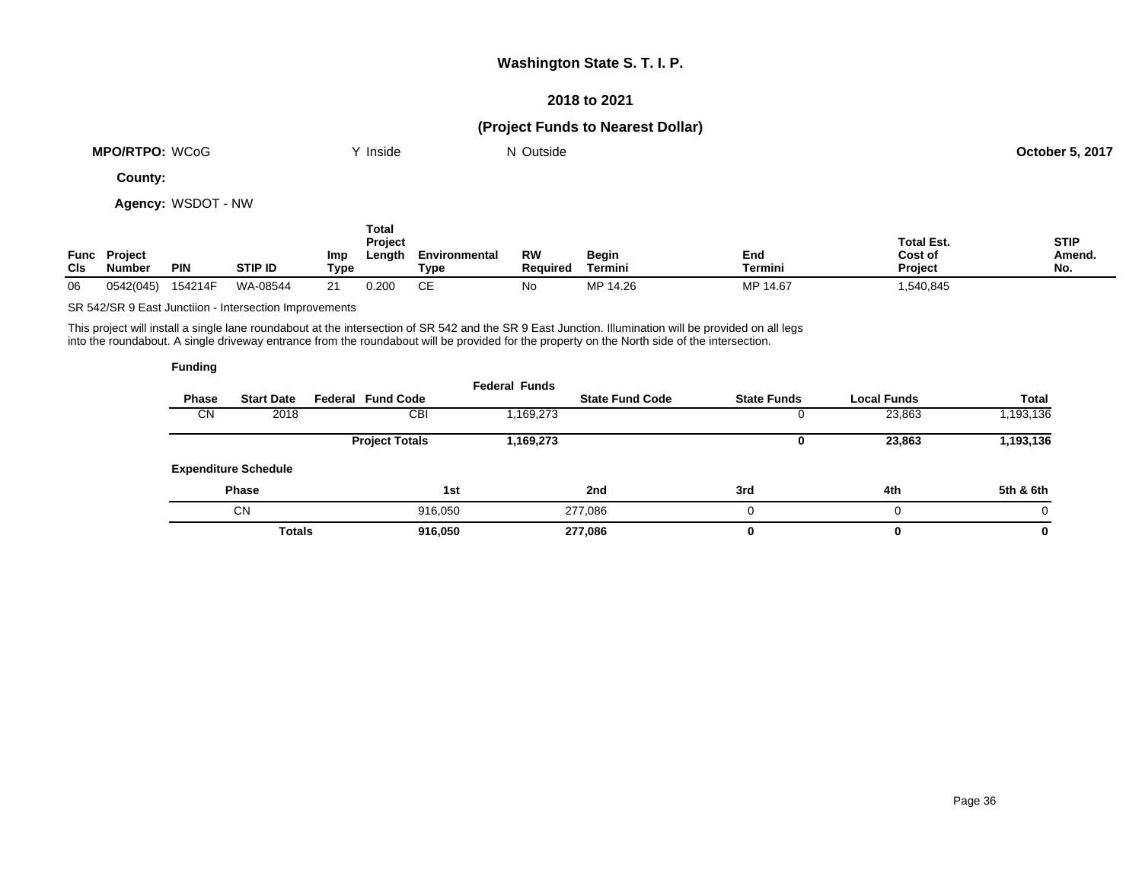### **2018 to 2021**

## **(Project Funds to Nearest Dollar)**

| <b>MPO/RTPO: WCoG</b> | Inside | ' Outside | <b>October 5, 2017</b> |
|-----------------------|--------|-----------|------------------------|
|                       |        |           |                        |

**County:**

**Agency:** WSDOT - NW

| CIs | <b>Func Project</b><br><b>Number</b> | <b>PIN</b> | <b>STIP ID</b> | <b>Imp</b><br>Type | Total<br>Project<br>Length | Environmental<br>Туре | RW<br><b>Required</b> | Begin<br>Termini | End<br>Termini | <b>Total Est.</b><br>Cost of<br><b>Project</b> | <b>STIP</b><br>Amend.<br>No. |
|-----|--------------------------------------|------------|----------------|--------------------|----------------------------|-----------------------|-----------------------|------------------|----------------|------------------------------------------------|------------------------------|
| 06  | 0542(045)                            | 154214F    | WA-08544       | 21                 | 0.200                      | СE                    | No                    | MP 14.26         | MP 14.67       | 1,540,845                                      |                              |

SR 542/SR 9 East Junctiion - Intersection Improvements

This project will install a single lane roundabout at the intersection of SR 542 and the SR 9 East Junction. Illumination will be provided on all legs into the roundabout. A single driveway entrance from the roundabout will be provided for the property on the North side of the intersection.

| Fundina |
|---------|
|---------|

|              |                             |                          | <b>Federal Funds</b> |                        |                    |                    |           |
|--------------|-----------------------------|--------------------------|----------------------|------------------------|--------------------|--------------------|-----------|
| <b>Phase</b> | <b>Start Date</b>           | <b>Federal Fund Code</b> |                      | <b>State Fund Code</b> | <b>State Funds</b> | <b>Local Funds</b> | Total     |
| CN           | 2018                        | CBI                      | 1,169,273            |                        |                    | 23,863             | 1,193,136 |
|              |                             | <b>Project Totals</b>    | 1,169,273            |                        |                    | 23,863             | 1,193,136 |
|              | <b>Expenditure Schedule</b> |                          |                      |                        |                    |                    |           |
|              | <b>Phase</b>                | 1st                      |                      | 2nd                    | 3rd                | 4th                | 5th & 6th |
|              | <b>CN</b>                   | 916,050                  |                      | 277,086                |                    | 0                  |           |
|              | <b>Totals</b>               | 916,050                  |                      | 277,086                |                    | $\bf{0}$           | 0         |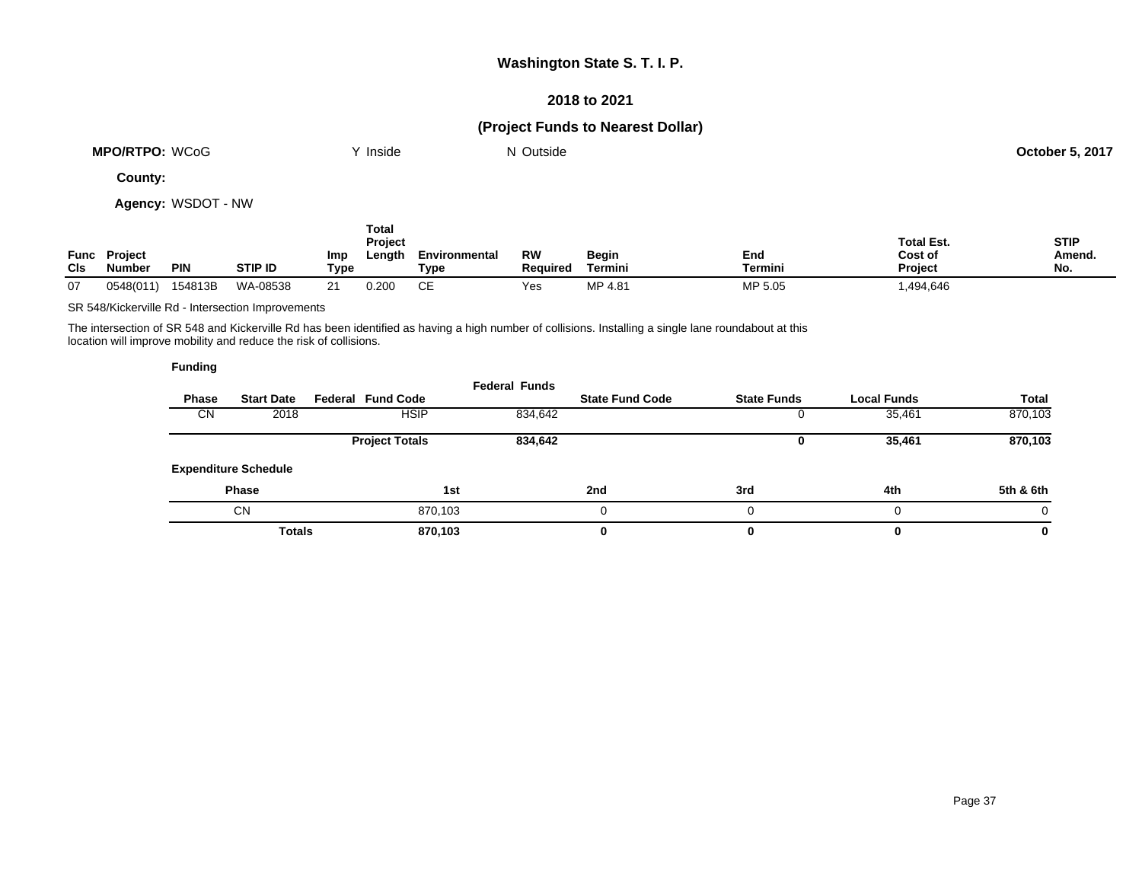### **2018 to 2021**

## **(Project Funds to Nearest Dollar)**

| <b>MPO/RTPO:</b><br>WCoG | 'nside | Outside | 5.2017<br>October 5<br>- - - - - - |
|--------------------------|--------|---------|------------------------------------|
|                          |        |         |                                    |

**County:**

**Agency:** WSDOT - NW

| Func<br>CIS | <b>Project</b><br>Numbeı | <b>PIN</b> | <b>STIP ID</b> | Imp<br>Type | Total<br>Project<br>Length | Environmental<br>Type | <b>RW</b><br><b>Required</b> | <b>Begin</b><br>Termini | End<br>Termini | <b>Total Est.</b><br>Cost of<br><b>Project</b> | <b>STIP</b><br>Amend.<br>No. |
|-------------|--------------------------|------------|----------------|-------------|----------------------------|-----------------------|------------------------------|-------------------------|----------------|------------------------------------------------|------------------------------|
| 07          | 0548(011)                | 154813B    | WA-08538       | 21          | 0.200                      | CЕ                    | Yes                          | MP 4.81                 | MP 5.05        | .494,646,                                      |                              |

SR 548/Kickerville Rd - Intersection Improvements

The intersection of SR 548 and Kickerville Rd has been identified as having a high number of collisions. Installing a single lane roundabout at this location will improve mobility and reduce the risk of collisions.

|           |                             |                          | <b>Federal Funds</b> |                        |                    |                    |              |
|-----------|-----------------------------|--------------------------|----------------------|------------------------|--------------------|--------------------|--------------|
| Phase     | <b>Start Date</b>           | <b>Federal Fund Code</b> |                      | <b>State Fund Code</b> | <b>State Funds</b> | <b>Local Funds</b> | <b>Total</b> |
| <b>CN</b> | 2018                        | <b>HSIP</b>              | 834,642              |                        |                    | 35,461             | 870,103      |
|           |                             | <b>Project Totals</b>    | 834,642              |                        | υ                  | 35,461             | 870,103      |
|           | <b>Expenditure Schedule</b> |                          |                      |                        |                    |                    |              |
|           | <b>Phase</b>                |                          | 1st                  | 2nd                    | 3rd                | 4th                | 5th & 6th    |
|           | <b>CN</b>                   | 870,103                  |                      |                        | 0                  | 0                  | $\Omega$     |
|           | <b>Totals</b>               | 870,103                  |                      | 0                      |                    | $\bf{0}$           | 0            |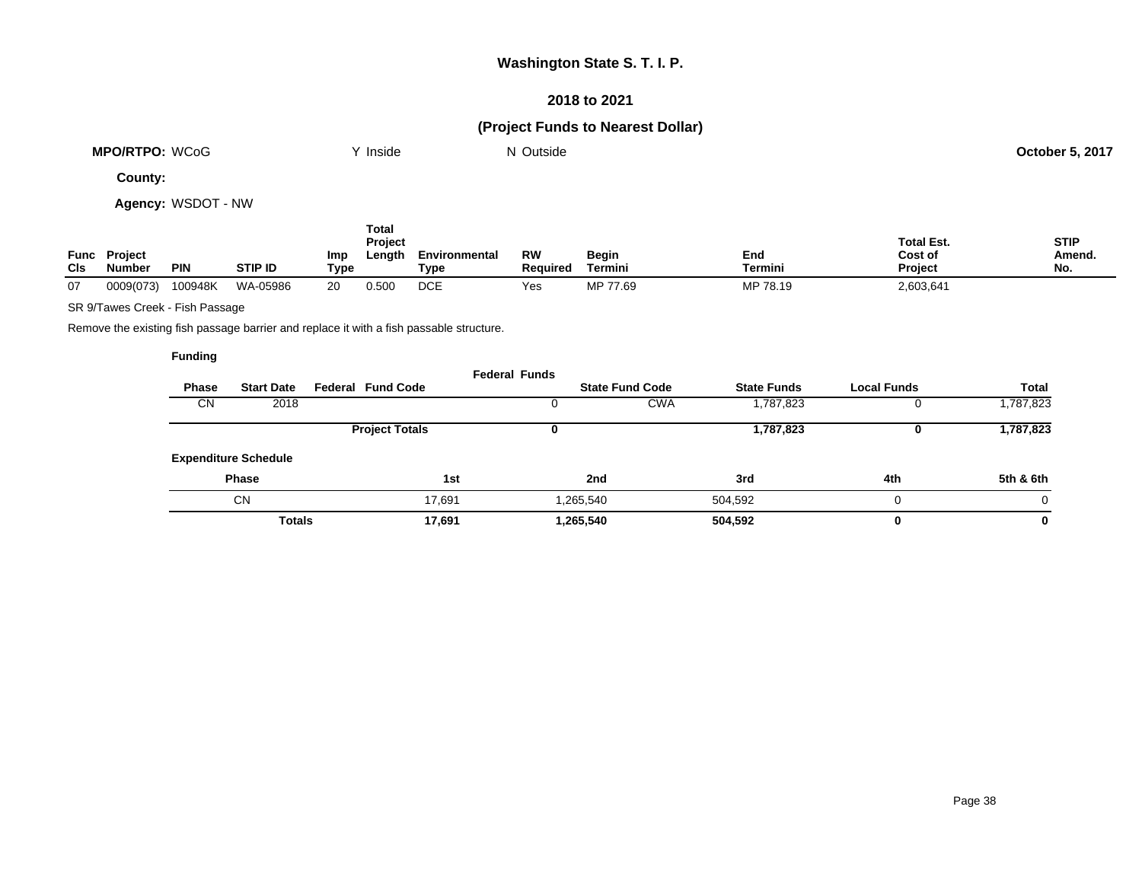### **2018 to 2021**

## **(Project Funds to Nearest Dollar)**

| WCoG<br><b>MPO/RTPO:</b> | .<br><b>Inside</b> | Outside | 5, 201<br>October |
|--------------------------|--------------------|---------|-------------------|
|                          |                    |         |                   |

**County:**

**Agency:** WSDOT - NW

| Func<br>CIS | <b>Project</b><br>Numbeı | <b>PIN</b> | <b>STIP ID</b> | Imp<br>Type | Total<br>Project<br>Length | Environmental<br>Type | <b>RW</b><br><b>Required</b> | Begin<br>Termini | End<br>Termini | <b>Total Est.</b><br>Cost of<br><b>Project</b> | <b>STIP</b><br>Amend.<br>No. |
|-------------|--------------------------|------------|----------------|-------------|----------------------------|-----------------------|------------------------------|------------------|----------------|------------------------------------------------|------------------------------|
| 07          | 0009(073)                | 100948K    | WA-05986       | 20          | 0.500                      | <b>DCE</b>            | Yes                          | MP 77.69         | MP 78.19       | 2,603,641                                      |                              |

SR 9/Tawes Creek - Fish Passage

Remove the existing fish passage barrier and replace it with a fish passable structure.

|              |                             |                          | <b>Federal Funds</b> |           |                        |                    |                    |              |
|--------------|-----------------------------|--------------------------|----------------------|-----------|------------------------|--------------------|--------------------|--------------|
| <b>Phase</b> | <b>Start Date</b>           | <b>Federal Fund Code</b> |                      |           | <b>State Fund Code</b> | <b>State Funds</b> | <b>Local Funds</b> | <b>Total</b> |
| CΝ           | 2018                        |                          |                      |           | <b>CWA</b>             | 1,787,823          |                    | 1,787,823    |
|              |                             | <b>Project Totals</b>    |                      |           |                        | 1,787,823          |                    | 1,787,823    |
|              | <b>Expenditure Schedule</b> |                          |                      |           |                        |                    |                    |              |
|              | <b>Phase</b>                |                          | 1st                  | 2nd       |                        | 3rd                | 4th                | 5th & 6th    |
|              | CN                          |                          | 17,691               | 1,265,540 |                        | 504,592            |                    | $\Omega$     |
|              | <b>Totals</b>               |                          | 17,691               | 1,265,540 |                        | 504,592            | 0                  | 0            |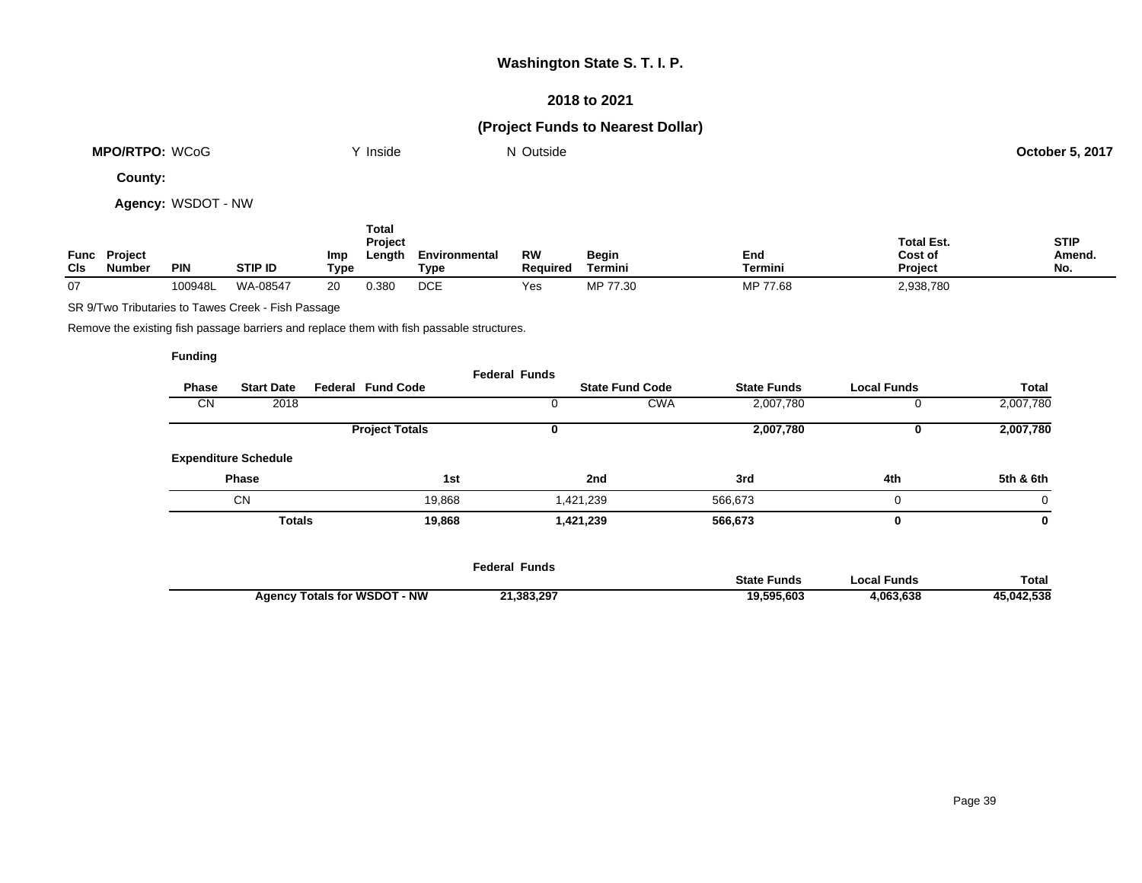### **2018 to 2021**

## **(Project Funds to Nearest Dollar)**

| WCoG<br><b>MPO/RTPO:</b> | Inside | $\sim$<br>Outside<br>IM. | .5,2017<br>October 5. |
|--------------------------|--------|--------------------------|-----------------------|
|                          |        |                          |                       |

**County:**

**Agency:** WSDOT - NW

| Func<br><b>CIs</b> | <b>Project</b><br><b>Number</b> | <b>PIN</b> | <b>STIP ID</b> | Imp<br>Type | Total<br><b>Project</b><br>Length | Environmental<br>Type | <b>RW</b><br><b>Required</b> | Begin<br>Termini | End<br>Termini | <b>Total Est.</b><br>Cost of<br>Project | <b>STIP</b><br>Amend.<br>No. |
|--------------------|---------------------------------|------------|----------------|-------------|-----------------------------------|-----------------------|------------------------------|------------------|----------------|-----------------------------------------|------------------------------|
| 07                 |                                 | 100948L    | WA-08547       | 20          | 0.380                             | <b>DCE</b>            | Yes                          | MP 77.30         | MP 77.68       | 2,938,780                               |                              |

SR 9/Two Tributaries to Tawes Creek - Fish Passage

Remove the existing fish passage barriers and replace them with fish passable structures.

|              |                             |                          | <b>Federal Funds</b> |                        |                    |                    |              |
|--------------|-----------------------------|--------------------------|----------------------|------------------------|--------------------|--------------------|--------------|
| <b>Phase</b> | <b>Start Date</b>           | <b>Federal Fund Code</b> |                      | <b>State Fund Code</b> | <b>State Funds</b> | <b>Local Funds</b> | <b>Total</b> |
| <b>CN</b>    | 2018                        |                          | U                    | <b>CWA</b>             | 2,007,780          |                    | 2,007,780    |
|              |                             | <b>Project Totals</b>    | 0                    |                        | 2,007,780          |                    | 2,007,780    |
|              | <b>Expenditure Schedule</b> |                          |                      |                        |                    |                    |              |
|              | <b>Phase</b>                | 1st                      |                      | 2nd                    | 3rd                | 4th                | 5th & 6th    |
|              | <b>CN</b>                   | 19,868                   |                      | 1,421,239              | 566,673            | 0                  | $\mathbf 0$  |
|              | <b>Totals</b>               | 19,868                   |                      | 1,421,239              | 566,673            | 0                  | 0            |
|              |                             |                          |                      |                        |                    |                    |              |
|              |                             |                          | Eadaral Eurida       |                        |                    |                    |              |

|                                  | <sup>=</sup> ederal Funds |                    |             |              |
|----------------------------------|---------------------------|--------------------|-------------|--------------|
|                                  |                           | <b>State Funds</b> | Local Funds | <b>Total</b> |
| $-NW$<br>Agency Totals for WSDOT | 21,383,297                | 19,595,603         | 4,063,638   | 45,042,538   |